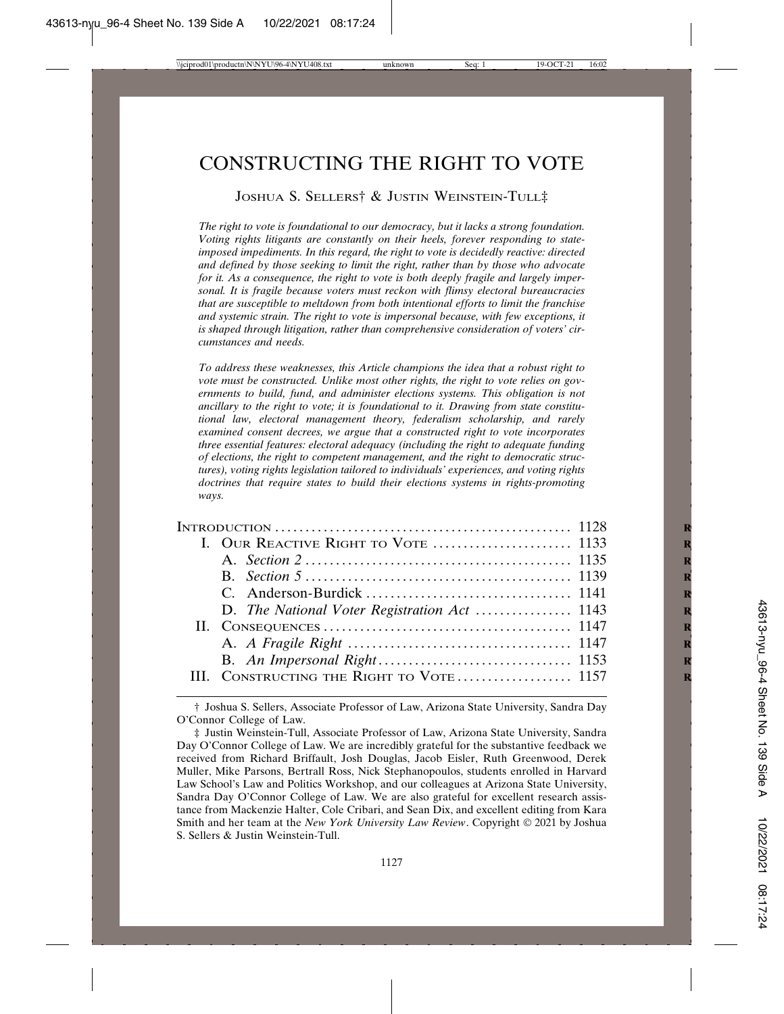# CONSTRUCTING THE RIGHT TO VOTE

## JOSHUA S. SELLERS† & JUSTIN WEINSTEIN-TULL‡

*The right to vote is foundational to our democracy, but it lacks a strong foundation. Voting rights litigants are constantly on their heels, forever responding to stateimposed impediments. In this regard, the right to vote is decidedly reactive: directed and defined by those seeking to limit the right, rather than by those who advocate for it. As a consequence, the right to vote is both deeply fragile and largely impersonal. It is fragile because voters must reckon with flimsy electoral bureaucracies that are susceptible to meltdown from both intentional efforts to limit the franchise and systemic strain. The right to vote is impersonal because, with few exceptions, it is shaped through litigation, rather than comprehensive consideration of voters' circumstances and needs.*

*To address these weaknesses, this Article champions the idea that a robust right to vote must be constructed. Unlike most other rights, the right to vote relies on governments to build, fund, and administer elections systems. This obligation is not ancillary to the right to vote; it is foundational to it. Drawing from state constitutional law, electoral management theory, federalism scholarship, and rarely examined consent decrees, we argue that a constructed right to vote incorporates three essential features: electoral adequacy (including the right to adequate funding of elections, the right to competent management, and the right to democratic structures), voting rights legislation tailored to individuals' experiences, and voting rights doctrines that require states to build their elections systems in rights-promoting ways.*

|  | III. CONSTRUCTING THE RIGHT TO VOTE  1157 |  |
|--|-------------------------------------------|--|
|  |                                           |  |

<sup>†</sup> Joshua S. Sellers, Associate Professor of Law, Arizona State University, Sandra Day O'Connor College of Law.

<sup>‡</sup> Justin Weinstein-Tull, Associate Professor of Law, Arizona State University, Sandra Day O'Connor College of Law. We are incredibly grateful for the substantive feedback we received from Richard Briffault, Josh Douglas, Jacob Eisler, Ruth Greenwood, Derek Muller, Mike Parsons, Bertrall Ross, Nick Stephanopoulos, students enrolled in Harvard Law School's Law and Politics Workshop, and our colleagues at Arizona State University, Sandra Day O'Connor College of Law. We are also grateful for excellent research assistance from Mackenzie Halter, Cole Cribari, and Sean Dix, and excellent editing from Kara Smith and her team at the *New York University Law Review*. Copyright © 2021 by Joshua S. Sellers & Justin Weinstein-Tull.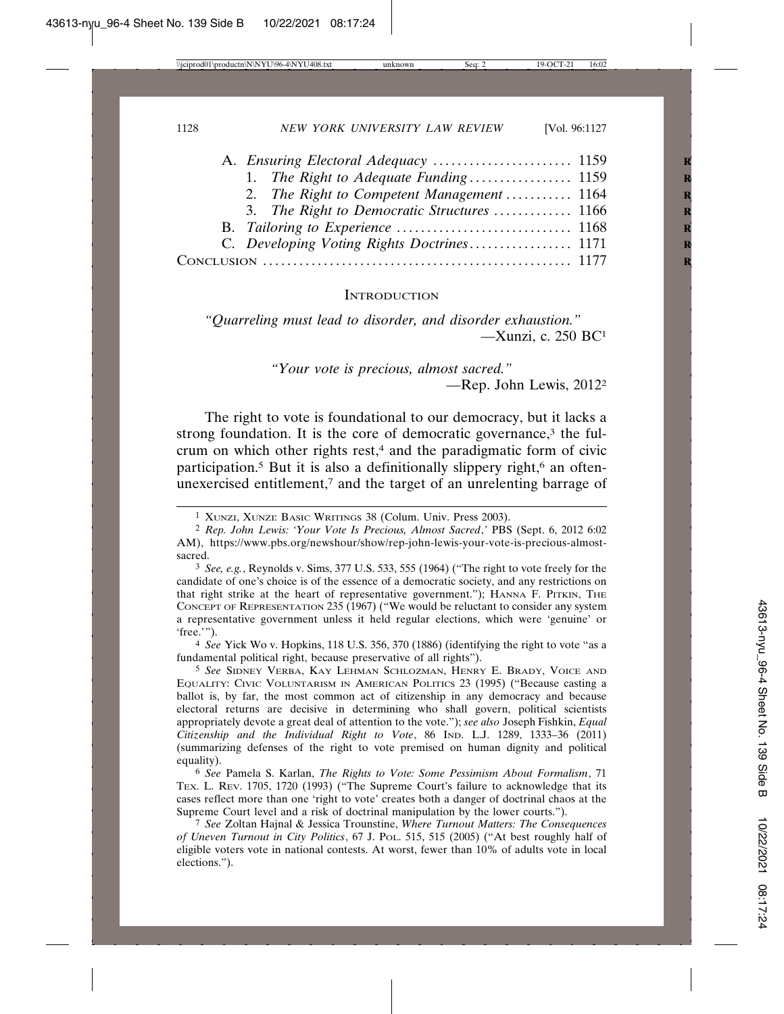| 2. The Right to Competent Management  1164  |  |
|---------------------------------------------|--|
| 3. The Right to Democratic Structures  1166 |  |
|                                             |  |
| C. Developing Voting Rights Doctrines 1171  |  |
|                                             |  |
|                                             |  |

#### **INTRODUCTION**

*"Quarreling must lead to disorder, and disorder exhaustion."* —Xunzi, c. 250 BC1

> *"Your vote is precious, almost sacred."* —Rep. John Lewis, 20122

The right to vote is foundational to our democracy, but it lacks a strong foundation. It is the core of democratic governance, $3$  the fulcrum on which other rights rest,<sup>4</sup> and the paradigmatic form of civic participation.<sup>5</sup> But it is also a definitionally slippery right, $6$  an oftenunexercised entitlement, $7$  and the target of an unrelenting barrage of

4 *See* Yick Wo v. Hopkins, 118 U.S. 356, 370 (1886) (identifying the right to vote "as a fundamental political right, because preservative of all rights").

5 *See* SIDNEY VERBA, KAY LEHMAN SCHLOZMAN, HENRY E. BRADY, VOICE AND EQUALITY: CIVIC VOLUNTARISM IN AMERICAN POLITICS 23 (1995) ("Because casting a ballot is, by far, the most common act of citizenship in any democracy and because electoral returns are decisive in determining who shall govern, political scientists appropriately devote a great deal of attention to the vote."); *see also* Joseph Fishkin, *Equal Citizenship and the Individual Right to Vote*, 86 IND. L.J. 1289, 1333–36 (2011) (summarizing defenses of the right to vote premised on human dignity and political equality).

6 *See* Pamela S. Karlan, *The Rights to Vote: Some Pessimism About Formalism*, 71 TEX. L. REV. 1705, 1720 (1993) ("The Supreme Court's failure to acknowledge that its cases reflect more than one 'right to vote' creates both a danger of doctrinal chaos at the Supreme Court level and a risk of doctrinal manipulation by the lower courts.").

7 *See* Zoltan Hajnal & Jessica Trounstine, *Where Turnout Matters: The Consequences of Uneven Turnout in City Politics*, 67 J. POL. 515, 515 (2005) ("At best roughly half of eligible voters vote in national contests. At worst, fewer than 10% of adults vote in local elections.").

<sup>1</sup> XUNZI, XUNZI: BASIC WRITINGS 38 (Colum. Univ. Press 2003).

<sup>2</sup> *Rep. John Lewis: 'Your Vote Is Precious, Almost Sacred*,*'* PBS (Sept. 6, 2012 6:02 AM), https://www.pbs.org/newshour/show/rep-john-lewis-your-vote-is-precious-almostsacred.

<sup>3</sup> *See, e.g.*, Reynolds v. Sims, 377 U.S. 533, 555 (1964) ("The right to vote freely for the candidate of one's choice is of the essence of a democratic society, and any restrictions on that right strike at the heart of representative government."); HANNA F. PITKIN, THE CONCEPT OF REPRESENTATION 235 (1967) ("We would be reluctant to consider any system a representative government unless it held regular elections, which were 'genuine' or 'free.'").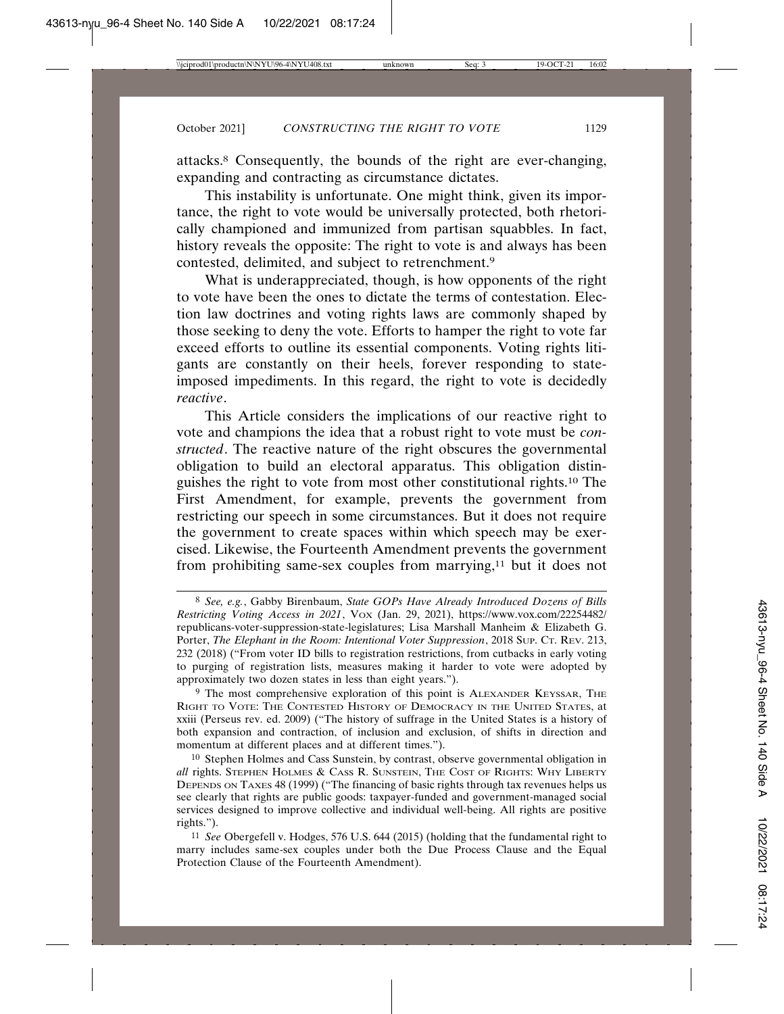attacks.8 Consequently, the bounds of the right are ever-changing, expanding and contracting as circumstance dictates.

This instability is unfortunate. One might think, given its importance, the right to vote would be universally protected, both rhetorically championed and immunized from partisan squabbles. In fact, history reveals the opposite: The right to vote is and always has been contested, delimited, and subject to retrenchment.9

What is underappreciated, though, is how opponents of the right to vote have been the ones to dictate the terms of contestation. Election law doctrines and voting rights laws are commonly shaped by those seeking to deny the vote. Efforts to hamper the right to vote far exceed efforts to outline its essential components. Voting rights litigants are constantly on their heels, forever responding to stateimposed impediments. In this regard, the right to vote is decidedly *reactive*.

This Article considers the implications of our reactive right to vote and champions the idea that a robust right to vote must be *constructed*. The reactive nature of the right obscures the governmental obligation to build an electoral apparatus. This obligation distinguishes the right to vote from most other constitutional rights.10 The First Amendment, for example, prevents the government from restricting our speech in some circumstances. But it does not require the government to create spaces within which speech may be exercised. Likewise, the Fourteenth Amendment prevents the government from prohibiting same-sex couples from marrying,11 but it does not

<sup>8</sup> *See, e.g.*, Gabby Birenbaum, *State GOPs Have Already Introduced Dozens of Bills Restricting Voting Access in 2021*, VOX (Jan. 29, 2021), https://www.vox.com/22254482/ republicans-voter-suppression-state-legislatures; Lisa Marshall Manheim & Elizabeth G. Porter, *The Elephant in the Room: Intentional Voter Suppression*, 2018 SUP. CT. REV. 213, 232 (2018) ("From voter ID bills to registration restrictions, from cutbacks in early voting to purging of registration lists, measures making it harder to vote were adopted by approximately two dozen states in less than eight years.").

<sup>9</sup> The most comprehensive exploration of this point is ALEXANDER KEYSSAR, THE RIGHT TO VOTE: THE CONTESTED HISTORY OF DEMOCRACY IN THE UNITED STATES, at xxiii (Perseus rev. ed. 2009) ("The history of suffrage in the United States is a history of both expansion and contraction, of inclusion and exclusion, of shifts in direction and momentum at different places and at different times.").

<sup>10</sup> Stephen Holmes and Cass Sunstein, by contrast, observe governmental obligation in *all* rights. STEPHEN HOLMES & CASS R. SUNSTEIN, THE COST OF RIGHTS: WHY LIBERTY DEPENDS ON TAXES 48 (1999) ("The financing of basic rights through tax revenues helps us see clearly that rights are public goods: taxpayer-funded and government-managed social services designed to improve collective and individual well-being. All rights are positive rights.").

<sup>11</sup> *See* Obergefell v. Hodges, 576 U.S. 644 (2015) (holding that the fundamental right to marry includes same-sex couples under both the Due Process Clause and the Equal Protection Clause of the Fourteenth Amendment).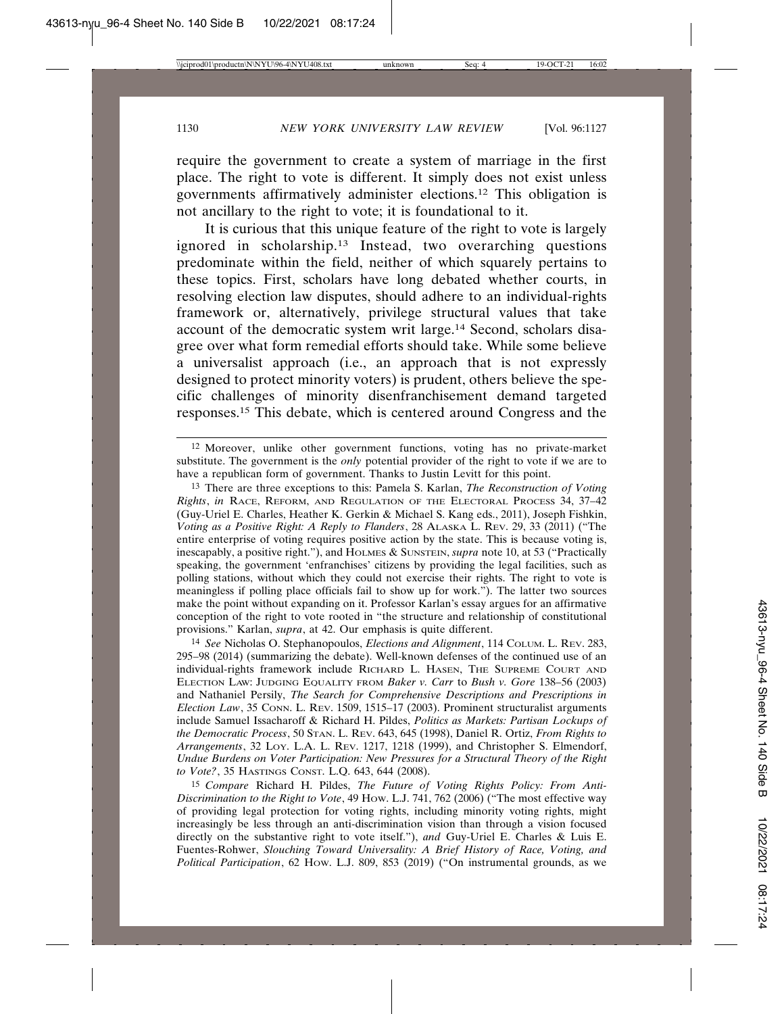require the government to create a system of marriage in the first place. The right to vote is different. It simply does not exist unless governments affirmatively administer elections.12 This obligation is not ancillary to the right to vote; it is foundational to it.

It is curious that this unique feature of the right to vote is largely ignored in scholarship.13 Instead, two overarching questions predominate within the field, neither of which squarely pertains to these topics. First, scholars have long debated whether courts, in resolving election law disputes, should adhere to an individual-rights framework or, alternatively, privilege structural values that take account of the democratic system writ large.14 Second, scholars disagree over what form remedial efforts should take. While some believe a universalist approach (i.e., an approach that is not expressly designed to protect minority voters) is prudent, others believe the specific challenges of minority disenfranchisement demand targeted responses.15 This debate, which is centered around Congress and the

14 *See* Nicholas O. Stephanopoulos, *Elections and Alignment*, 114 COLUM. L. REV. 283, 295–98 (2014) (summarizing the debate). Well-known defenses of the continued use of an individual-rights framework include RICHARD L. HASEN, THE SUPREME COURT AND ELECTION LAW: JUDGING EQUALITY FROM *Baker v. Carr* to *Bush v. Gore* 138–56 (2003) and Nathaniel Persily, *The Search for Comprehensive Descriptions and Prescriptions in Election Law*, 35 CONN. L. REV. 1509, 1515–17 (2003). Prominent structuralist arguments include Samuel Issacharoff & Richard H. Pildes, *Politics as Markets: Partisan Lockups of the Democratic Process*, 50 STAN. L. REV. 643, 645 (1998), Daniel R. Ortiz, *From Rights to Arrangements*, 32 LOY. L.A. L. REV. 1217, 1218 (1999), and Christopher S. Elmendorf, *Undue Burdens on Voter Participation: New Pressures for a Structural Theory of the Right to Vote?*, 35 HASTINGS CONST. L.Q. 643, 644 (2008).

15 *Compare* Richard H. Pildes, *The Future of Voting Rights Policy: From Anti-Discrimination to the Right to Vote*, 49 HOW. L.J. 741, 762 (2006) ("The most effective way of providing legal protection for voting rights, including minority voting rights, might increasingly be less through an anti-discrimination vision than through a vision focused directly on the substantive right to vote itself."), *and* Guy-Uriel E. Charles & Luis E. Fuentes-Rohwer, *Slouching Toward Universality: A Brief History of Race, Voting, and Political Participation*, 62 HOW. L.J. 809, 853 (2019) ("On instrumental grounds, as we

<sup>12</sup> Moreover, unlike other government functions, voting has no private-market substitute. The government is the *only* potential provider of the right to vote if we are to have a republican form of government. Thanks to Justin Levitt for this point.

<sup>13</sup> There are three exceptions to this: Pamela S. Karlan, *The Reconstruction of Voting Rights*, *in* RACE, REFORM, AND REGULATION OF THE ELECTORAL PROCESS 34, 37–42 (Guy-Uriel E. Charles, Heather K. Gerkin & Michael S. Kang eds., 2011), Joseph Fishkin, *Voting as a Positive Right: A Reply to Flanders*, 28 ALASKA L. REV. 29, 33 (2011) ("The entire enterprise of voting requires positive action by the state. This is because voting is, inescapably, a positive right."), and HOLMES & SUNSTEIN, *supra* note 10, at 53 ("Practically speaking, the government 'enfranchises' citizens by providing the legal facilities, such as polling stations, without which they could not exercise their rights. The right to vote is meaningless if polling place officials fail to show up for work."). The latter two sources make the point without expanding on it. Professor Karlan's essay argues for an affirmative conception of the right to vote rooted in "the structure and relationship of constitutional provisions." Karlan, *supra*, at 42. Our emphasis is quite different.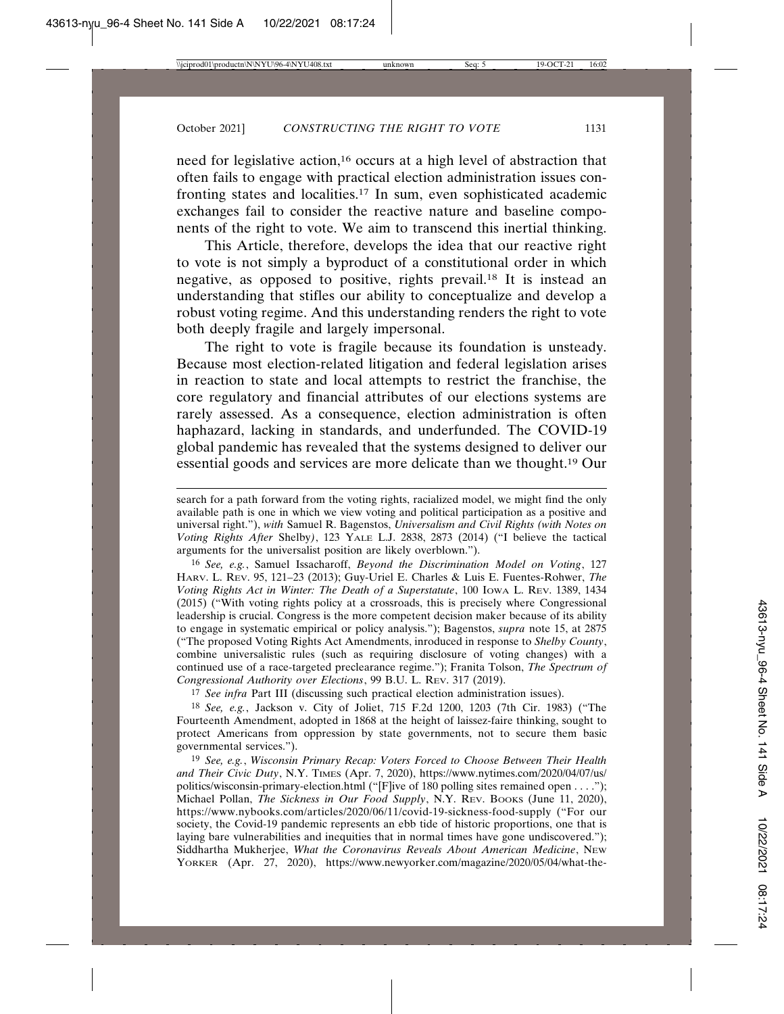need for legislative action,16 occurs at a high level of abstraction that often fails to engage with practical election administration issues confronting states and localities.17 In sum, even sophisticated academic exchanges fail to consider the reactive nature and baseline components of the right to vote. We aim to transcend this inertial thinking.

This Article, therefore, develops the idea that our reactive right to vote is not simply a byproduct of a constitutional order in which negative, as opposed to positive, rights prevail.18 It is instead an understanding that stifles our ability to conceptualize and develop a robust voting regime. And this understanding renders the right to vote both deeply fragile and largely impersonal.

The right to vote is fragile because its foundation is unsteady. Because most election-related litigation and federal legislation arises in reaction to state and local attempts to restrict the franchise, the core regulatory and financial attributes of our elections systems are rarely assessed. As a consequence, election administration is often haphazard, lacking in standards, and underfunded. The COVID-19 global pandemic has revealed that the systems designed to deliver our essential goods and services are more delicate than we thought.19 Our

16 *See, e.g.*, Samuel Issacharoff, *Beyond the Discrimination Model on Voting*, 127 HARV. L. REV. 95, 121–23 (2013); Guy-Uriel E. Charles & Luis E. Fuentes-Rohwer, *The Voting Rights Act in Winter: The Death of a Superstatute*, 100 IOWA L. REV. 1389, 1434 (2015) ("With voting rights policy at a crossroads, this is precisely where Congressional leadership is crucial. Congress is the more competent decision maker because of its ability to engage in systematic empirical or policy analysis."); Bagenstos, *supra* note 15, at 2875 ("The proposed Voting Rights Act Amendments, inroduced in response to *Shelby County*, combine universalistic rules (such as requiring disclosure of voting changes) with a continued use of a race-targeted preclearance regime."); Franita Tolson, *The Spectrum of Congressional Authority over Elections*, 99 B.U. L. REV. 317 (2019).

17 *See infra* Part III (discussing such practical election administration issues).

18 *See, e.g.*, Jackson v. City of Joliet, 715 F.2d 1200, 1203 (7th Cir. 1983) ("The Fourteenth Amendment, adopted in 1868 at the height of laissez-faire thinking, sought to protect Americans from oppression by state governments, not to secure them basic governmental services.").

19 *See, e.g.*, *Wisconsin Primary Recap: Voters Forced to Choose Between Their Health and Their Civic Duty*, N.Y. TIMES (Apr. 7, 2020), https://www.nytimes.com/2020/04/07/us/ politics/wisconsin-primary-election.html ("[F]ive of 180 polling sites remained open . . . ."); Michael Pollan, *The Sickness in Our Food Supply*, N.Y. REV. BOOKS (June 11, 2020), https://www.nybooks.com/articles/2020/06/11/covid-19-sickness-food-supply ("For our society, the Covid-19 pandemic represents an ebb tide of historic proportions, one that is laying bare vulnerabilities and inequities that in normal times have gone undiscovered."); Siddhartha Mukherjee, *What the Coronavirus Reveals About American Medicine*, NEW YORKER (Apr. 27, 2020), https://www.newyorker.com/magazine/2020/05/04/what-the-

search for a path forward from the voting rights, racialized model, we might find the only available path is one in which we view voting and political participation as a positive and universal right."), *with* Samuel R. Bagenstos, *Universalism and Civil Rights (with Notes on Voting Rights After* Shelby*)*, 123 YALE L.J. 2838, 2873 (2014) ("I believe the tactical arguments for the universalist position are likely overblown.").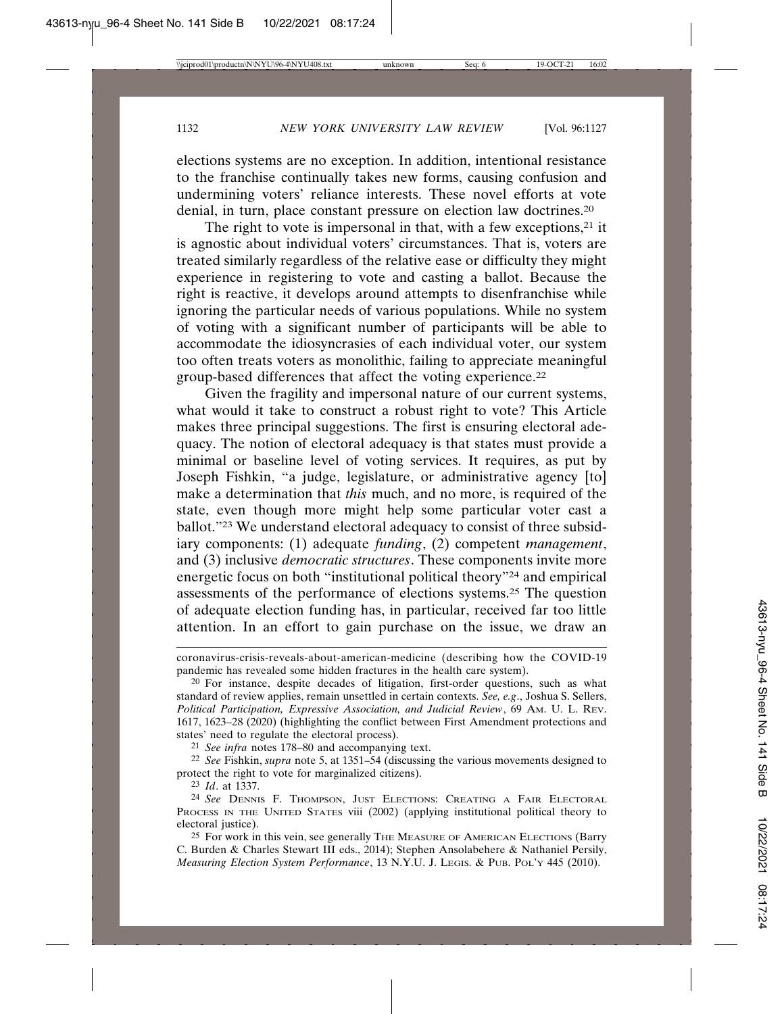elections systems are no exception. In addition, intentional resistance to the franchise continually takes new forms, causing confusion and undermining voters' reliance interests. These novel efforts at vote denial, in turn, place constant pressure on election law doctrines.20

The right to vote is impersonal in that, with a few exceptions, $21$  it is agnostic about individual voters' circumstances. That is, voters are treated similarly regardless of the relative ease or difficulty they might experience in registering to vote and casting a ballot. Because the right is reactive, it develops around attempts to disenfranchise while ignoring the particular needs of various populations. While no system of voting with a significant number of participants will be able to accommodate the idiosyncrasies of each individual voter, our system too often treats voters as monolithic, failing to appreciate meaningful group-based differences that affect the voting experience.22

Given the fragility and impersonal nature of our current systems, what would it take to construct a robust right to vote? This Article makes three principal suggestions. The first is ensuring electoral adequacy. The notion of electoral adequacy is that states must provide a minimal or baseline level of voting services. It requires, as put by Joseph Fishkin, "a judge, legislature, or administrative agency [to] make a determination that *this* much, and no more, is required of the state, even though more might help some particular voter cast a ballot."23 We understand electoral adequacy to consist of three subsidiary components: (1) adequate *funding*, (2) competent *management*, and (3) inclusive *democratic structures*. These components invite more energetic focus on both "institutional political theory"24 and empirical assessments of the performance of elections systems.25 The question of adequate election funding has, in particular, received far too little attention. In an effort to gain purchase on the issue, we draw an

21 *See infra* notes 178–80 and accompanying text.

22 *See* Fishkin, *supra* note 5, at 1351–54 (discussing the various movements designed to protect the right to vote for marginalized citizens).

23 *Id*. at 1337.

coronavirus-crisis-reveals-about-american-medicine (describing how the COVID-19 pandemic has revealed some hidden fractures in the health care system).

<sup>20</sup> For instance, despite decades of litigation, first-order questions, such as what standard of review applies, remain unsettled in certain contexts. *See, e.g*., Joshua S. Sellers, *Political Participation, Expressive Association, and Judicial Review*, 69 AM. U. L. REV. 1617, 1623–28 (2020) (highlighting the conflict between First Amendment protections and states' need to regulate the electoral process).

<sup>24</sup> *See* DENNIS F. THOMPSON, JUST ELECTIONS: CREATING A FAIR ELECTORAL PROCESS IN THE UNITED STATES viii (2002) (applying institutional political theory to electoral justice).

<sup>&</sup>lt;sup>25</sup> For work in this vein, see generally THE MEASURE OF AMERICAN ELECTIONS (Barry C. Burden & Charles Stewart III eds., 2014); Stephen Ansolabehere & Nathaniel Persily, *Measuring Election System Performance*, 13 N.Y.U. J. LEGIS. & PUB. POL'Y 445 (2010).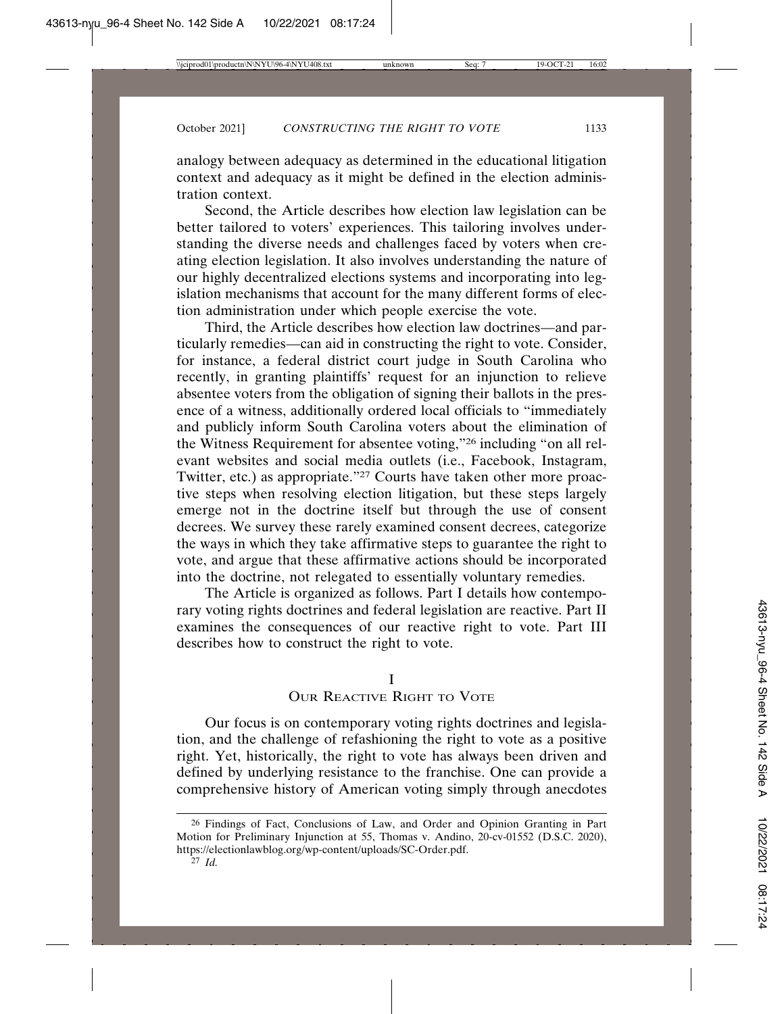analogy between adequacy as determined in the educational litigation context and adequacy as it might be defined in the election administration context.

Second, the Article describes how election law legislation can be better tailored to voters' experiences. This tailoring involves understanding the diverse needs and challenges faced by voters when creating election legislation. It also involves understanding the nature of our highly decentralized elections systems and incorporating into legislation mechanisms that account for the many different forms of election administration under which people exercise the vote.

Third, the Article describes how election law doctrines—and particularly remedies—can aid in constructing the right to vote. Consider, for instance, a federal district court judge in South Carolina who recently, in granting plaintiffs' request for an injunction to relieve absentee voters from the obligation of signing their ballots in the presence of a witness, additionally ordered local officials to "immediately and publicly inform South Carolina voters about the elimination of the Witness Requirement for absentee voting,"26 including "on all relevant websites and social media outlets (i.e., Facebook, Instagram, Twitter, etc.) as appropriate."27 Courts have taken other more proactive steps when resolving election litigation, but these steps largely emerge not in the doctrine itself but through the use of consent decrees. We survey these rarely examined consent decrees, categorize the ways in which they take affirmative steps to guarantee the right to vote, and argue that these affirmative actions should be incorporated into the doctrine, not relegated to essentially voluntary remedies.

The Article is organized as follows. Part I details how contemporary voting rights doctrines and federal legislation are reactive. Part II examines the consequences of our reactive right to vote. Part III describes how to construct the right to vote.

#### I

# OUR REACTIVE RIGHT TO VOTE

Our focus is on contemporary voting rights doctrines and legislation, and the challenge of refashioning the right to vote as a positive right. Yet, historically, the right to vote has always been driven and defined by underlying resistance to the franchise. One can provide a comprehensive history of American voting simply through anecdotes

<sup>26</sup> Findings of Fact, Conclusions of Law, and Order and Opinion Granting in Part Motion for Preliminary Injunction at 55, Thomas v. Andino, 20-cv-01552 (D.S.C. 2020), https://electionlawblog.org/wp-content/uploads/SC-Order.pdf.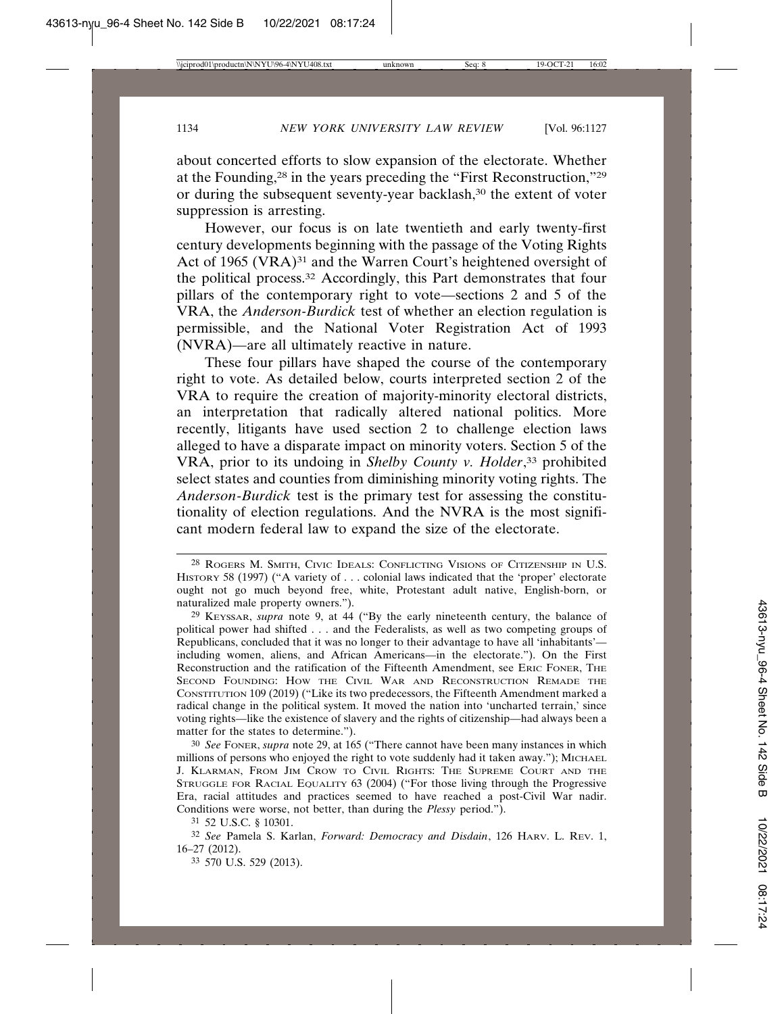about concerted efforts to slow expansion of the electorate. Whether at the Founding,28 in the years preceding the "First Reconstruction,"29 or during the subsequent seventy-year backlash,30 the extent of voter suppression is arresting.

However, our focus is on late twentieth and early twenty-first century developments beginning with the passage of the Voting Rights Act of 1965 (VRA)<sup>31</sup> and the Warren Court's heightened oversight of the political process.32 Accordingly, this Part demonstrates that four pillars of the contemporary right to vote—sections 2 and 5 of the VRA, the *Anderson-Burdick* test of whether an election regulation is permissible, and the National Voter Registration Act of 1993 (NVRA)—are all ultimately reactive in nature.

These four pillars have shaped the course of the contemporary right to vote. As detailed below, courts interpreted section 2 of the VRA to require the creation of majority-minority electoral districts, an interpretation that radically altered national politics. More recently, litigants have used section 2 to challenge election laws alleged to have a disparate impact on minority voters. Section 5 of the VRA, prior to its undoing in *Shelby County v. Holder*, 33 prohibited select states and counties from diminishing minority voting rights. The *Anderson*-*Burdick* test is the primary test for assessing the constitutionality of election regulations. And the NVRA is the most significant modern federal law to expand the size of the electorate.

30 *See* FONER, *supra* note 29, at 165 ("There cannot have been many instances in which millions of persons who enjoyed the right to vote suddenly had it taken away."); MICHAEL J. KLARMAN, FROM JIM CROW TO CIVIL RIGHTS: THE SUPREME COURT AND THE STRUGGLE FOR RACIAL EQUALITY 63 (2004) ("For those living through the Progressive Era, racial attitudes and practices seemed to have reached a post-Civil War nadir. Conditions were worse, not better, than during the *Plessy* period.").

31 52 U.S.C. § 10301.

33 570 U.S. 529 (2013).

<sup>28</sup> ROGERS M. SMITH, CIVIC IDEALS: CONFLICTING VISIONS OF CITIZENSHIP IN U.S. HISTORY 58 (1997) ("A variety of . . . colonial laws indicated that the 'proper' electorate ought not go much beyond free, white, Protestant adult native, English-born, or naturalized male property owners.").

<sup>29</sup> KEYSSAR, *supra* note 9, at 44 ("By the early nineteenth century, the balance of political power had shifted . . . and the Federalists, as well as two competing groups of Republicans, concluded that it was no longer to their advantage to have all 'inhabitants' including women, aliens, and African Americans—in the electorate."). On the First Reconstruction and the ratification of the Fifteenth Amendment, see ERIC FONER, THE SECOND FOUNDING: HOW THE CIVIL WAR AND RECONSTRUCTION REMADE THE CONSTITUTION 109 (2019) ("Like its two predecessors, the Fifteenth Amendment marked a radical change in the political system. It moved the nation into 'uncharted terrain,' since voting rights—like the existence of slavery and the rights of citizenship—had always been a matter for the states to determine.").

<sup>32</sup> *See* Pamela S. Karlan, *Forward: Democracy and Disdain*, 126 HARV. L. REV. 1, 16–27 (2012).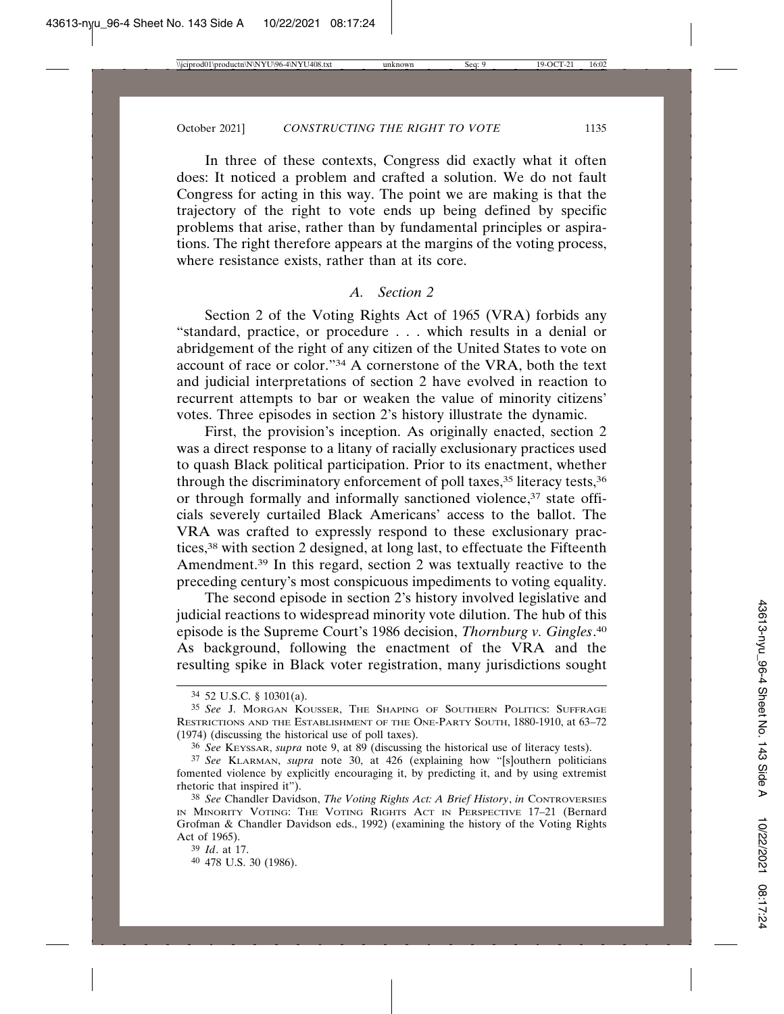In three of these contexts, Congress did exactly what it often does: It noticed a problem and crafted a solution. We do not fault Congress for acting in this way. The point we are making is that the trajectory of the right to vote ends up being defined by specific problems that arise, rather than by fundamental principles or aspirations. The right therefore appears at the margins of the voting process, where resistance exists, rather than at its core.

# *A. Section 2*

Section 2 of the Voting Rights Act of 1965 (VRA) forbids any "standard, practice, or procedure . . . which results in a denial or abridgement of the right of any citizen of the United States to vote on account of race or color."34 A cornerstone of the VRA, both the text and judicial interpretations of section 2 have evolved in reaction to recurrent attempts to bar or weaken the value of minority citizens' votes. Three episodes in section 2's history illustrate the dynamic.

First, the provision's inception. As originally enacted, section 2 was a direct response to a litany of racially exclusionary practices used to quash Black political participation. Prior to its enactment, whether through the discriminatory enforcement of poll taxes,<sup>35</sup> literacy tests,<sup>36</sup> or through formally and informally sanctioned violence,<sup>37</sup> state officials severely curtailed Black Americans' access to the ballot. The VRA was crafted to expressly respond to these exclusionary practices,38 with section 2 designed, at long last, to effectuate the Fifteenth Amendment.39 In this regard, section 2 was textually reactive to the preceding century's most conspicuous impediments to voting equality.

The second episode in section 2's history involved legislative and judicial reactions to widespread minority vote dilution. The hub of this episode is the Supreme Court's 1986 decision, *Thornburg v. Gingles*. 40 As background, following the enactment of the VRA and the resulting spike in Black voter registration, many jurisdictions sought

<sup>34</sup> 52 U.S.C. § 10301(a).

<sup>35</sup> *See* J. MORGAN KOUSSER, THE SHAPING OF SOUTHERN POLITICS: SUFFRAGE RESTRICTIONS AND THE ESTABLISHMENT OF THE ONE-PARTY SOUTH, 1880-1910, at 63–72 (1974) (discussing the historical use of poll taxes).

<sup>36</sup> *See* KEYSSAR, *supra* note 9, at 89 (discussing the historical use of literacy tests).

<sup>37</sup> *See* KLARMAN, *supra* note 30, at 426 (explaining how "[s]outhern politicians fomented violence by explicitly encouraging it, by predicting it, and by using extremist rhetoric that inspired it").

<sup>38</sup> *See* Chandler Davidson, *The Voting Rights Act: A Brief History*, *in* CONTROVERSIES IN MINORITY VOTING: THE VOTING RIGHTS ACT IN PERSPECTIVE 17–21 (Bernard Grofman & Chandler Davidson eds., 1992) (examining the history of the Voting Rights Act of 1965).

<sup>39</sup> *Id*. at 17.

<sup>40</sup> 478 U.S. 30 (1986).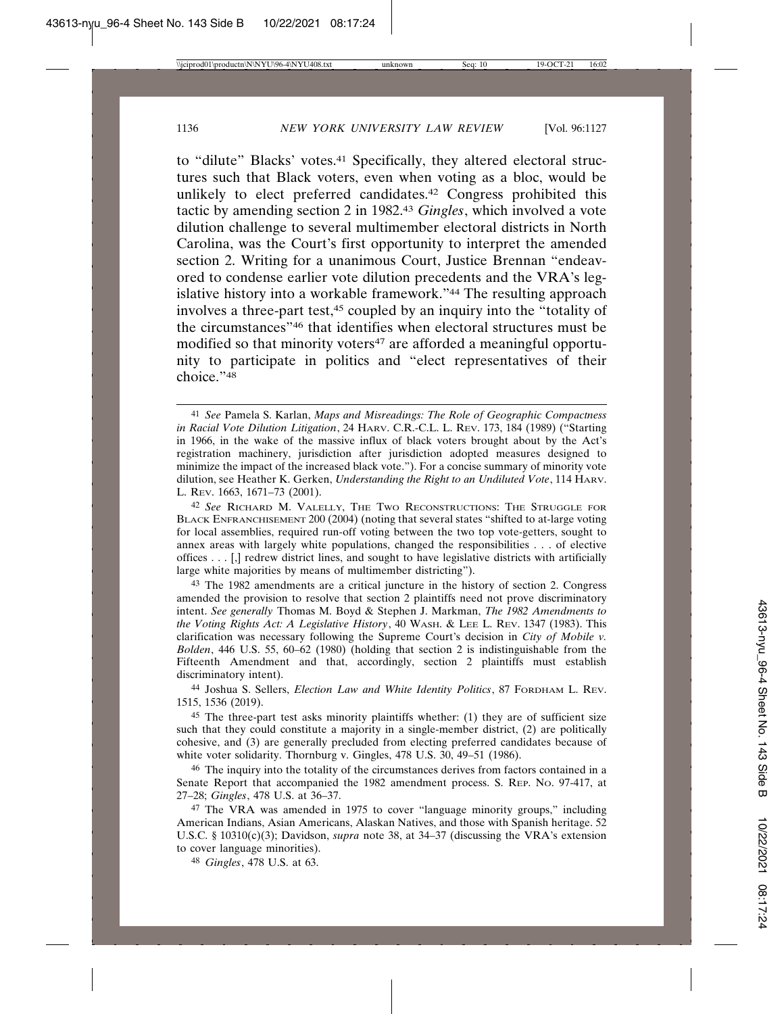to "dilute" Blacks' votes.<sup>41</sup> Specifically, they altered electoral structures such that Black voters, even when voting as a bloc, would be unlikely to elect preferred candidates.42 Congress prohibited this tactic by amending section 2 in 1982.43 *Gingles*, which involved a vote dilution challenge to several multimember electoral districts in North Carolina, was the Court's first opportunity to interpret the amended section 2. Writing for a unanimous Court, Justice Brennan "endeavored to condense earlier vote dilution precedents and the VRA's legislative history into a workable framework."44 The resulting approach involves a three-part test,45 coupled by an inquiry into the "totality of the circumstances"46 that identifies when electoral structures must be modified so that minority voters<sup>47</sup> are afforded a meaningful opportunity to participate in politics and "elect representatives of their choice."48

43 The 1982 amendments are a critical juncture in the history of section 2. Congress amended the provision to resolve that section 2 plaintiffs need not prove discriminatory intent. *See generally* Thomas M. Boyd & Stephen J. Markman, *The 1982 Amendments to the Voting Rights Act: A Legislative History*, 40 WASH. & LEE L. REV. 1347 (1983). This clarification was necessary following the Supreme Court's decision in *City of Mobile v. Bolden*, 446 U.S. 55, 60–62 (1980) (holding that section 2 is indistinguishable from the Fifteenth Amendment and that, accordingly, section 2 plaintiffs must establish discriminatory intent).

44 Joshua S. Sellers, *Election Law and White Identity Politics*, 87 FORDHAM L. REV. 1515, 1536 (2019).

45 The three-part test asks minority plaintiffs whether: (1) they are of sufficient size such that they could constitute a majority in a single-member district, (2) are politically cohesive, and (3) are generally precluded from electing preferred candidates because of white voter solidarity. Thornburg v. Gingles, 478 U.S. 30, 49–51 (1986).

46 The inquiry into the totality of the circumstances derives from factors contained in a Senate Report that accompanied the 1982 amendment process. S. REP. NO. 97-417, at 27–28; *Gingles*, 478 U.S. at 36–37.

47 The VRA was amended in 1975 to cover "language minority groups," including American Indians, Asian Americans, Alaskan Natives, and those with Spanish heritage. 52 U.S.C. § 10310(c)(3); Davidson, *supra* note 38, at 34–37 (discussing the VRA's extension to cover language minorities).

48 *Gingles*, 478 U.S. at 63.

<sup>41</sup> *See* Pamela S. Karlan, *Maps and Misreadings: The Role of Geographic Compactness in Racial Vote Dilution Litigation*, 24 HARV. C.R.-C.L. L. REV. 173, 184 (1989) ("Starting in 1966, in the wake of the massive influx of black voters brought about by the Act's registration machinery, jurisdiction after jurisdiction adopted measures designed to minimize the impact of the increased black vote."). For a concise summary of minority vote dilution, see Heather K. Gerken, *Understanding the Right to an Undiluted Vote*, 114 HARV. L. REV. 1663, 1671–73 (2001).

<sup>42</sup> *See* RICHARD M. VALELLY, THE TWO RECONSTRUCTIONS: THE STRUGGLE FOR BLACK ENFRANCHISEMENT 200 (2004) (noting that several states "shifted to at-large voting for local assemblies, required run-off voting between the two top vote-getters, sought to annex areas with largely white populations, changed the responsibilities . . . of elective offices . . . [,] redrew district lines, and sought to have legislative districts with artificially large white majorities by means of multimember districting").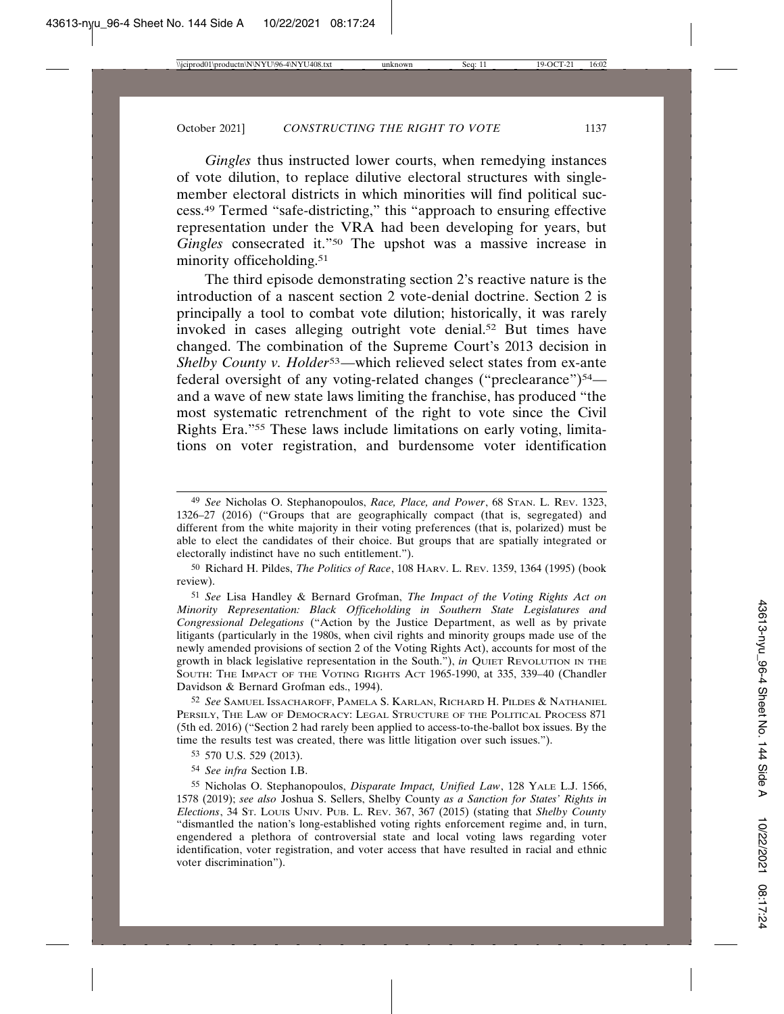*Gingles* thus instructed lower courts, when remedying instances of vote dilution, to replace dilutive electoral structures with singlemember electoral districts in which minorities will find political success.49 Termed "safe-districting," this "approach to ensuring effective representation under the VRA had been developing for years, but *Gingles* consecrated it."50 The upshot was a massive increase in minority officeholding.<sup>51</sup>

The third episode demonstrating section 2's reactive nature is the introduction of a nascent section 2 vote-denial doctrine. Section 2 is principally a tool to combat vote dilution; historically, it was rarely invoked in cases alleging outright vote denial.<sup>52</sup> But times have changed. The combination of the Supreme Court's 2013 decision in *Shelby County v. Holder*53—which relieved select states from ex-ante federal oversight of any voting-related changes ("preclearance")<sup>54</sup> and a wave of new state laws limiting the franchise, has produced "the most systematic retrenchment of the right to vote since the Civil Rights Era."55 These laws include limitations on early voting, limitations on voter registration, and burdensome voter identification

50 Richard H. Pildes, *The Politics of Race*, 108 HARV. L. REV. 1359, 1364 (1995) (book review).

51 *See* Lisa Handley & Bernard Grofman, *The Impact of the Voting Rights Act on Minority Representation: Black Officeholding in Southern State Legislatures and Congressional Delegations* ("Action by the Justice Department, as well as by private litigants (particularly in the 1980s, when civil rights and minority groups made use of the newly amended provisions of section 2 of the Voting Rights Act), accounts for most of the growth in black legislative representation in the South."), *in* QUIET REVOLUTION IN THE SOUTH: THE IMPACT OF THE VOTING RIGHTS ACT 1965-1990, at 335, 339–40 (Chandler Davidson & Bernard Grofman eds., 1994).

52 *See* SAMUEL ISSACHAROFF, PAMELA S. KARLAN, RICHARD H. PILDES & NATHANIEL PERSILY, THE LAW OF DEMOCRACY: LEGAL STRUCTURE OF THE POLITICAL PROCESS 871 (5th ed. 2016) ("Section 2 had rarely been applied to access-to-the-ballot box issues. By the time the results test was created, there was little litigation over such issues.").

53 570 U.S. 529 (2013).

54 *See infra* Section I.B.

55 Nicholas O. Stephanopoulos, *Disparate Impact, Unified Law*, 128 YALE L.J. 1566, 1578 (2019); *see also* Joshua S. Sellers, Shelby County *as a Sanction for States' Rights in Elections*, 34 ST. LOUIS UNIV. PUB. L. REV. 367, 367 (2015) (stating that *Shelby County* "dismantled the nation's long-established voting rights enforcement regime and, in turn, engendered a plethora of controversial state and local voting laws regarding voter identification, voter registration, and voter access that have resulted in racial and ethnic voter discrimination").

<sup>49</sup> *See* Nicholas O. Stephanopoulos, *Race, Place, and Power*, 68 STAN. L. REV. 1323, 1326–27 (2016) ("Groups that are geographically compact (that is, segregated) and different from the white majority in their voting preferences (that is, polarized) must be able to elect the candidates of their choice. But groups that are spatially integrated or electorally indistinct have no such entitlement.").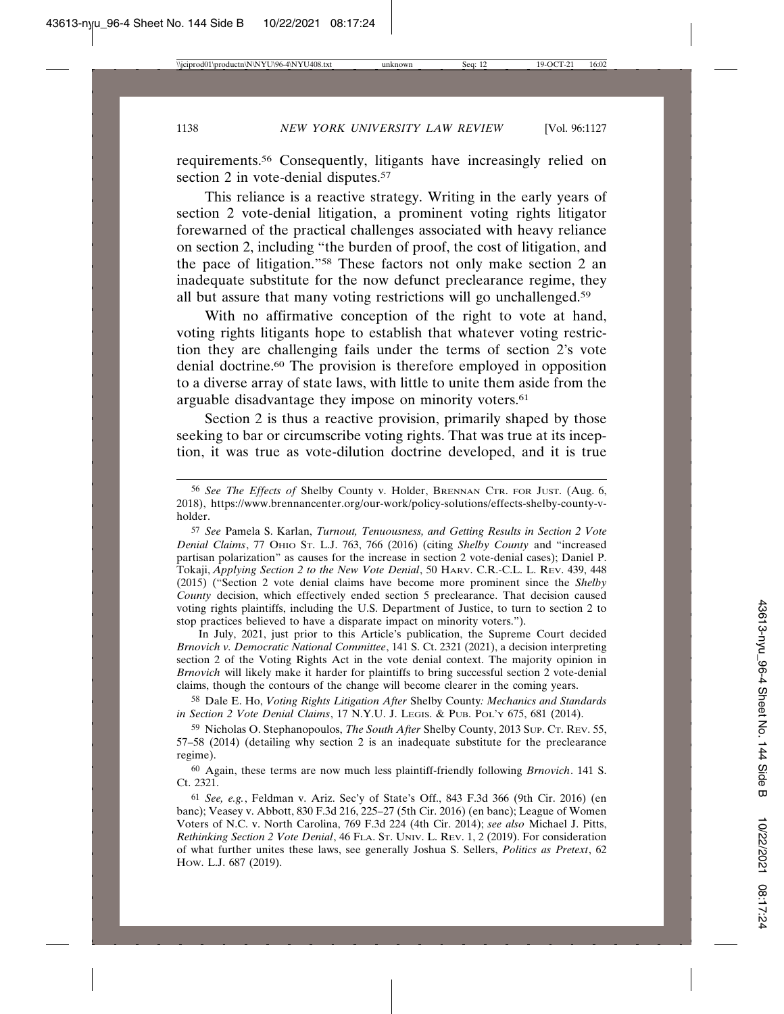requirements.56 Consequently, litigants have increasingly relied on section 2 in vote-denial disputes.<sup>57</sup>

This reliance is a reactive strategy. Writing in the early years of section 2 vote-denial litigation, a prominent voting rights litigator forewarned of the practical challenges associated with heavy reliance on section 2, including "the burden of proof, the cost of litigation, and the pace of litigation."58 These factors not only make section 2 an inadequate substitute for the now defunct preclearance regime, they all but assure that many voting restrictions will go unchallenged.59

With no affirmative conception of the right to vote at hand, voting rights litigants hope to establish that whatever voting restriction they are challenging fails under the terms of section 2's vote denial doctrine.60 The provision is therefore employed in opposition to a diverse array of state laws, with little to unite them aside from the arguable disadvantage they impose on minority voters.<sup>61</sup>

Section 2 is thus a reactive provision, primarily shaped by those seeking to bar or circumscribe voting rights. That was true at its inception, it was true as vote-dilution doctrine developed, and it is true

In July, 2021, just prior to this Article's publication, the Supreme Court decided *Brnovich v. Democratic National Committee*, 141 S. Ct. 2321 (2021), a decision interpreting section 2 of the Voting Rights Act in the vote denial context. The majority opinion in *Brnovich* will likely make it harder for plaintiffs to bring successful section 2 vote-denial claims, though the contours of the change will become clearer in the coming years.

58 Dale E. Ho, *Voting Rights Litigation After* Shelby County*: Mechanics and Standards in Section 2 Vote Denial Claims*, 17 N.Y.U. J. LEGIS. & PUB. POL'Y 675, 681 (2014).

59 Nicholas O. Stephanopoulos, *The South After* Shelby County, 2013 SUP. CT. REV. 55, 57–58 (2014) (detailing why section 2 is an inadequate substitute for the preclearance regime).

60 Again, these terms are now much less plaintiff-friendly following *Brnovich*. 141 S. Ct. 2321.

61 *See, e.g.*, Feldman v. Ariz. Sec'y of State's Off., 843 F.3d 366 (9th Cir. 2016) (en banc); Veasey v. Abbott, 830 F.3d 216, 225–27 (5th Cir. 2016) (en banc); League of Women Voters of N.C. v. North Carolina, 769 F.3d 224 (4th Cir. 2014); *see also* Michael J. Pitts, *Rethinking Section 2 Vote Denial*, 46 FLA. ST. UNIV. L. REV. 1, 2 (2019). For consideration of what further unites these laws, see generally Joshua S. Sellers, *Politics as Pretext*, 62 HOW. L.J. 687 (2019).

<sup>56</sup> *See The Effects of* Shelby County v. Holder, BRENNAN CTR. FOR JUST. (Aug. 6, 2018), https://www.brennancenter.org/our-work/policy-solutions/effects-shelby-county-vholder.

<sup>57</sup> *See* Pamela S. Karlan, *Turnout, Tenuousness, and Getting Results in Section 2 Vote Denial Claims*, 77 OHIO ST. L.J. 763, 766 (2016) (citing *Shelby County* and "increased partisan polarization" as causes for the increase in section 2 vote-denial cases); Daniel P. Tokaji, *Applying Section 2 to the New Vote Denial*, 50 HARV. C.R.-C.L. L. REV. 439, 448 (2015) ("Section 2 vote denial claims have become more prominent since the *Shelby County* decision, which effectively ended section 5 preclearance. That decision caused voting rights plaintiffs, including the U.S. Department of Justice, to turn to section 2 to stop practices believed to have a disparate impact on minority voters.").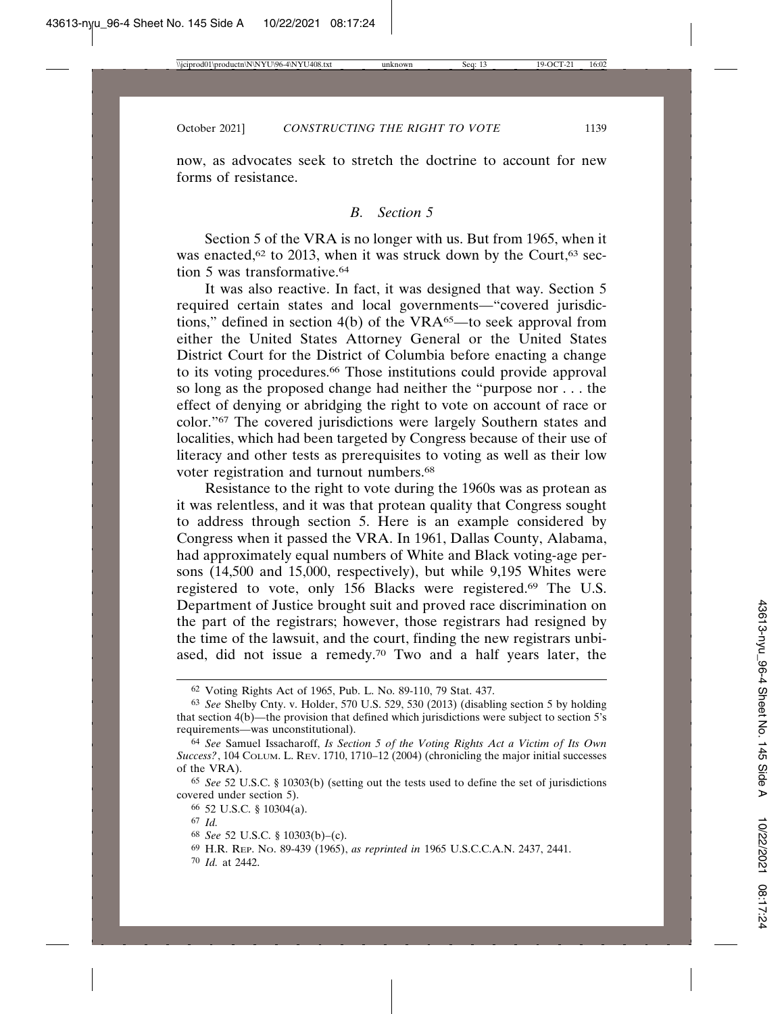now, as advocates seek to stretch the doctrine to account for new forms of resistance.

## *B. Section 5*

Section 5 of the VRA is no longer with us. But from 1965, when it was enacted, $62$  to 2013, when it was struck down by the Court, $63$  section 5 was transformative.64

It was also reactive. In fact, it was designed that way. Section 5 required certain states and local governments—"covered jurisdictions," defined in section 4(b) of the VRA65—to seek approval from either the United States Attorney General or the United States District Court for the District of Columbia before enacting a change to its voting procedures.66 Those institutions could provide approval so long as the proposed change had neither the "purpose nor . . . the effect of denying or abridging the right to vote on account of race or color."67 The covered jurisdictions were largely Southern states and localities, which had been targeted by Congress because of their use of literacy and other tests as prerequisites to voting as well as their low voter registration and turnout numbers.<sup>68</sup>

Resistance to the right to vote during the 1960s was as protean as it was relentless, and it was that protean quality that Congress sought to address through section 5. Here is an example considered by Congress when it passed the VRA. In 1961, Dallas County, Alabama, had approximately equal numbers of White and Black voting-age persons (14,500 and 15,000, respectively), but while 9,195 Whites were registered to vote, only 156 Blacks were registered.69 The U.S. Department of Justice brought suit and proved race discrimination on the part of the registrars; however, those registrars had resigned by the time of the lawsuit, and the court, finding the new registrars unbiased, did not issue a remedy.70 Two and a half years later, the

<sup>62</sup> Voting Rights Act of 1965, Pub. L. No. 89-110, 79 Stat. 437.

<sup>63</sup> *See* Shelby Cnty. v. Holder, 570 U.S. 529, 530 (2013) (disabling section 5 by holding that section 4(b)—the provision that defined which jurisdictions were subject to section 5's requirements—was unconstitutional).

<sup>64</sup> *See* Samuel Issacharoff, *Is Section 5 of the Voting Rights Act a Victim of Its Own Success?*, 104 COLUM. L. REV. 1710, 1710–12 (2004) (chronicling the major initial successes of the VRA).

<sup>65</sup> *See* 52 U.S.C. § 10303(b) (setting out the tests used to define the set of jurisdictions covered under section 5).

<sup>66</sup> 52 U.S.C. § 10304(a).

<sup>67</sup> *Id.*

<sup>68</sup> *See* 52 U.S.C. § 10303(b)–(c).

<sup>69</sup> H.R. REP. NO. 89-439 (1965), *as reprinted in* 1965 U.S.C.C.A.N. 2437, 2441.

<sup>70</sup> *Id.* at 2442.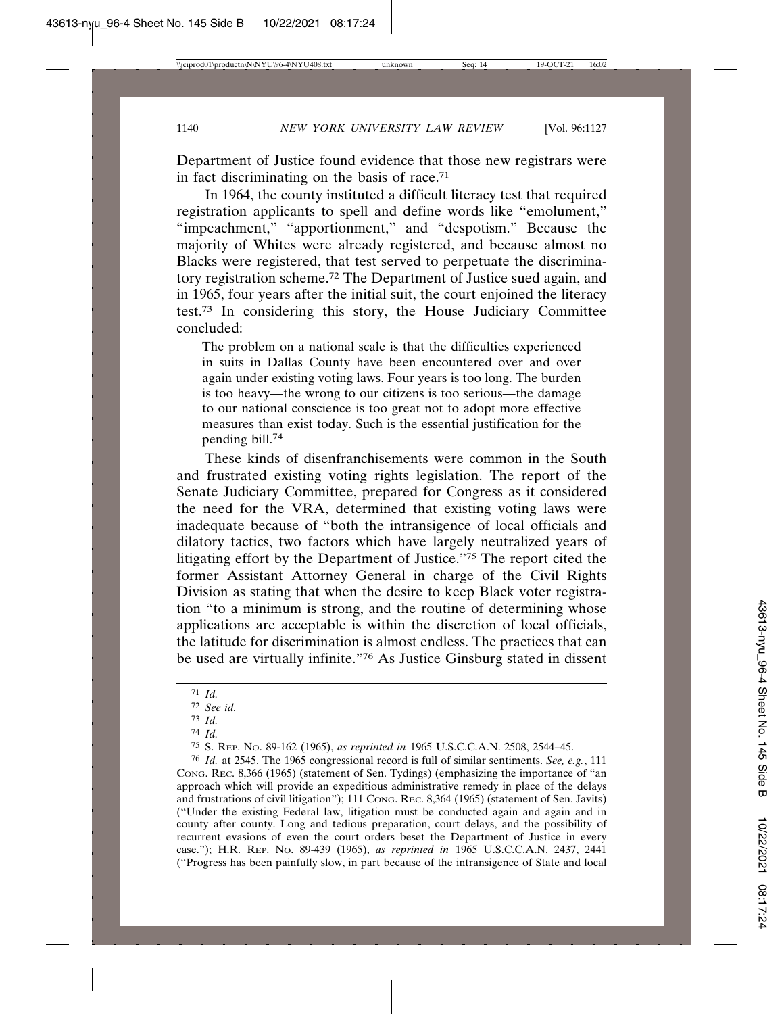Department of Justice found evidence that those new registrars were in fact discriminating on the basis of race.71

In 1964, the county instituted a difficult literacy test that required registration applicants to spell and define words like "emolument," "impeachment," "apportionment," and "despotism." Because the majority of Whites were already registered, and because almost no Blacks were registered, that test served to perpetuate the discriminatory registration scheme.72 The Department of Justice sued again, and in 1965, four years after the initial suit, the court enjoined the literacy test.73 In considering this story, the House Judiciary Committee concluded:

The problem on a national scale is that the difficulties experienced in suits in Dallas County have been encountered over and over again under existing voting laws. Four years is too long. The burden is too heavy—the wrong to our citizens is too serious—the damage to our national conscience is too great not to adopt more effective measures than exist today. Such is the essential justification for the pending bill.74

These kinds of disenfranchisements were common in the South and frustrated existing voting rights legislation. The report of the Senate Judiciary Committee, prepared for Congress as it considered the need for the VRA, determined that existing voting laws were inadequate because of "both the intransigence of local officials and dilatory tactics, two factors which have largely neutralized years of litigating effort by the Department of Justice."75 The report cited the former Assistant Attorney General in charge of the Civil Rights Division as stating that when the desire to keep Black voter registration "to a minimum is strong, and the routine of determining whose applications are acceptable is within the discretion of local officials, the latitude for discrimination is almost endless. The practices that can be used are virtually infinite."76 As Justice Ginsburg stated in dissent

76 *Id.* at 2545. The 1965 congressional record is full of similar sentiments. *See, e.g.*, 111 CONG. REC. 8,366 (1965) (statement of Sen. Tydings) (emphasizing the importance of "an approach which will provide an expeditious administrative remedy in place of the delays and frustrations of civil litigation"); 111 CONG. REC. 8,364 (1965) (statement of Sen. Javits) ("Under the existing Federal law, litigation must be conducted again and again and in county after county. Long and tedious preparation, court delays, and the possibility of recurrent evasions of even the court orders beset the Department of Justice in every case."); H.R. REP. NO. 89-439 (1965), *as reprinted in* 1965 U.S.C.C.A.N. 2437, 2441 ("Progress has been painfully slow, in part because of the intransigence of State and local

<sup>71</sup> *Id.*

<sup>72</sup> *See id.*

<sup>73</sup> *Id.*

<sup>74</sup> *Id.*

<sup>75</sup> S. REP. NO. 89-162 (1965), *as reprinted in* 1965 U.S.C.C.A.N. 2508, 2544–45.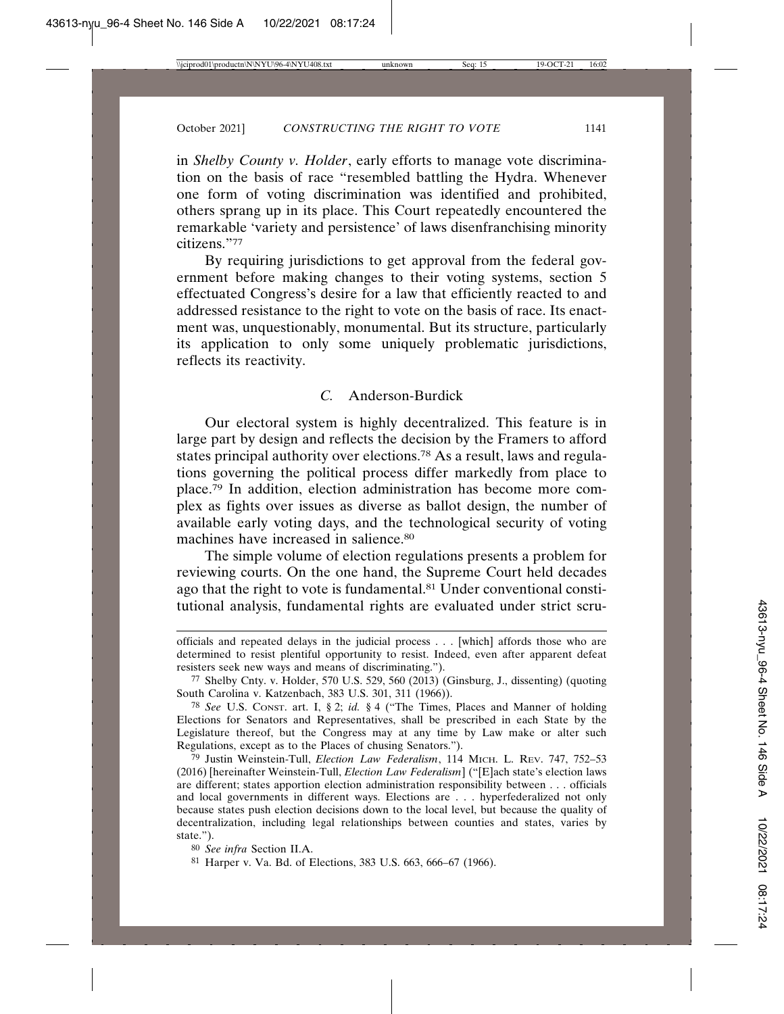in *Shelby County v. Holder*, early efforts to manage vote discrimination on the basis of race "resembled battling the Hydra. Whenever one form of voting discrimination was identified and prohibited, others sprang up in its place. This Court repeatedly encountered the remarkable 'variety and persistence' of laws disenfranchising minority citizens."77

By requiring jurisdictions to get approval from the federal government before making changes to their voting systems, section 5 effectuated Congress's desire for a law that efficiently reacted to and addressed resistance to the right to vote on the basis of race. Its enactment was, unquestionably, monumental. But its structure, particularly its application to only some uniquely problematic jurisdictions, reflects its reactivity.

## *C.* Anderson-Burdick

Our electoral system is highly decentralized. This feature is in large part by design and reflects the decision by the Framers to afford states principal authority over elections.78 As a result, laws and regulations governing the political process differ markedly from place to place.79 In addition, election administration has become more complex as fights over issues as diverse as ballot design, the number of available early voting days, and the technological security of voting machines have increased in salience.<sup>80</sup>

The simple volume of election regulations presents a problem for reviewing courts. On the one hand, the Supreme Court held decades ago that the right to vote is fundamental.81 Under conventional constitutional analysis, fundamental rights are evaluated under strict scru-

officials and repeated delays in the judicial process . . . [which] affords those who are determined to resist plentiful opportunity to resist. Indeed, even after apparent defeat resisters seek new ways and means of discriminating.").

<sup>77</sup> Shelby Cnty. v. Holder, 570 U.S. 529, 560 (2013) (Ginsburg, J., dissenting) (quoting South Carolina v. Katzenbach, 383 U.S. 301, 311 (1966)).

<sup>78</sup> *See* U.S. CONST. art. I, § 2; *id.* § 4 ("The Times, Places and Manner of holding Elections for Senators and Representatives, shall be prescribed in each State by the Legislature thereof, but the Congress may at any time by Law make or alter such Regulations, except as to the Places of chusing Senators.").

<sup>79</sup> Justin Weinstein-Tull, *Election Law Federalism*, 114 MICH. L. REV. 747, 752–53 (2016) [hereinafter Weinstein-Tull, *Election Law Federalism*] ("[E]ach state's election laws are different; states apportion election administration responsibility between . . . officials and local governments in different ways. Elections are . . . hyperfederalized not only because states push election decisions down to the local level, but because the quality of decentralization, including legal relationships between counties and states, varies by state.").

<sup>80</sup> *See infra* Section II.A.

<sup>81</sup> Harper v. Va. Bd. of Elections, 383 U.S. 663, 666–67 (1966).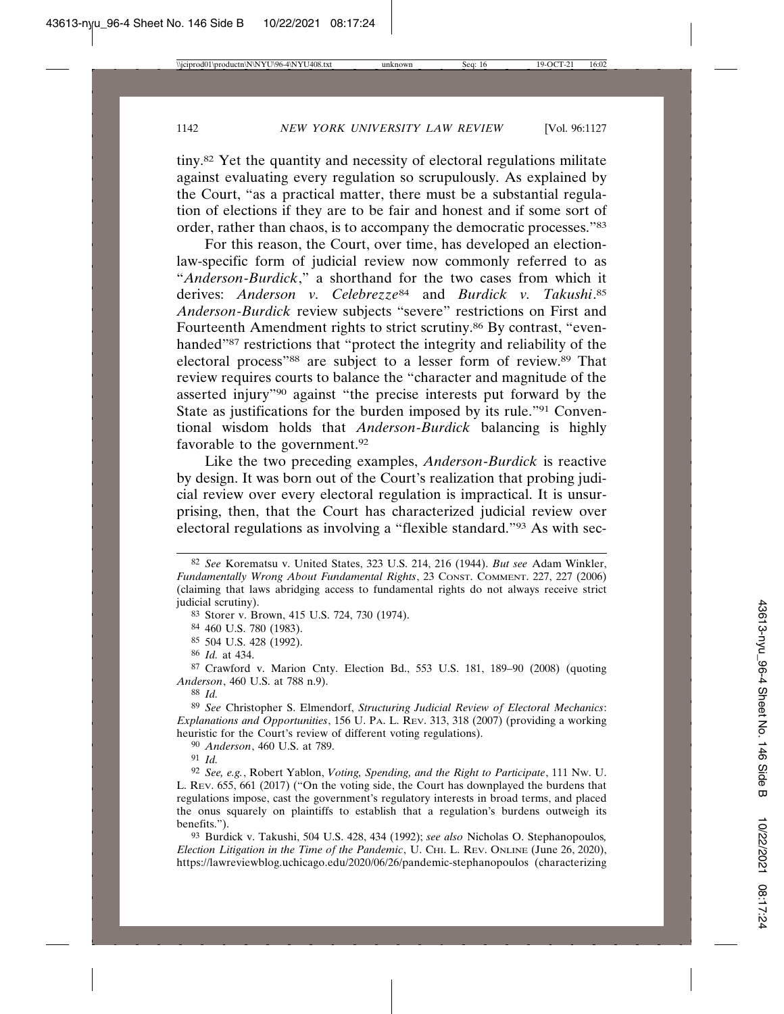tiny.82 Yet the quantity and necessity of electoral regulations militate against evaluating every regulation so scrupulously. As explained by the Court, "as a practical matter, there must be a substantial regulation of elections if they are to be fair and honest and if some sort of order, rather than chaos, is to accompany the democratic processes."83

For this reason, the Court, over time, has developed an electionlaw-specific form of judicial review now commonly referred to as "*Anderson*-*Burdick*," a shorthand for the two cases from which it derives: *Anderson v. Celebrezze*84 and *Burdick v. Takushi*. 85 *Anderson*-*Burdick* review subjects "severe" restrictions on First and Fourteenth Amendment rights to strict scrutiny.86 By contrast, "evenhanded"87 restrictions that "protect the integrity and reliability of the electoral process"88 are subject to a lesser form of review.89 That review requires courts to balance the "character and magnitude of the asserted injury"90 against "the precise interests put forward by the State as justifications for the burden imposed by its rule."91 Conventional wisdom holds that *Anderson*-*Burdick* balancing is highly favorable to the government.92

Like the two preceding examples, *Anderson*-*Burdick* is reactive by design. It was born out of the Court's realization that probing judicial review over every electoral regulation is impractical. It is unsurprising, then, that the Court has characterized judicial review over electoral regulations as involving a "flexible standard."93 As with sec-

87 Crawford v. Marion Cnty. Election Bd., 553 U.S. 181, 189–90 (2008) (quoting *Anderson*, 460 U.S. at 788 n.9).

88 *Id.*

89 *See* Christopher S. Elmendorf, *Structuring Judicial Review of Electoral Mechanics*: *Explanations and Opportunities*, 156 U. PA. L. REV. 313, 318 (2007) (providing a working heuristic for the Court's review of different voting regulations).

90 *Anderson*, 460 U.S. at 789.

91 *Id.*

<sup>82</sup> *See* Korematsu v. United States, 323 U.S. 214, 216 (1944). *But see* Adam Winkler, *Fundamentally Wrong About Fundamental Rights*, 23 CONST. COMMENT. 227, 227 (2006) (claiming that laws abridging access to fundamental rights do not always receive strict judicial scrutiny).

<sup>83</sup> Storer v. Brown, 415 U.S. 724, 730 (1974).

<sup>84</sup> 460 U.S. 780 (1983).

<sup>85</sup> 504 U.S. 428 (1992).

<sup>86</sup> *Id.* at 434.

<sup>92</sup> *See, e.g.*, Robert Yablon, *Voting, Spending, and the Right to Participate*, 111 NW. U. L. REV. 655, 661 (2017) ("On the voting side, the Court has downplayed the burdens that regulations impose, cast the government's regulatory interests in broad terms, and placed the onus squarely on plaintiffs to establish that a regulation's burdens outweigh its benefits.").

<sup>93</sup> Burdick v. Takushi, 504 U.S. 428, 434 (1992); *see also* Nicholas O. Stephanopoulos*, Election Litigation in the Time of the Pandemic*, U. CHI. L. REV. ONLINE (June 26, 2020), https://lawreviewblog.uchicago.edu/2020/06/26/pandemic-stephanopoulos (characterizing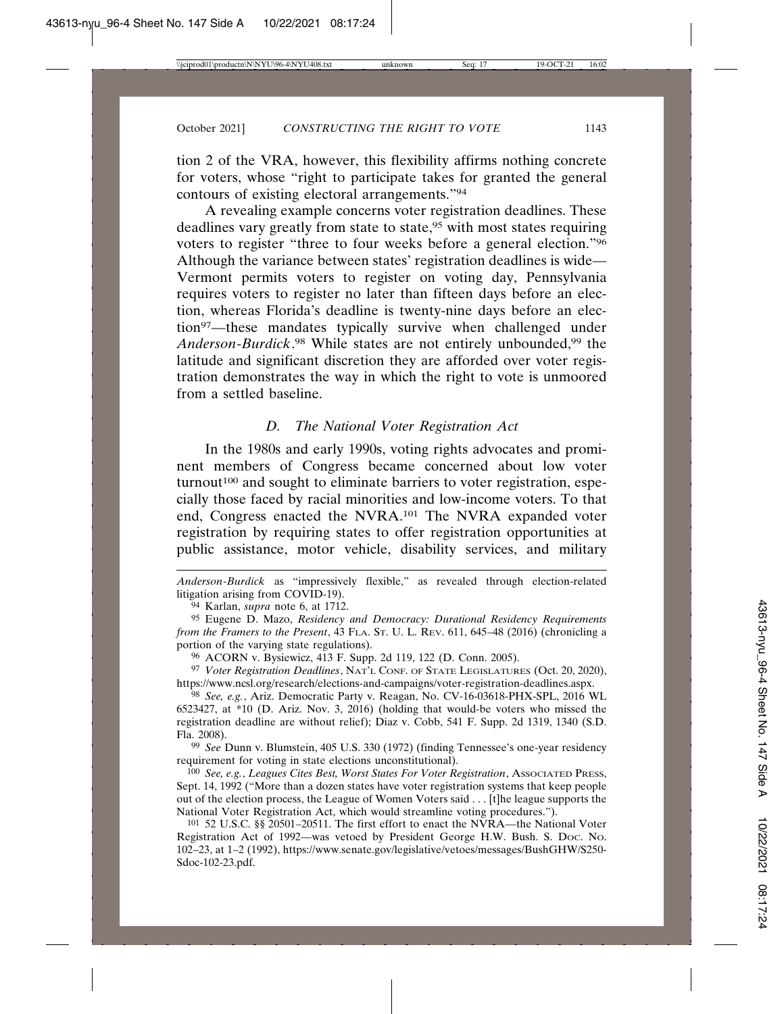tion 2 of the VRA, however, this flexibility affirms nothing concrete for voters, whose "right to participate takes for granted the general contours of existing electoral arrangements."94

A revealing example concerns voter registration deadlines. These deadlines vary greatly from state to state,95 with most states requiring voters to register "three to four weeks before a general election."96 Although the variance between states' registration deadlines is wide— Vermont permits voters to register on voting day, Pennsylvania requires voters to register no later than fifteen days before an election, whereas Florida's deadline is twenty-nine days before an election97—these mandates typically survive when challenged under *Anderson*-*Burdick*. 98 While states are not entirely unbounded,99 the latitude and significant discretion they are afforded over voter registration demonstrates the way in which the right to vote is unmoored from a settled baseline.

## *D. The National Voter Registration Act*

In the 1980s and early 1990s, voting rights advocates and prominent members of Congress became concerned about low voter turnout<sup>100</sup> and sought to eliminate barriers to voter registration, especially those faced by racial minorities and low-income voters. To that end, Congress enacted the NVRA.101 The NVRA expanded voter registration by requiring states to offer registration opportunities at public assistance, motor vehicle, disability services, and military

*Anderson*-*Burdick* as "impressively flexible," as revealed through election-related litigation arising from COVID-19).

94 Karlan, *supra* note 6, at 1712.

96 ACORN v. Bysiewicz, 413 F. Supp. 2d 119, 122 (D. Conn. 2005).

97 *Voter Registration Deadlines*, NAT'L CONF. OF STATE LEGISLATURES (Oct. 20, 2020), https://www.ncsl.org/research/elections-and-campaigns/voter-registration-deadlines.aspx.

98 *See, e.g.*, Ariz. Democratic Party v. Reagan, No. CV-16-03618-PHX-SPL, 2016 WL 6523427, at \*10 (D. Ariz. Nov. 3, 2016) (holding that would-be voters who missed the registration deadline are without relief); Diaz v. Cobb, 541 F. Supp. 2d 1319, 1340 (S.D. Fla. 2008).

99 *See* Dunn v. Blumstein, 405 U.S. 330 (1972) (finding Tennessee's one-year residency requirement for voting in state elections unconstitutional).

100 *See, e.g.*, *Leagues Cites Best, Worst States For Voter Registration*, ASSOCIATED PRESS, Sept. 14, 1992 ("More than a dozen states have voter registration systems that keep people out of the election process, the League of Women Voters said . . . [t]he league supports the National Voter Registration Act, which would streamline voting procedures.").

101 52 U.S.C. §§ 20501–20511. The first effort to enact the NVRA—the National Voter Registration Act of 1992—was vetoed by President George H.W. Bush. S. DOC. NO. 102–23, at 1–2 (1992), https://www.senate.gov/legislative/vetoes/messages/BushGHW/S250- Sdoc-102-23.pdf.

<sup>95</sup> Eugene D. Mazo, *Residency and Democracy: Durational Residency Requirements from the Framers to the Present*, 43 FLA. ST. U. L. REV. 611, 645–48 (2016) (chronicling a portion of the varying state regulations).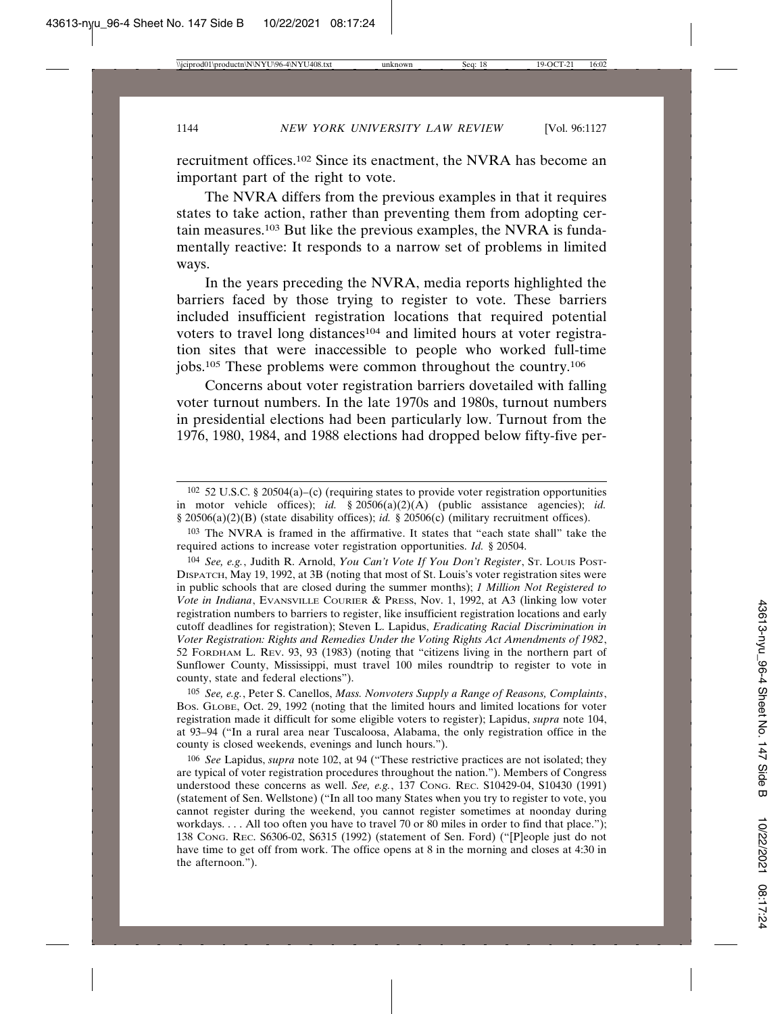recruitment offices.102 Since its enactment, the NVRA has become an important part of the right to vote.

The NVRA differs from the previous examples in that it requires states to take action, rather than preventing them from adopting certain measures.103 But like the previous examples, the NVRA is fundamentally reactive: It responds to a narrow set of problems in limited ways.

In the years preceding the NVRA, media reports highlighted the barriers faced by those trying to register to vote. These barriers included insufficient registration locations that required potential voters to travel long distances<sup>104</sup> and limited hours at voter registration sites that were inaccessible to people who worked full-time jobs.105 These problems were common throughout the country.106

Concerns about voter registration barriers dovetailed with falling voter turnout numbers. In the late 1970s and 1980s, turnout numbers in presidential elections had been particularly low. Turnout from the 1976, 1980, 1984, and 1988 elections had dropped below fifty-five per-

105 *See, e.g.*, Peter S. Canellos, *Mass. Nonvoters Supply a Range of Reasons, Complaints*, BOS. GLOBE, Oct. 29, 1992 (noting that the limited hours and limited locations for voter registration made it difficult for some eligible voters to register); Lapidus, *supra* note 104, at 93–94 ("In a rural area near Tuscaloosa, Alabama, the only registration office in the county is closed weekends, evenings and lunch hours.").

106 *See* Lapidus, *supra* note 102, at 94 ("These restrictive practices are not isolated; they are typical of voter registration procedures throughout the nation."). Members of Congress understood these concerns as well. *See, e.g.*, 137 CONG. REC. S10429-04, S10430 (1991) (statement of Sen. Wellstone) ("In all too many States when you try to register to vote, you cannot register during the weekend, you cannot register sometimes at noonday during workdays. . . . All too often you have to travel 70 or 80 miles in order to find that place."); 138 CONG. REC. S6306-02, S6315 (1992) (statement of Sen. Ford) ("[P]eople just do not have time to get off from work. The office opens at 8 in the morning and closes at 4:30 in the afternoon.").

 $102$  52 U.S.C. § 20504(a)–(c) (requiring states to provide voter registration opportunities in motor vehicle offices); *id.* § 20506(a)(2)(A) (public assistance agencies); *id.* § 20506(a)(2)(B) (state disability offices); *id.* § 20506(c) (military recruitment offices).

<sup>103</sup> The NVRA is framed in the affirmative. It states that "each state shall" take the required actions to increase voter registration opportunities. *Id.* § 20504.

<sup>104</sup> *See, e.g.*, Judith R. Arnold, *You Can't Vote If You Don't Register*, ST. LOUIS POST-DISPATCH, May 19, 1992, at 3B (noting that most of St. Louis's voter registration sites were in public schools that are closed during the summer months); *1 Million Not Registered to Vote in Indiana*, EVANSVILLE COURIER & PRESS, Nov. 1, 1992, at A3 (linking low voter registration numbers to barriers to register, like insufficient registration locations and early cutoff deadlines for registration); Steven L. Lapidus, *Eradicating Racial Discrimination in Voter Registration: Rights and Remedies Under the Voting Rights Act Amendments of 1982*, 52 FORDHAM L. REV. 93, 93 (1983) (noting that "citizens living in the northern part of Sunflower County, Mississippi, must travel 100 miles roundtrip to register to vote in county, state and federal elections").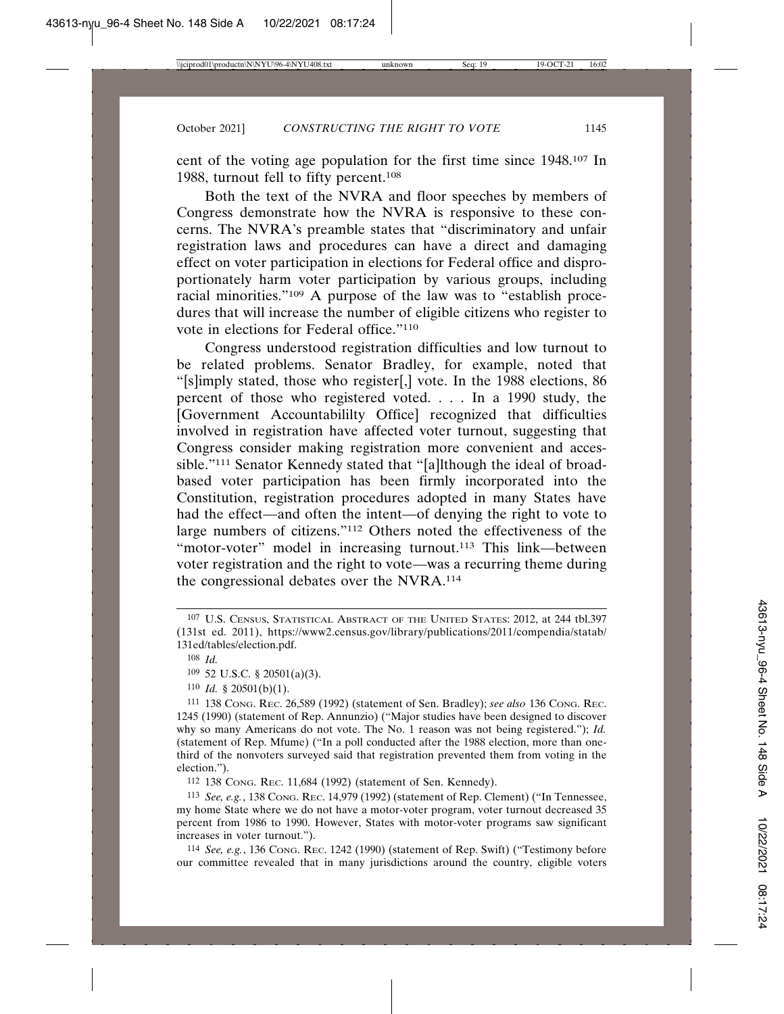cent of the voting age population for the first time since 1948.107 In 1988, turnout fell to fifty percent.<sup>108</sup>

Both the text of the NVRA and floor speeches by members of Congress demonstrate how the NVRA is responsive to these concerns. The NVRA's preamble states that "discriminatory and unfair registration laws and procedures can have a direct and damaging effect on voter participation in elections for Federal office and disproportionately harm voter participation by various groups, including racial minorities."109 A purpose of the law was to "establish procedures that will increase the number of eligible citizens who register to vote in elections for Federal office."110

Congress understood registration difficulties and low turnout to be related problems. Senator Bradley, for example, noted that "[s]imply stated, those who register[,] vote. In the 1988 elections, 86 percent of those who registered voted. . . . In a 1990 study, the [Government Accountabililty Office] recognized that difficulties involved in registration have affected voter turnout, suggesting that Congress consider making registration more convenient and accessible."111 Senator Kennedy stated that "[a]lthough the ideal of broadbased voter participation has been firmly incorporated into the Constitution, registration procedures adopted in many States have had the effect—and often the intent—of denying the right to vote to large numbers of citizens."112 Others noted the effectiveness of the "motor-voter" model in increasing turnout.<sup>113</sup> This link—between voter registration and the right to vote—was a recurring theme during the congressional debates over the NVRA.114

110 *Id.* § 20501(b)(1).

111 138 CONG. REC. 26,589 (1992) (statement of Sen. Bradley); *see also* 136 CONG. REC. 1245 (1990) (statement of Rep. Annunzio) ("Major studies have been designed to discover why so many Americans do not vote. The No. 1 reason was not being registered."); *Id.* (statement of Rep. Mfume) ("In a poll conducted after the 1988 election, more than onethird of the nonvoters surveyed said that registration prevented them from voting in the election.").

112 138 CONG. REC. 11,684 (1992) (statement of Sen. Kennedy).

113 *See, e.g.*, 138 CONG. REC. 14,979 (1992) (statement of Rep. Clement) ("In Tennessee, my home State where we do not have a motor-voter program, voter turnout decreased 35 percent from 1986 to 1990. However, States with motor-voter programs saw significant increases in voter turnout.").

114 *See, e.g.*, 136 CONG. REC. 1242 (1990) (statement of Rep. Swift) ("Testimony before our committee revealed that in many jurisdictions around the country, eligible voters

<sup>107</sup> U.S. CENSUS, STATISTICAL ABSTRACT OF THE UNITED STATES: 2012, at 244 tbl.397 (131st ed. 2011), https://www2.census.gov/library/publications/2011/compendia/statab/ 131ed/tables/election.pdf.

<sup>108</sup> *Id.*

<sup>109</sup> 52 U.S.C. § 20501(a)(3).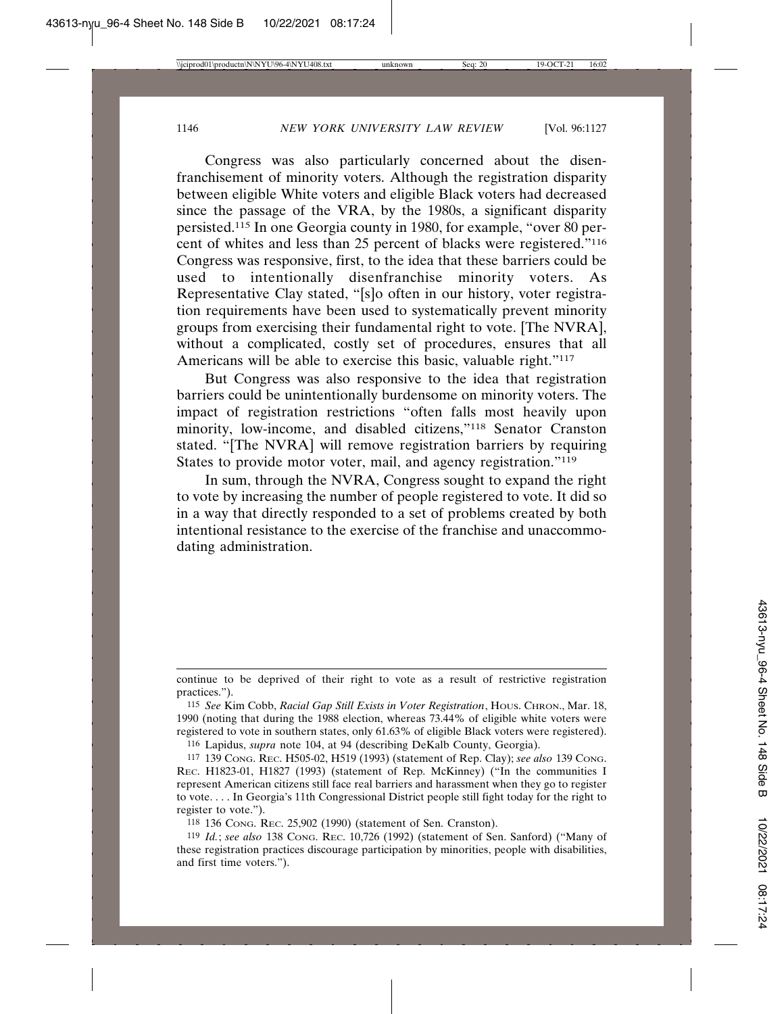Congress was also particularly concerned about the disenfranchisement of minority voters. Although the registration disparity between eligible White voters and eligible Black voters had decreased since the passage of the VRA, by the 1980s, a significant disparity persisted.115 In one Georgia county in 1980, for example, "over 80 percent of whites and less than 25 percent of blacks were registered."116 Congress was responsive, first, to the idea that these barriers could be used to intentionally disenfranchise minority voters. As Representative Clay stated, "[s]o often in our history, voter registration requirements have been used to systematically prevent minority groups from exercising their fundamental right to vote. [The NVRA], without a complicated, costly set of procedures, ensures that all Americans will be able to exercise this basic, valuable right."<sup>117</sup>

But Congress was also responsive to the idea that registration barriers could be unintentionally burdensome on minority voters. The impact of registration restrictions "often falls most heavily upon minority, low-income, and disabled citizens,"118 Senator Cranston stated. "[The NVRA] will remove registration barriers by requiring States to provide motor voter, mail, and agency registration."<sup>119</sup>

In sum, through the NVRA, Congress sought to expand the right to vote by increasing the number of people registered to vote. It did so in a way that directly responded to a set of problems created by both intentional resistance to the exercise of the franchise and unaccommodating administration.

116 Lapidus, *supra* note 104, at 94 (describing DeKalb County, Georgia).

continue to be deprived of their right to vote as a result of restrictive registration practices.").

<sup>115</sup> *See* Kim Cobb, *Racial Gap Still Exists in Voter Registration*, HOUS. CHRON., Mar. 18, 1990 (noting that during the 1988 election, whereas 73.44% of eligible white voters were registered to vote in southern states, only 61.63% of eligible Black voters were registered).

<sup>117</sup> 139 CONG. REC. H505-02, H519 (1993) (statement of Rep. Clay); *see also* 139 CONG. REC. H1823-01, H1827 (1993) (statement of Rep. McKinney) ("In the communities I represent American citizens still face real barriers and harassment when they go to register to vote. . . . In Georgia's 11th Congressional District people still fight today for the right to register to vote.").

<sup>118</sup> 136 CONG. REC. 25,902 (1990) (statement of Sen. Cranston).

<sup>119</sup> *Id.*; *see also* 138 CONG. REC. 10,726 (1992) (statement of Sen. Sanford) ("Many of these registration practices discourage participation by minorities, people with disabilities, and first time voters.").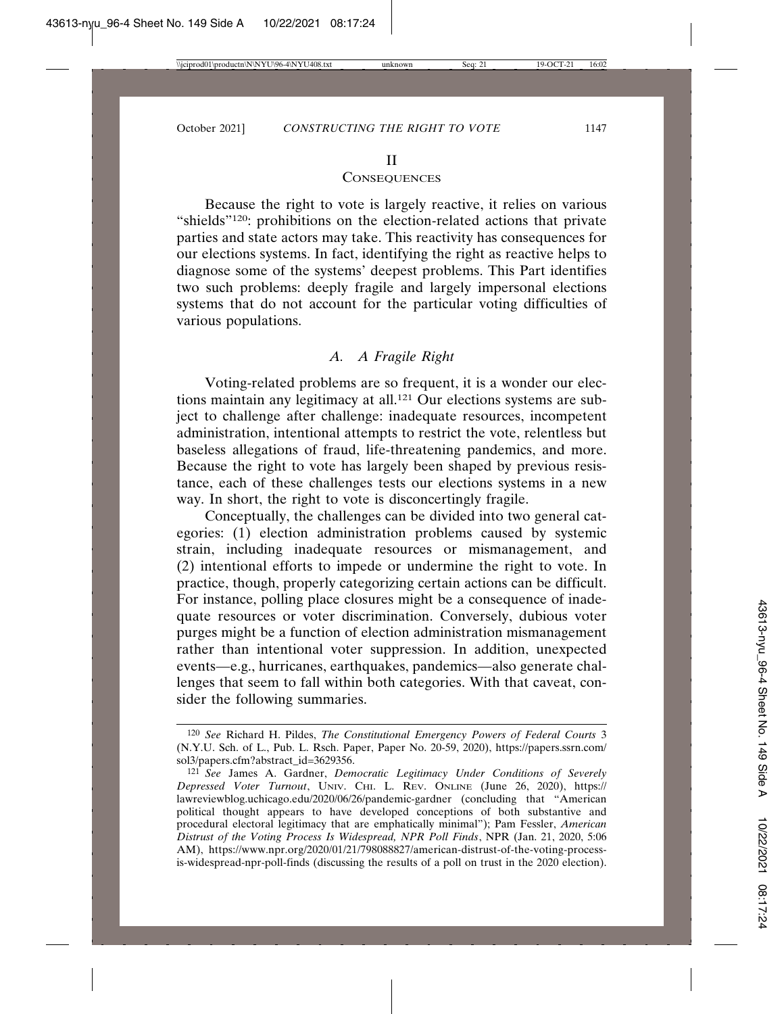#### II

#### **CONSEQUENCES**

Because the right to vote is largely reactive, it relies on various "shields"120: prohibitions on the election-related actions that private parties and state actors may take. This reactivity has consequences for our elections systems. In fact, identifying the right as reactive helps to diagnose some of the systems' deepest problems. This Part identifies two such problems: deeply fragile and largely impersonal elections systems that do not account for the particular voting difficulties of various populations.

# *A. A Fragile Right*

Voting-related problems are so frequent, it is a wonder our elections maintain any legitimacy at all.121 Our elections systems are subject to challenge after challenge: inadequate resources, incompetent administration, intentional attempts to restrict the vote, relentless but baseless allegations of fraud, life-threatening pandemics, and more. Because the right to vote has largely been shaped by previous resistance, each of these challenges tests our elections systems in a new way. In short, the right to vote is disconcertingly fragile.

Conceptually, the challenges can be divided into two general categories: (1) election administration problems caused by systemic strain, including inadequate resources or mismanagement, and (2) intentional efforts to impede or undermine the right to vote. In practice, though, properly categorizing certain actions can be difficult. For instance, polling place closures might be a consequence of inadequate resources or voter discrimination. Conversely, dubious voter purges might be a function of election administration mismanagement rather than intentional voter suppression. In addition, unexpected events—e.g., hurricanes, earthquakes, pandemics—also generate challenges that seem to fall within both categories. With that caveat, consider the following summaries.

<sup>120</sup> *See* Richard H. Pildes, *The Constitutional Emergency Powers of Federal Courts* 3 (N.Y.U. Sch. of L., Pub. L. Rsch. Paper, Paper No. 20-59, 2020), https://papers.ssrn.com/ sol3/papers.cfm?abstract\_id=3629356.

<sup>121</sup> *See* James A. Gardner, *Democratic Legitimacy Under Conditions of Severely Depressed Voter Turnout*, UNIV. CHI. L. REV. ONLINE (June 26, 2020), https:// lawreviewblog.uchicago.edu/2020/06/26/pandemic-gardner (concluding that "American political thought appears to have developed conceptions of both substantive and procedural electoral legitimacy that are emphatically minimal"); Pam Fessler, *American Distrust of the Voting Process Is Widespread, NPR Poll Finds*, NPR (Jan. 21, 2020, 5:06 AM), https://www.npr.org/2020/01/21/798088827/american-distrust-of-the-voting-processis-widespread-npr-poll-finds (discussing the results of a poll on trust in the 2020 election).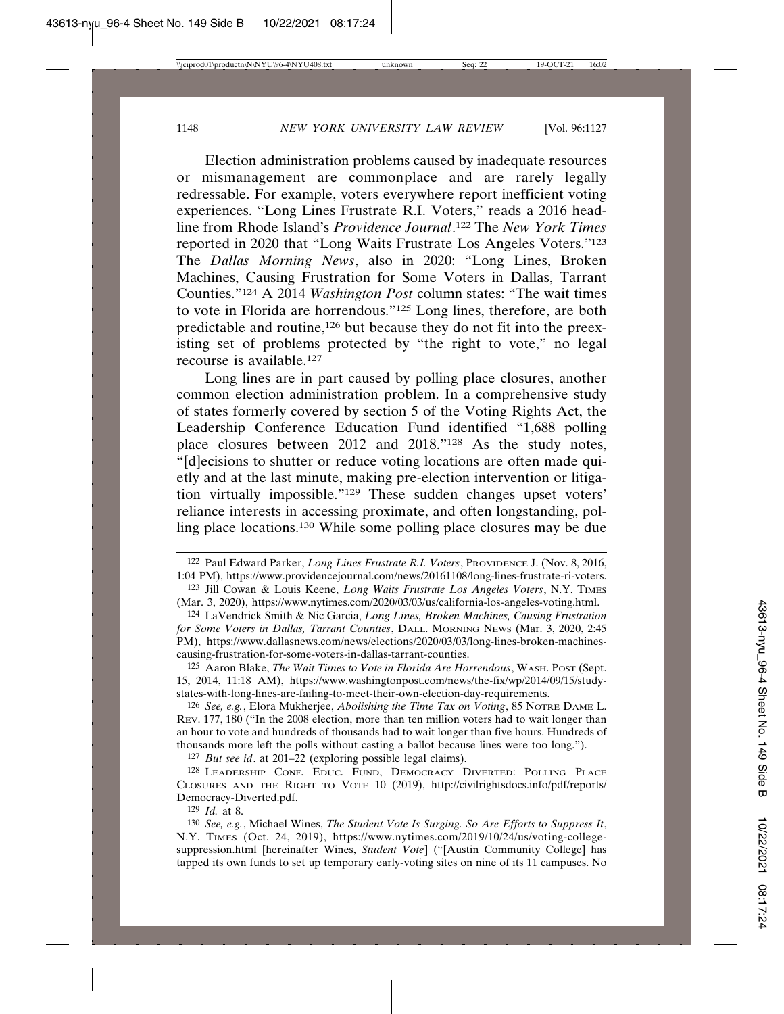Election administration problems caused by inadequate resources or mismanagement are commonplace and are rarely legally redressable. For example, voters everywhere report inefficient voting experiences. "Long Lines Frustrate R.I. Voters," reads a 2016 headline from Rhode Island's *Providence Journal*. 122 The *New York Times* reported in 2020 that "Long Waits Frustrate Los Angeles Voters."123 The *Dallas Morning News*, also in 2020: "Long Lines, Broken Machines, Causing Frustration for Some Voters in Dallas, Tarrant Counties."124 A 2014 *Washington Post* column states: "The wait times to vote in Florida are horrendous."125 Long lines, therefore, are both predictable and routine,126 but because they do not fit into the preexisting set of problems protected by "the right to vote," no legal recourse is available.127

Long lines are in part caused by polling place closures, another common election administration problem. In a comprehensive study of states formerly covered by section 5 of the Voting Rights Act, the Leadership Conference Education Fund identified "1,688 polling place closures between 2012 and 2018."128 As the study notes, "[d]ecisions to shutter or reduce voting locations are often made quietly and at the last minute, making pre-election intervention or litigation virtually impossible."129 These sudden changes upset voters' reliance interests in accessing proximate, and often longstanding, polling place locations.130 While some polling place closures may be due

127 *But see id*. at 201–22 (exploring possible legal claims).

128 LEADERSHIP CONF. EDUC. FUND, DEMOCRACY DIVERTED: POLLING PLACE CLOSURES AND THE RIGHT TO VOTE 10 (2019), http://civilrightsdocs.info/pdf/reports/ Democracy-Diverted.pdf.

129 *Id.* at 8.

<sup>122</sup> Paul Edward Parker, *Long Lines Frustrate R.I. Voters*, PROVIDENCE J. (Nov. 8, 2016, 1:04 PM), https://www.providencejournal.com/news/20161108/long-lines-frustrate-ri-voters.

<sup>123</sup> Jill Cowan & Louis Keene, *Long Waits Frustrate Los Angeles Voters*, N.Y. TIMES (Mar. 3, 2020), https://www.nytimes.com/2020/03/03/us/california-los-angeles-voting.html.

<sup>124</sup> LaVendrick Smith & Nic Garcia, *Long Lines, Broken Machines, Causing Frustration for Some Voters in Dallas, Tarrant Counties*, DALL. MORNING NEWS (Mar. 3, 2020, 2:45 PM), https://www.dallasnews.com/news/elections/2020/03/03/long-lines-broken-machinescausing-frustration-for-some-voters-in-dallas-tarrant-counties.

<sup>125</sup> Aaron Blake, *The Wait Times to Vote in Florida Are Horrendous*, WASH. POST (Sept. 15, 2014, 11:18 AM), https://www.washingtonpost.com/news/the-fix/wp/2014/09/15/studystates-with-long-lines-are-failing-to-meet-their-own-election-day-requirements.

<sup>126</sup> *See, e.g.*, Elora Mukherjee, *Abolishing the Time Tax on Voting*, 85 NOTRE DAME L. REV. 177, 180 ("In the 2008 election, more than ten million voters had to wait longer than an hour to vote and hundreds of thousands had to wait longer than five hours. Hundreds of thousands more left the polls without casting a ballot because lines were too long.").

<sup>130</sup> *See, e.g.*, Michael Wines, *The Student Vote Is Surging. So Are Efforts to Suppress It*, N.Y. TIMES (Oct. 24, 2019), https://www.nytimes.com/2019/10/24/us/voting-collegesuppression.html [hereinafter Wines, *Student Vote*] ("[Austin Community College] has tapped its own funds to set up temporary early-voting sites on nine of its 11 campuses. No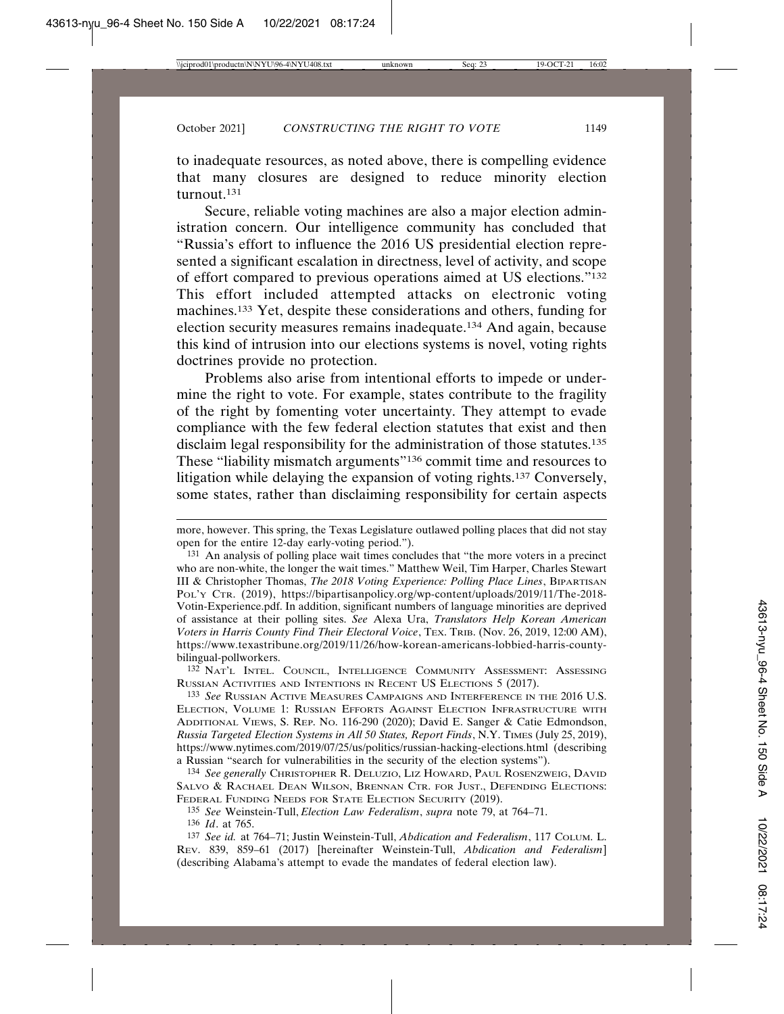to inadequate resources, as noted above, there is compelling evidence that many closures are designed to reduce minority election turnout.131

Secure, reliable voting machines are also a major election administration concern. Our intelligence community has concluded that "Russia's effort to influence the 2016 US presidential election represented a significant escalation in directness, level of activity, and scope of effort compared to previous operations aimed at US elections."132 This effort included attempted attacks on electronic voting machines.133 Yet, despite these considerations and others, funding for election security measures remains inadequate.134 And again, because this kind of intrusion into our elections systems is novel, voting rights doctrines provide no protection.

Problems also arise from intentional efforts to impede or undermine the right to vote. For example, states contribute to the fragility of the right by fomenting voter uncertainty. They attempt to evade compliance with the few federal election statutes that exist and then disclaim legal responsibility for the administration of those statutes.<sup>135</sup> These "liability mismatch arguments"136 commit time and resources to litigation while delaying the expansion of voting rights.137 Conversely, some states, rather than disclaiming responsibility for certain aspects

132 NAT'L INTEL. COUNCIL, INTELLIGENCE COMMUNITY ASSESSMENT: ASSESSING RUSSIAN ACTIVITIES AND INTENTIONS IN RECENT US ELECTIONS 5 (2017).

133 *See* RUSSIAN ACTIVE MEASURES CAMPAIGNS AND INTERFERENCE IN THE 2016 U.S. ELECTION, VOLUME 1: RUSSIAN EFFORTS AGAINST ELECTION INFRASTRUCTURE WITH ADDITIONAL VIEWS, S. REP. NO. 116-290 (2020); David E. Sanger & Catie Edmondson, *Russia Targeted Election Systems in All 50 States, Report Finds*, N.Y. TIMES (July 25, 2019), https://www.nytimes.com/2019/07/25/us/politics/russian-hacking-elections.html (describing a Russian "search for vulnerabilities in the security of the election systems").

134 *See generally* CHRISTOPHER R. DELUZIO, LIZ HOWARD, PAUL ROSENZWEIG, DAVID SALVO & RACHAEL DEAN WILSON, BRENNAN CTR. FOR JUST., DEFENDING ELECTIONS: FEDERAL FUNDING NEEDS FOR STATE ELECTION SECURITY (2019).

135 *See* Weinstein-Tull, *Election Law Federalism*, *supra* note 79, at 764–71. 136 *Id*. at 765.

137 *See id.* at 764–71; Justin Weinstein-Tull, *Abdication and Federalism*, 117 COLUM. L. REV. 839, 859–61 (2017) [hereinafter Weinstein-Tull, *Abdication and Federalism*] (describing Alabama's attempt to evade the mandates of federal election law).

more, however. This spring, the Texas Legislature outlawed polling places that did not stay open for the entire 12-day early-voting period.").

<sup>131</sup> An analysis of polling place wait times concludes that "the more voters in a precinct who are non-white, the longer the wait times." Matthew Weil, Tim Harper, Charles Stewart III & Christopher Thomas, *The 2018 Voting Experience: Polling Place Lines*, BIPARTISAN POL'Y CTR. (2019), https://bipartisanpolicy.org/wp-content/uploads/2019/11/The-2018- Votin-Experience.pdf. In addition, significant numbers of language minorities are deprived of assistance at their polling sites. *See* Alexa Ura, *Translators Help Korean American Voters in Harris County Find Their Electoral Voice*, TEX. TRIB. (Nov. 26, 2019, 12:00 AM), https://www.texastribune.org/2019/11/26/how-korean-americans-lobbied-harris-countybilingual-pollworkers.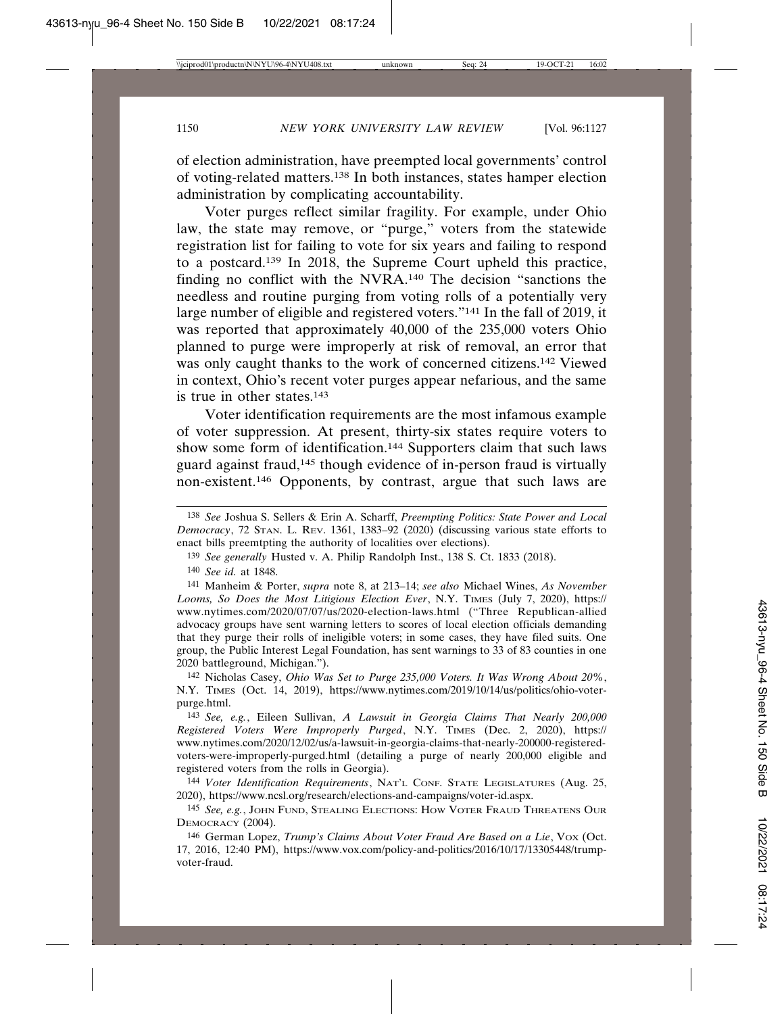of election administration, have preempted local governments' control of voting-related matters.138 In both instances, states hamper election administration by complicating accountability.

Voter purges reflect similar fragility. For example, under Ohio law, the state may remove, or "purge," voters from the statewide registration list for failing to vote for six years and failing to respond to a postcard.139 In 2018, the Supreme Court upheld this practice, finding no conflict with the NVRA.140 The decision "sanctions the needless and routine purging from voting rolls of a potentially very large number of eligible and registered voters."141 In the fall of 2019, it was reported that approximately 40,000 of the 235,000 voters Ohio planned to purge were improperly at risk of removal, an error that was only caught thanks to the work of concerned citizens.<sup>142</sup> Viewed in context, Ohio's recent voter purges appear nefarious, and the same is true in other states.143

Voter identification requirements are the most infamous example of voter suppression. At present, thirty-six states require voters to show some form of identification.144 Supporters claim that such laws guard against fraud,145 though evidence of in-person fraud is virtually non-existent.146 Opponents, by contrast, argue that such laws are

142 Nicholas Casey, *Ohio Was Set to Purge 235,000 Voters. It Was Wrong About 20%*, N.Y. TIMES (Oct. 14, 2019), https://www.nytimes.com/2019/10/14/us/politics/ohio-voterpurge.html.

143 *See, e.g.*, Eileen Sullivan, *A Lawsuit in Georgia Claims That Nearly 200,000 Registered Voters Were Improperly Purged*, N.Y. TIMES (Dec. 2, 2020), https:// www.nytimes.com/2020/12/02/us/a-lawsuit-in-georgia-claims-that-nearly-200000-registeredvoters-were-improperly-purged.html (detailing a purge of nearly 200,000 eligible and registered voters from the rolls in Georgia).

144 *Voter Identification Requirements*, NAT'L CONF. STATE LEGISLATURES (Aug. 25, 2020), https://www.ncsl.org/research/elections-and-campaigns/voter-id.aspx.

145 *See, e.g.*, JOHN FUND, STEALING ELECTIONS: HOW VOTER FRAUD THREATENS OUR DEMOCRACY (2004).

146 German Lopez, *Trump's Claims About Voter Fraud Are Based on a Lie*, Vox (Oct. 17, 2016, 12:40 PM), https://www.vox.com/policy-and-politics/2016/10/17/13305448/trumpvoter-fraud.

<sup>138</sup> *See* Joshua S. Sellers & Erin A. Scharff, *Preempting Politics: State Power and Local Democracy*, 72 STAN. L. REV. 1361, 1383–92 (2020) (discussing various state efforts to enact bills preemtpting the authority of localities over elections).

<sup>139</sup> *See generally* Husted v. A. Philip Randolph Inst., 138 S. Ct. 1833 (2018).

<sup>140</sup> *See id.* at 1848.

<sup>141</sup> Manheim & Porter, *supra* note 8, at 213–14; *see also* Michael Wines, *As November Looms, So Does the Most Litigious Election Ever*, N.Y. TIMES (July 7, 2020), https:// www.nytimes.com/2020/07/07/us/2020-election-laws.html ("Three Republican-allied advocacy groups have sent warning letters to scores of local election officials demanding that they purge their rolls of ineligible voters; in some cases, they have filed suits. One group, the Public Interest Legal Foundation, has sent warnings to 33 of 83 counties in one 2020 battleground, Michigan.").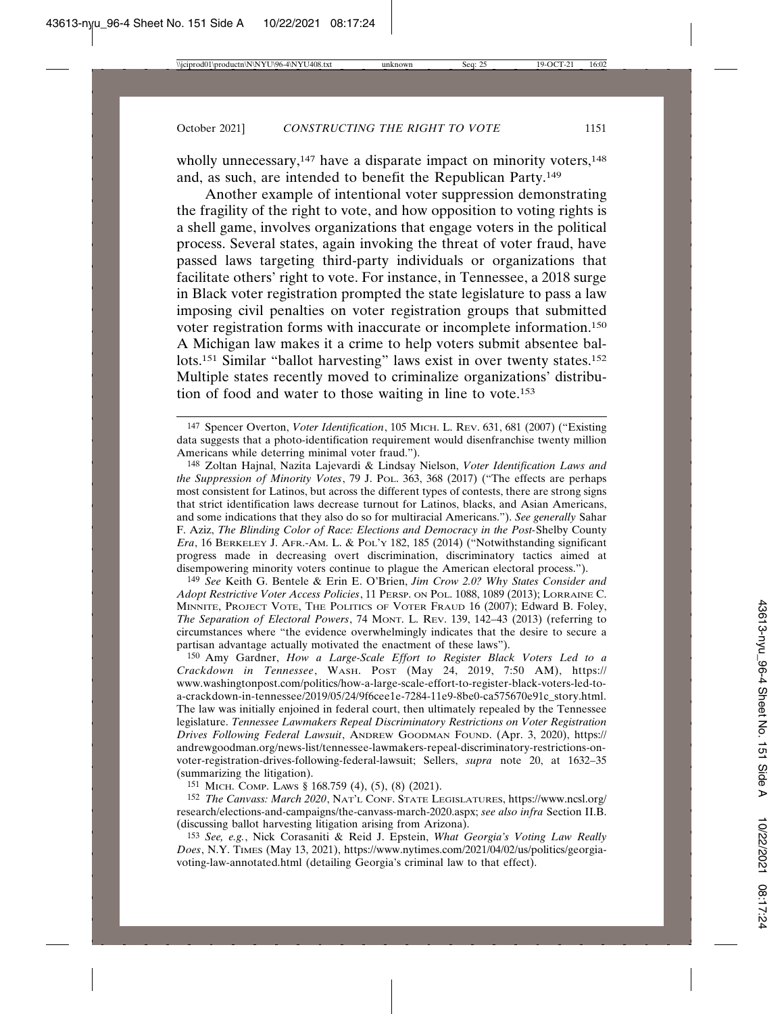wholly unnecessary,<sup>147</sup> have a disparate impact on minority voters,<sup>148</sup> and, as such, are intended to benefit the Republican Party.149

Another example of intentional voter suppression demonstrating the fragility of the right to vote, and how opposition to voting rights is a shell game, involves organizations that engage voters in the political process. Several states, again invoking the threat of voter fraud, have passed laws targeting third-party individuals or organizations that facilitate others' right to vote. For instance, in Tennessee, a 2018 surge in Black voter registration prompted the state legislature to pass a law imposing civil penalties on voter registration groups that submitted voter registration forms with inaccurate or incomplete information.150 A Michigan law makes it a crime to help voters submit absentee ballots.<sup>151</sup> Similar "ballot harvesting" laws exist in over twenty states.<sup>152</sup> Multiple states recently moved to criminalize organizations' distribution of food and water to those waiting in line to vote.153

149 *See* Keith G. Bentele & Erin E. O'Brien, *Jim Crow 2.0? Why States Consider and Adopt Restrictive Voter Access Policies*, 11 PERSP. ON POL. 1088, 1089 (2013); LORRAINE C. MINNITE, PROJECT VOTE, THE POLITICS OF VOTER FRAUD 16 (2007); Edward B. Foley, *The Separation of Electoral Powers*, 74 MONT. L. REV. 139, 142–43 (2013) (referring to circumstances where "the evidence overwhelmingly indicates that the desire to secure a partisan advantage actually motivated the enactment of these laws").

150 Amy Gardner, *How a Large-Scale Effort to Register Black Voters Led to a Crackdown in Tennessee*, WASH. POST (May 24, 2019, 7:50 AM), https:// www.washingtonpost.com/politics/how-a-large-scale-effort-to-register-black-voters-led-toa-crackdown-in-tennessee/2019/05/24/9f6cee1e-7284-11e9-8be0-ca575670e91c\_story.html. The law was initially enjoined in federal court, then ultimately repealed by the Tennessee legislature. *Tennessee Lawmakers Repeal Discriminatory Restrictions on Voter Registration Drives Following Federal Lawsuit*, ANDREW GOODMAN FOUND. (Apr. 3, 2020), https:// andrewgoodman.org/news-list/tennessee-lawmakers-repeal-discriminatory-restrictions-onvoter-registration-drives-following-federal-lawsuit; Sellers, *supra* note 20, at 1632–35 (summarizing the litigation).

151 MICH. COMP. LAWS § 168.759 (4), (5), (8) (2021).

152 *The Canvass: March 2020*, NAT'L CONF. STATE LEGISLATURES, https://www.ncsl.org/ research/elections-and-campaigns/the-canvass-march-2020.aspx; *see also infra* Section II.B. (discussing ballot harvesting litigation arising from Arizona).

153 *See, e.g.*, Nick Corasaniti & Reid J. Epstein, *What Georgia's Voting Law Really Does*, N.Y. TIMES (May 13, 2021), https://www.nytimes.com/2021/04/02/us/politics/georgiavoting-law-annotated.html (detailing Georgia's criminal law to that effect).

<sup>147</sup> Spencer Overton, *Voter Identification*, 105 MICH. L. REV. 631, 681 (2007) ("Existing data suggests that a photo-identification requirement would disenfranchise twenty million Americans while deterring minimal voter fraud.").

<sup>148</sup> Zoltan Hajnal, Nazita Lajevardi & Lindsay Nielson, *Voter Identification Laws and the Suppression of Minority Votes*, 79 J. POL. 363, 368 (2017) ("The effects are perhaps most consistent for Latinos, but across the different types of contests, there are strong signs that strict identification laws decrease turnout for Latinos, blacks, and Asian Americans, and some indications that they also do so for multiracial Americans."). *See generally* Sahar F. Aziz, *The Blinding Color of Race: Elections and Democracy in the Post-*Shelby County *Era*, 16 BERKELEY J. AFR.-AM. L. & POL'Y 182, 185 (2014) ("Notwithstanding significant progress made in decreasing overt discrimination, discriminatory tactics aimed at disempowering minority voters continue to plague the American electoral process.").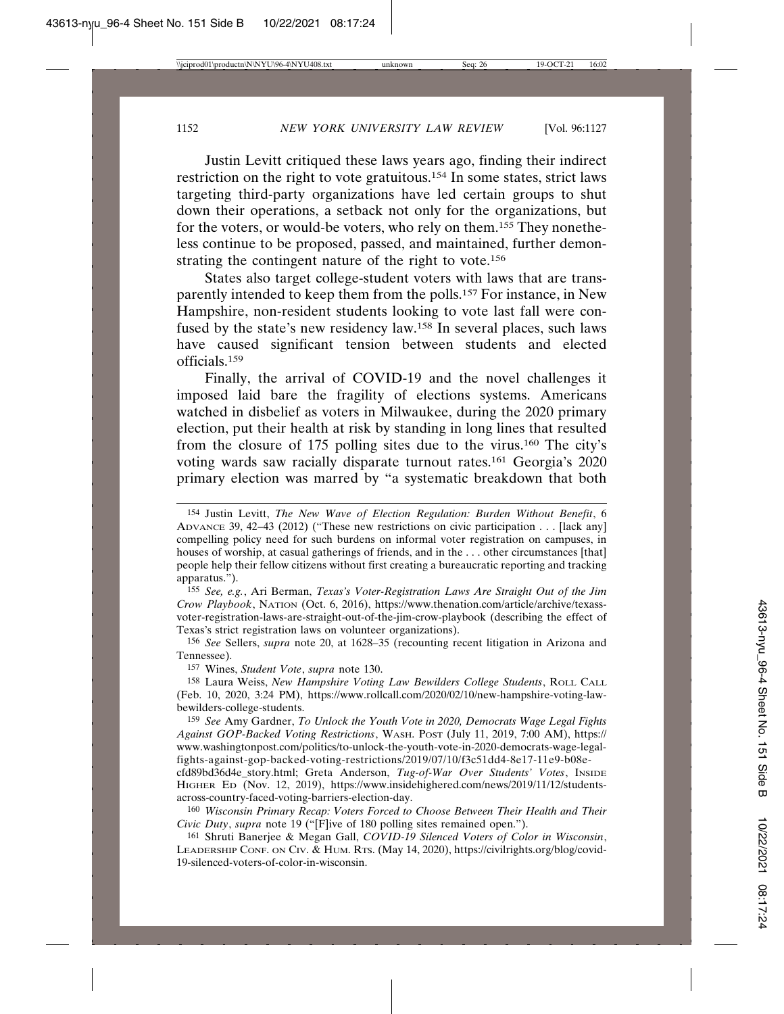Justin Levitt critiqued these laws years ago, finding their indirect restriction on the right to vote gratuitous.154 In some states, strict laws targeting third-party organizations have led certain groups to shut down their operations, a setback not only for the organizations, but for the voters, or would-be voters, who rely on them.155 They nonetheless continue to be proposed, passed, and maintained, further demonstrating the contingent nature of the right to vote.156

States also target college-student voters with laws that are transparently intended to keep them from the polls.157 For instance, in New Hampshire, non-resident students looking to vote last fall were confused by the state's new residency law.158 In several places, such laws have caused significant tension between students and elected officials.159

Finally, the arrival of COVID-19 and the novel challenges it imposed laid bare the fragility of elections systems. Americans watched in disbelief as voters in Milwaukee, during the 2020 primary election, put their health at risk by standing in long lines that resulted from the closure of 175 polling sites due to the virus.160 The city's voting wards saw racially disparate turnout rates.161 Georgia's 2020 primary election was marred by "a systematic breakdown that both

155 *See, e.g.*, Ari Berman, *Texas's Voter-Registration Laws Are Straight Out of the Jim Crow Playbook*, NATION (Oct. 6, 2016), https://www.thenation.com/article/archive/texassvoter-registration-laws-are-straight-out-of-the-jim-crow-playbook (describing the effect of Texas's strict registration laws on volunteer organizations).

156 *See* Sellers, *supra* note 20, at 1628–35 (recounting recent litigation in Arizona and Tennessee).

157 Wines, *Student Vote*, *supra* note 130.

158 Laura Weiss, *New Hampshire Voting Law Bewilders College Students*, ROLL CALL (Feb. 10, 2020, 3:24 PM), https://www.rollcall.com/2020/02/10/new-hampshire-voting-lawbewilders-college-students.

159 *See* Amy Gardner, *To Unlock the Youth Vote in 2020, Democrats Wage Legal Fights Against GOP-Backed Voting Restrictions*, WASH. POST (July 11, 2019, 7:00 AM), https:// www.washingtonpost.com/politics/to-unlock-the-youth-vote-in-2020-democrats-wage-legalfights-against-gop-backed-voting-restrictions/2019/07/10/f3c51dd4-8e17-11e9-b08e-

cfd89bd36d4e\_story.html; Greta Anderson, *Tug-of-War Over Students' Votes*, INSIDE HIGHER ED (Nov. 12, 2019), https://www.insidehighered.com/news/2019/11/12/studentsacross-country-faced-voting-barriers-election-day.

160 *Wisconsin Primary Recap: Voters Forced to Choose Between Their Health and Their Civic Duty*, *supra* note 19 ("[F]ive of 180 polling sites remained open.").

161 Shruti Banerjee & Megan Gall, *COVID-19 Silenced Voters of Color in Wisconsin*, LEADERSHIP CONF. ON CIV. & HUM. RTS. (May 14, 2020), https://civilrights.org/blog/covid-19-silenced-voters-of-color-in-wisconsin.

<sup>154</sup> Justin Levitt, *The New Wave of Election Regulation: Burden Without Benefit*, 6 ADVANCE 39, 42–43 (2012) ("These new restrictions on civic participation . . . [lack any] compelling policy need for such burdens on informal voter registration on campuses, in houses of worship, at casual gatherings of friends, and in the ... other circumstances [that] people help their fellow citizens without first creating a bureaucratic reporting and tracking apparatus.").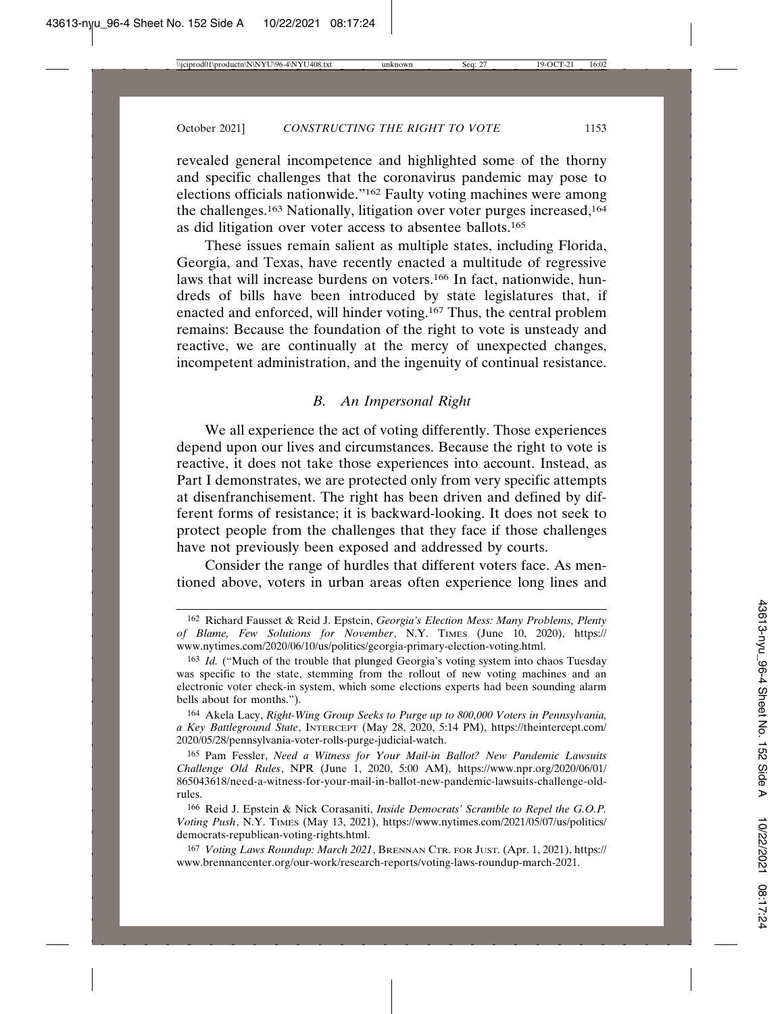revealed general incompetence and highlighted some of the thorny and specific challenges that the coronavirus pandemic may pose to elections officials nationwide."162 Faulty voting machines were among the challenges.163 Nationally, litigation over voter purges increased,164 as did litigation over voter access to absentee ballots.165

These issues remain salient as multiple states, including Florida, Georgia, and Texas, have recently enacted a multitude of regressive laws that will increase burdens on voters.<sup>166</sup> In fact, nationwide, hundreds of bills have been introduced by state legislatures that, if enacted and enforced, will hinder voting.167 Thus, the central problem remains: Because the foundation of the right to vote is unsteady and reactive, we are continually at the mercy of unexpected changes, incompetent administration, and the ingenuity of continual resistance.

## *B. An Impersonal Right*

We all experience the act of voting differently. Those experiences depend upon our lives and circumstances. Because the right to vote is reactive, it does not take those experiences into account. Instead, as Part I demonstrates, we are protected only from very specific attempts at disenfranchisement. The right has been driven and defined by different forms of resistance; it is backward-looking. It does not seek to protect people from the challenges that they face if those challenges have not previously been exposed and addressed by courts.

Consider the range of hurdles that different voters face. As mentioned above, voters in urban areas often experience long lines and

164 Akela Lacy, *Right-Wing Group Seeks to Purge up to 800,000 Voters in Pennsylvania, a Key Battleground State*, INTERCEPT (May 28, 2020, 5:14 PM), https://theintercept.com/ 2020/05/28/pennsylvania-voter-rolls-purge-judicial-watch.

165 Pam Fessler, *Need a Witness for Your Mail-in Ballot? New Pandemic Lawsuits Challenge Old Rules*, NPR (June 1, 2020, 5:00 AM), https://www.npr.org/2020/06/01/ 865043618/need-a-witness-for-your-mail-in-ballot-new-pandemic-lawsuits-challenge-oldrules.

166 Reid J. Epstein & Nick Corasaniti, *Inside Democrats' Scramble to Repel the G.O.P. Voting Push*, N.Y. TIMES (May 13, 2021), https://www.nytimes.com/2021/05/07/us/politics/ democrats-republican-voting-rights.html.

167 *Voting Laws Roundup: March 2021*, BRENNAN CTR. FOR JUST. (Apr. 1, 2021), https:// www.brennancenter.org/our-work/research-reports/voting-laws-roundup-march-2021.

<sup>162</sup> Richard Fausset & Reid J. Epstein, *Georgia's Election Mess: Many Problems, Plenty of Blame, Few Solutions for November*, N.Y. TIMES (June 10, 2020), https:// www.nytimes.com/2020/06/10/us/politics/georgia-primary-election-voting.html.

<sup>163</sup> *Id.* ("Much of the trouble that plunged Georgia's voting system into chaos Tuesday was specific to the state, stemming from the rollout of new voting machines and an electronic voter check-in system, which some elections experts had been sounding alarm bells about for months.").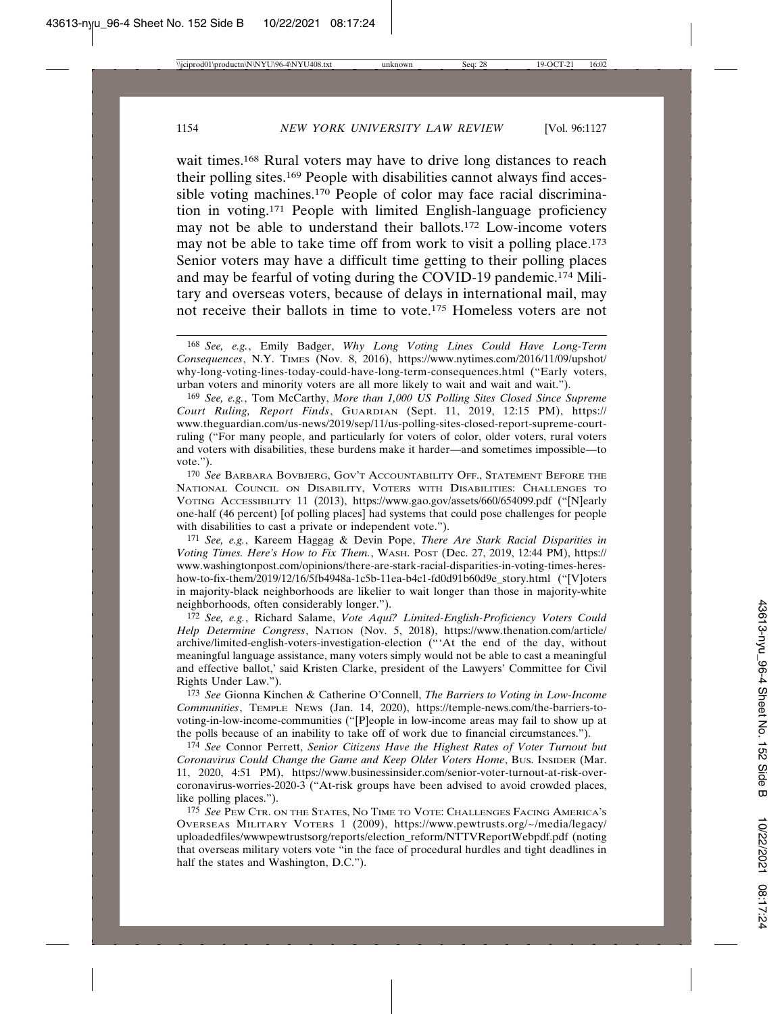wait times.<sup>168</sup> Rural voters may have to drive long distances to reach their polling sites.169 People with disabilities cannot always find accessible voting machines.170 People of color may face racial discrimination in voting.171 People with limited English-language proficiency may not be able to understand their ballots.172 Low-income voters may not be able to take time off from work to visit a polling place.<sup>173</sup> Senior voters may have a difficult time getting to their polling places and may be fearful of voting during the COVID-19 pandemic.174 Military and overseas voters, because of delays in international mail, may not receive their ballots in time to vote.<sup>175</sup> Homeless voters are not

169 *See, e.g.*, Tom McCarthy, *More than 1,000 US Polling Sites Closed Since Supreme Court Ruling, Report Finds*, GUARDIAN (Sept. 11, 2019, 12:15 PM), https:// www.theguardian.com/us-news/2019/sep/11/us-polling-sites-closed-report-supreme-courtruling ("For many people, and particularly for voters of color, older voters, rural voters and voters with disabilities, these burdens make it harder—and sometimes impossible—to vote.").

170 *See* BARBARA BOVBJERG, GOV'T ACCOUNTABILITY OFF., STATEMENT BEFORE THE NATIONAL COUNCIL ON DISABILITY, VOTERS WITH DISABILITIES: CHALLENGES TO VOTING ACCESSIBILITY 11 (2013), https://www.gao.gov/assets/660/654099.pdf ("[N]early one-half (46 percent) [of polling places] had systems that could pose challenges for people with disabilities to cast a private or independent vote.").

171 *See, e.g.*, Kareem Haggag & Devin Pope, *There Are Stark Racial Disparities in Voting Times. Here's How to Fix Them.*, WASH. POST (Dec. 27, 2019, 12:44 PM), https:// www.washingtonpost.com/opinions/there-are-stark-racial-disparities-in-voting-times-hereshow-to-fix-them/2019/12/16/5fb4948a-1c5b-11ea-b4c1-fd0d91b60d9e\_story.html ("[V]oters in majority-black neighborhoods are likelier to wait longer than those in majority-white neighborhoods, often considerably longer.").

172 *See, e.g.*, Richard Salame, *Vote Aqu´ı? Limited-English-Proficiency Voters Could Help Determine Congress*, NATION (Nov. 5, 2018), https://www.thenation.com/article/ archive/limited-english-voters-investigation-election ("'At the end of the day, without meaningful language assistance, many voters simply would not be able to cast a meaningful and effective ballot,' said Kristen Clarke, president of the Lawyers' Committee for Civil Rights Under Law.").

173 *See* Gionna Kinchen & Catherine O'Connell, *The Barriers to Voting in Low-Income Communities*, TEMPLE NEWS (Jan. 14, 2020), https://temple-news.com/the-barriers-tovoting-in-low-income-communities ("[P]eople in low-income areas may fail to show up at the polls because of an inability to take off of work due to financial circumstances.").

174 *See* Connor Perrett, *Senior Citizens Have the Highest Rates of Voter Turnout but Coronavirus Could Change the Game and Keep Older Voters Home*, BUS. INSIDER (Mar. 11, 2020, 4:51 PM), https://www.businessinsider.com/senior-voter-turnout-at-risk-overcoronavirus-worries-2020-3 ("At-risk groups have been advised to avoid crowded places, like polling places.").

175 *See* PEW CTR. ON THE STATES, NO TIME TO VOTE: CHALLENGES FACING AMERICA'S OVERSEAS MILITARY VOTERS 1 (2009), https://www.pewtrusts.org/~/media/legacy/ uploadedfiles/wwwpewtrustsorg/reports/election\_reform/NTTVReportWebpdf.pdf (noting that overseas military voters vote "in the face of procedural hurdles and tight deadlines in half the states and Washington, D.C.").

<sup>168</sup> *See, e.g.*, Emily Badger, *Why Long Voting Lines Could Have Long-Term Consequences*, N.Y. TIMES (Nov. 8, 2016), https://www.nytimes.com/2016/11/09/upshot/ why-long-voting-lines-today-could-have-long-term-consequences.html ("Early voters, urban voters and minority voters are all more likely to wait and wait and wait.").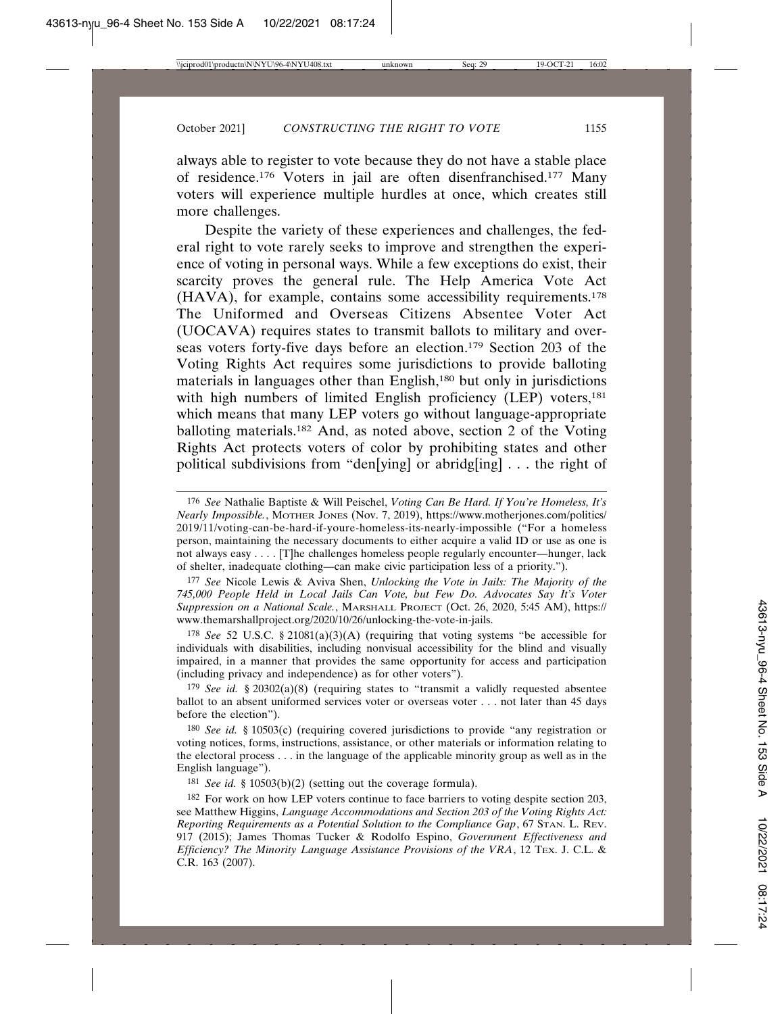always able to register to vote because they do not have a stable place of residence.176 Voters in jail are often disenfranchised.177 Many voters will experience multiple hurdles at once, which creates still more challenges.

Despite the variety of these experiences and challenges, the federal right to vote rarely seeks to improve and strengthen the experience of voting in personal ways. While a few exceptions do exist, their scarcity proves the general rule. The Help America Vote Act (HAVA), for example, contains some accessibility requirements.178 The Uniformed and Overseas Citizens Absentee Voter Act (UOCAVA) requires states to transmit ballots to military and overseas voters forty-five days before an election.179 Section 203 of the Voting Rights Act requires some jurisdictions to provide balloting materials in languages other than English,<sup>180</sup> but only in jurisdictions with high numbers of limited English proficiency (LEP) voters,<sup>181</sup> which means that many LEP voters go without language-appropriate balloting materials.182 And, as noted above, section 2 of the Voting Rights Act protects voters of color by prohibiting states and other political subdivisions from "den[ying] or abridg[ing] . . . the right of

177 *See* Nicole Lewis & Aviva Shen, *Unlocking the Vote in Jails: The Majority of the 745,000 People Held in Local Jails Can Vote, but Few Do. Advocates Say It's Voter Suppression on a National Scale.*, MARSHALL PROJECT (Oct. 26, 2020, 5:45 AM), https:// www.themarshallproject.org/2020/10/26/unlocking-the-vote-in-jails.

178 *See* 52 U.S.C. § 21081(a)(3)(A) (requiring that voting systems "be accessible for individuals with disabilities, including nonvisual accessibility for the blind and visually impaired, in a manner that provides the same opportunity for access and participation (including privacy and independence) as for other voters").

179 *See id.* § 20302(a)(8) (requiring states to "transmit a validly requested absentee ballot to an absent uniformed services voter or overseas voter . . . not later than 45 days before the election").

180 *See id.* § 10503(c) (requiring covered jurisdictions to provide "any registration or voting notices, forms, instructions, assistance, or other materials or information relating to the electoral process . . . in the language of the applicable minority group as well as in the English language").

181 *See id.* § 10503(b)(2) (setting out the coverage formula).

182 For work on how LEP voters continue to face barriers to voting despite section 203, see Matthew Higgins, *Language Accommodations and Section 203 of the Voting Rights Act: Reporting Requirements as a Potential Solution to the Compliance Gap*, 67 STAN. L. REV. 917 (2015); James Thomas Tucker & Rodolfo Espino, *Government Effectiveness and Efficiency? The Minority Language Assistance Provisions of the VRA*, 12 TEX. J. C.L. & C.R. 163 (2007).

<sup>176</sup> *See* Nathalie Baptiste & Will Peischel, *Voting Can Be Hard. If You're Homeless, It's Nearly Impossible.*, MOTHER JONES (Nov. 7, 2019), https://www.motherjones.com/politics/ 2019/11/voting-can-be-hard-if-youre-homeless-its-nearly-impossible ("For a homeless person, maintaining the necessary documents to either acquire a valid ID or use as one is not always easy . . . . [T]he challenges homeless people regularly encounter—hunger, lack of shelter, inadequate clothing—can make civic participation less of a priority.").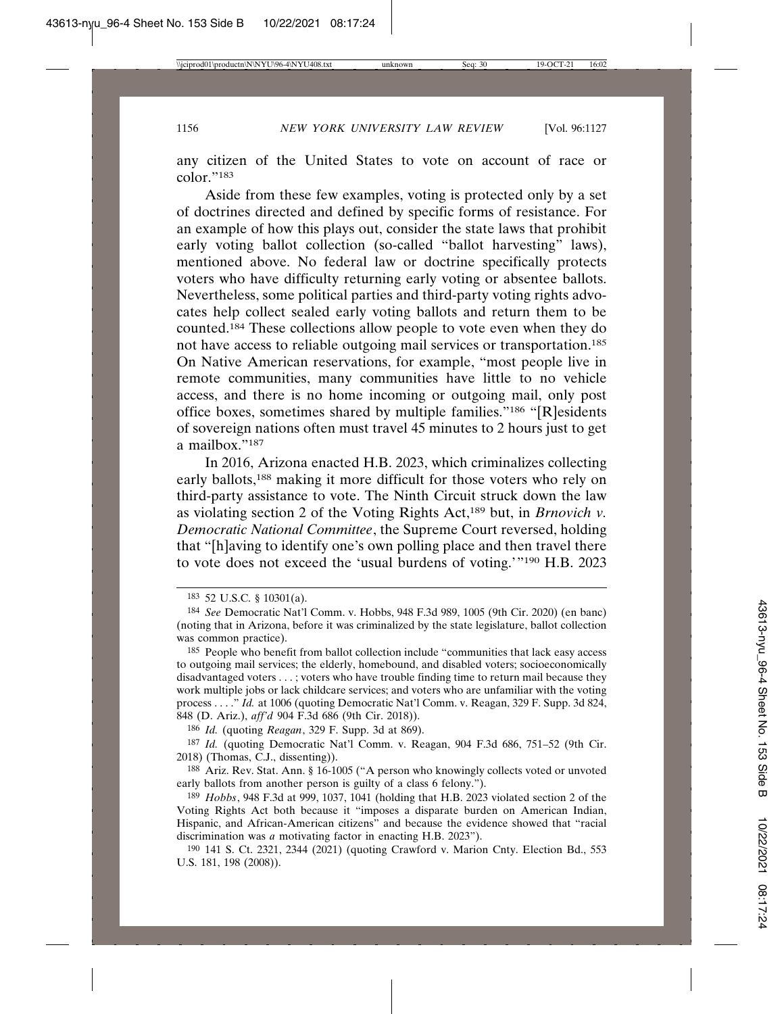any citizen of the United States to vote on account of race or color<sup>"183</sup>

Aside from these few examples, voting is protected only by a set of doctrines directed and defined by specific forms of resistance. For an example of how this plays out, consider the state laws that prohibit early voting ballot collection (so-called "ballot harvesting" laws), mentioned above. No federal law or doctrine specifically protects voters who have difficulty returning early voting or absentee ballots. Nevertheless, some political parties and third-party voting rights advocates help collect sealed early voting ballots and return them to be counted.184 These collections allow people to vote even when they do not have access to reliable outgoing mail services or transportation.185 On Native American reservations, for example, "most people live in remote communities, many communities have little to no vehicle access, and there is no home incoming or outgoing mail, only post office boxes, sometimes shared by multiple families."186 "[R]esidents of sovereign nations often must travel 45 minutes to 2 hours just to get a mailbox."187

In 2016, Arizona enacted H.B. 2023, which criminalizes collecting early ballots,188 making it more difficult for those voters who rely on third-party assistance to vote. The Ninth Circuit struck down the law as violating section 2 of the Voting Rights Act,189 but, in *Brnovich v. Democratic National Committee*, the Supreme Court reversed, holding that "[h]aving to identify one's own polling place and then travel there to vote does not exceed the 'usual burdens of voting.'"190 H.B. 2023

186 *Id.* (quoting *Reagan*, 329 F. Supp. 3d at 869).

<sup>183</sup> 52 U.S.C. § 10301(a).

<sup>184</sup> *See* Democratic Nat'l Comm. v. Hobbs, 948 F.3d 989, 1005 (9th Cir. 2020) (en banc) (noting that in Arizona, before it was criminalized by the state legislature, ballot collection was common practice).

<sup>185</sup> People who benefit from ballot collection include "communities that lack easy access to outgoing mail services; the elderly, homebound, and disabled voters; socioeconomically disadvantaged voters . . . ; voters who have trouble finding time to return mail because they work multiple jobs or lack childcare services; and voters who are unfamiliar with the voting process . . . ." *Id.* at 1006 (quoting Democratic Nat'l Comm. v. Reagan, 329 F. Supp. 3d 824, 848 (D. Ariz.), *aff'd* 904 F.3d 686 (9th Cir. 2018)).

<sup>187</sup> *Id.* (quoting Democratic Nat'l Comm. v. Reagan, 904 F.3d 686, 751–52 (9th Cir. 2018) (Thomas, C.J., dissenting)).

<sup>188</sup> Ariz. Rev. Stat. Ann. § 16-1005 ("A person who knowingly collects voted or unvoted early ballots from another person is guilty of a class 6 felony.").

<sup>189</sup> *Hobbs*, 948 F.3d at 999, 1037, 1041 (holding that H.B. 2023 violated section 2 of the Voting Rights Act both because it "imposes a disparate burden on American Indian, Hispanic, and African-American citizens" and because the evidence showed that "racial discrimination was *a* motivating factor in enacting H.B. 2023").

<sup>190</sup> 141 S. Ct. 2321, 2344 (2021) (quoting Crawford v. Marion Cnty. Election Bd., 553 U.S. 181, 198 (2008)).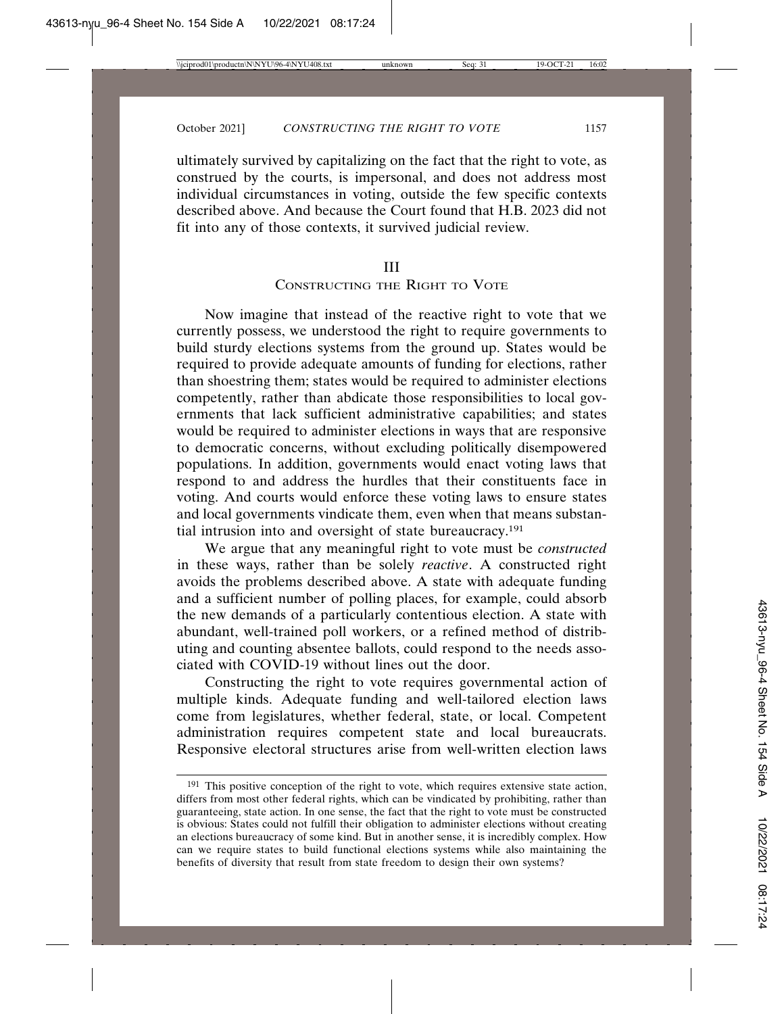ultimately survived by capitalizing on the fact that the right to vote, as construed by the courts, is impersonal, and does not address most individual circumstances in voting, outside the few specific contexts described above. And because the Court found that H.B. 2023 did not fit into any of those contexts, it survived judicial review.

#### III

## CONSTRUCTING THE RIGHT TO VOTE

Now imagine that instead of the reactive right to vote that we currently possess, we understood the right to require governments to build sturdy elections systems from the ground up. States would be required to provide adequate amounts of funding for elections, rather than shoestring them; states would be required to administer elections competently, rather than abdicate those responsibilities to local governments that lack sufficient administrative capabilities; and states would be required to administer elections in ways that are responsive to democratic concerns, without excluding politically disempowered populations. In addition, governments would enact voting laws that respond to and address the hurdles that their constituents face in voting. And courts would enforce these voting laws to ensure states and local governments vindicate them, even when that means substantial intrusion into and oversight of state bureaucracy.191

We argue that any meaningful right to vote must be *constructed* in these ways, rather than be solely *reactive*. A constructed right avoids the problems described above. A state with adequate funding and a sufficient number of polling places, for example, could absorb the new demands of a particularly contentious election. A state with abundant, well-trained poll workers, or a refined method of distributing and counting absentee ballots, could respond to the needs associated with COVID-19 without lines out the door.

Constructing the right to vote requires governmental action of multiple kinds. Adequate funding and well-tailored election laws come from legislatures, whether federal, state, or local. Competent administration requires competent state and local bureaucrats. Responsive electoral structures arise from well-written election laws

<sup>&</sup>lt;sup>191</sup> This positive conception of the right to vote, which requires extensive state action, differs from most other federal rights, which can be vindicated by prohibiting, rather than guaranteeing, state action. In one sense, the fact that the right to vote must be constructed is obvious: States could not fulfill their obligation to administer elections without creating an elections bureaucracy of some kind. But in another sense, it is incredibly complex. How can we require states to build functional elections systems while also maintaining the benefits of diversity that result from state freedom to design their own systems?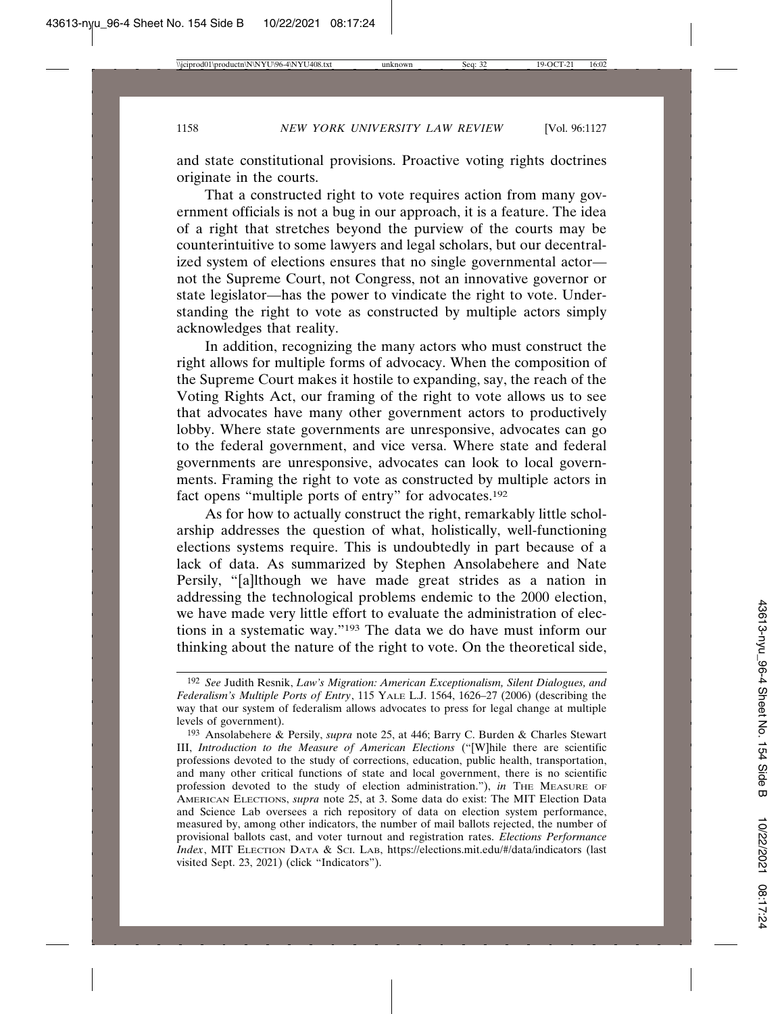and state constitutional provisions. Proactive voting rights doctrines originate in the courts.

That a constructed right to vote requires action from many government officials is not a bug in our approach, it is a feature. The idea of a right that stretches beyond the purview of the courts may be counterintuitive to some lawyers and legal scholars, but our decentralized system of elections ensures that no single governmental actor not the Supreme Court, not Congress, not an innovative governor or state legislator—has the power to vindicate the right to vote. Understanding the right to vote as constructed by multiple actors simply acknowledges that reality.

In addition, recognizing the many actors who must construct the right allows for multiple forms of advocacy. When the composition of the Supreme Court makes it hostile to expanding, say, the reach of the Voting Rights Act, our framing of the right to vote allows us to see that advocates have many other government actors to productively lobby. Where state governments are unresponsive, advocates can go to the federal government, and vice versa. Where state and federal governments are unresponsive, advocates can look to local governments. Framing the right to vote as constructed by multiple actors in fact opens "multiple ports of entry" for advocates.192

As for how to actually construct the right, remarkably little scholarship addresses the question of what, holistically, well-functioning elections systems require. This is undoubtedly in part because of a lack of data. As summarized by Stephen Ansolabehere and Nate Persily, "[a]lthough we have made great strides as a nation in addressing the technological problems endemic to the 2000 election, we have made very little effort to evaluate the administration of elections in a systematic way."193 The data we do have must inform our thinking about the nature of the right to vote. On the theoretical side,

<sup>192</sup> *See* Judith Resnik, *Law's Migration: American Exceptionalism, Silent Dialogues, and Federalism's Multiple Ports of Entry*, 115 YALE L.J. 1564, 1626–27 (2006) (describing the way that our system of federalism allows advocates to press for legal change at multiple levels of government).

<sup>193</sup> Ansolabehere & Persily, *supra* note 25, at 446; Barry C. Burden & Charles Stewart III, *Introduction to the Measure of American Elections* ("[W]hile there are scientific professions devoted to the study of corrections, education, public health, transportation, and many other critical functions of state and local government, there is no scientific profession devoted to the study of election administration."), *in* THE MEASURE OF AMERICAN ELECTIONS, *supra* note 25, at 3. Some data do exist: The MIT Election Data and Science Lab oversees a rich repository of data on election system performance, measured by, among other indicators, the number of mail ballots rejected, the number of provisional ballots cast, and voter turnout and registration rates. *Elections Performance Index*, MIT ELECTION DATA & SCI. LAB, https://elections.mit.edu/#/data/indicators (last visited Sept. 23, 2021) (click "Indicators").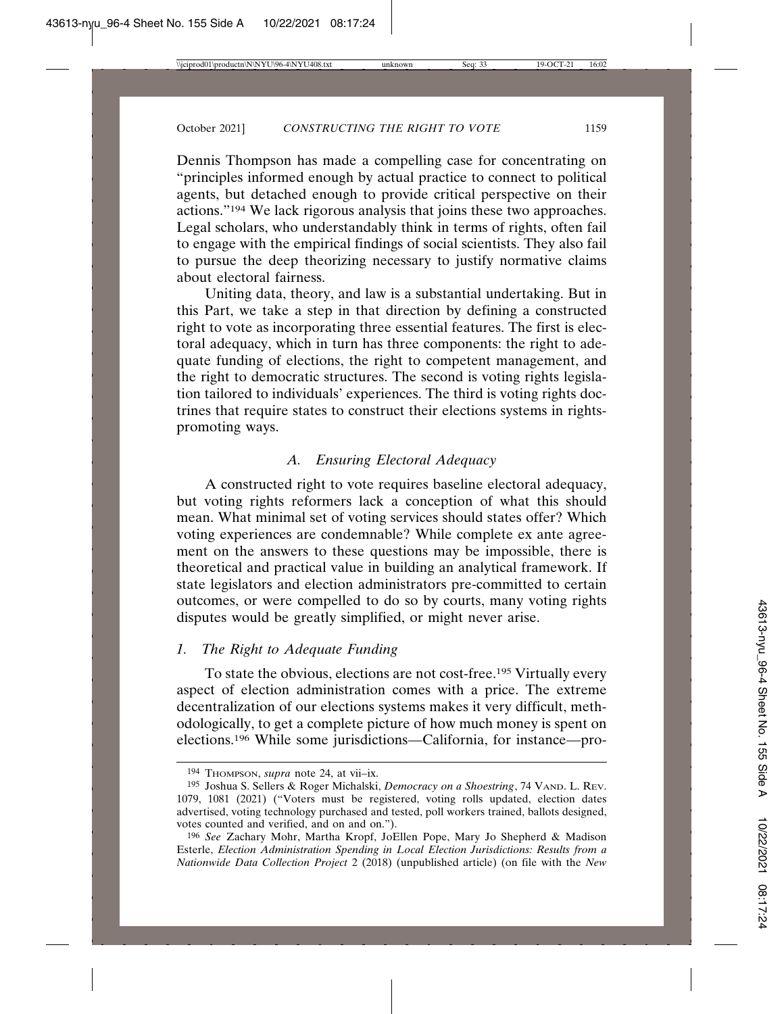Dennis Thompson has made a compelling case for concentrating on "principles informed enough by actual practice to connect to political agents, but detached enough to provide critical perspective on their actions."194 We lack rigorous analysis that joins these two approaches. Legal scholars, who understandably think in terms of rights, often fail to engage with the empirical findings of social scientists. They also fail to pursue the deep theorizing necessary to justify normative claims about electoral fairness.

Uniting data, theory, and law is a substantial undertaking. But in this Part, we take a step in that direction by defining a constructed right to vote as incorporating three essential features. The first is electoral adequacy, which in turn has three components: the right to adequate funding of elections, the right to competent management, and the right to democratic structures. The second is voting rights legislation tailored to individuals' experiences. The third is voting rights doctrines that require states to construct their elections systems in rightspromoting ways.

## *A. Ensuring Electoral Adequacy*

A constructed right to vote requires baseline electoral adequacy, but voting rights reformers lack a conception of what this should mean. What minimal set of voting services should states offer? Which voting experiences are condemnable? While complete ex ante agreement on the answers to these questions may be impossible, there is theoretical and practical value in building an analytical framework. If state legislators and election administrators pre-committed to certain outcomes, or were compelled to do so by courts, many voting rights disputes would be greatly simplified, or might never arise.

# *1. The Right to Adequate Funding*

To state the obvious, elections are not cost-free.195 Virtually every aspect of election administration comes with a price. The extreme decentralization of our elections systems makes it very difficult, methodologically, to get a complete picture of how much money is spent on elections.196 While some jurisdictions—California, for instance—pro-

<sup>194</sup> THOMPSON, *supra* note 24, at vii–ix.

<sup>195</sup> Joshua S. Sellers & Roger Michalski, *Democracy on a Shoestring*, 74 VAND. L. REV. 1079, 1081 (2021) ("Voters must be registered, voting rolls updated, election dates advertised, voting technology purchased and tested, poll workers trained, ballots designed, votes counted and verified, and on and on.").

<sup>196</sup> *See* Zachary Mohr, Martha Kropf, JoEllen Pope, Mary Jo Shepherd & Madison Esterle, *Election Administration Spending in Local Election Jurisdictions: Results from a Nationwide Data Collection Project* 2 (2018) (unpublished article) (on file with the *New*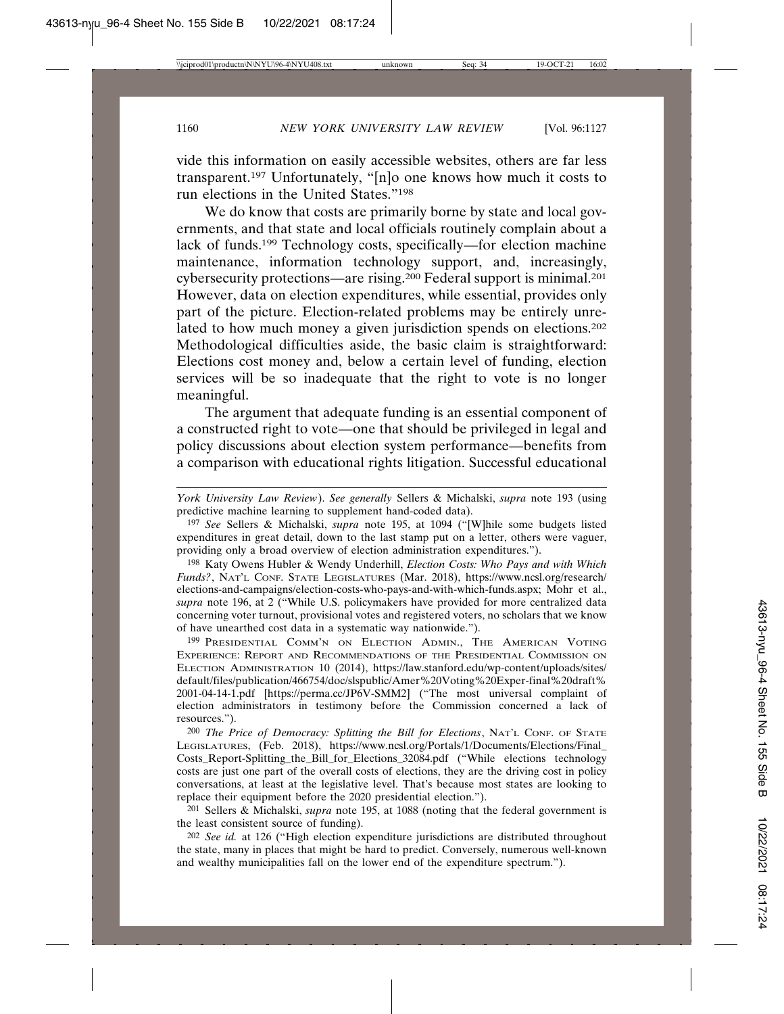vide this information on easily accessible websites, others are far less transparent.197 Unfortunately, "[n]o one knows how much it costs to run elections in the United States."198

We do know that costs are primarily borne by state and local governments, and that state and local officials routinely complain about a lack of funds.199 Technology costs, specifically—for election machine maintenance, information technology support, and, increasingly, cybersecurity protections—are rising.200 Federal support is minimal.201 However, data on election expenditures, while essential, provides only part of the picture. Election-related problems may be entirely unrelated to how much money a given jurisdiction spends on elections.<sup>202</sup> Methodological difficulties aside, the basic claim is straightforward: Elections cost money and, below a certain level of funding, election services will be so inadequate that the right to vote is no longer meaningful.

The argument that adequate funding is an essential component of a constructed right to vote—one that should be privileged in legal and policy discussions about election system performance—benefits from a comparison with educational rights litigation. Successful educational

197 *See* Sellers & Michalski, *supra* note 195, at 1094 ("[W]hile some budgets listed expenditures in great detail, down to the last stamp put on a letter, others were vaguer, providing only a broad overview of election administration expenditures.").

198 Katy Owens Hubler & Wendy Underhill, *Election Costs: Who Pays and with Which Funds?*, NAT'L CONF. STATE LEGISLATURES (Mar. 2018), https://www.ncsl.org/research/ elections-and-campaigns/election-costs-who-pays-and-with-which-funds.aspx; Mohr et al., *supra* note 196, at 2 ("While U.S. policymakers have provided for more centralized data concerning voter turnout, provisional votes and registered voters, no scholars that we know of have unearthed cost data in a systematic way nationwide.").

199 PRESIDENTIAL COMM'N ON ELECTION ADMIN., THE AMERICAN VOTING EXPERIENCE: REPORT AND RECOMMENDATIONS OF THE PRESIDENTIAL COMMISSION ON ELECTION ADMINISTRATION 10 (2014), https://law.stanford.edu/wp-content/uploads/sites/ default/files/publication/466754/doc/slspublic/Amer%20Voting%20Exper-final%20draft% 2001-04-14-1.pdf [https://perma.cc/JP6V-SMM2] ("The most universal complaint of election administrators in testimony before the Commission concerned a lack of resources.").

200 *The Price of Democracy: Splitting the Bill for Elections*, NAT'L CONF. OF STATE LEGISLATURES, (Feb. 2018), https://www.ncsl.org/Portals/1/Documents/Elections/Final\_ Costs\_Report-Splitting\_the\_Bill\_for\_Elections\_32084.pdf ("While elections technology costs are just one part of the overall costs of elections, they are the driving cost in policy conversations, at least at the legislative level. That's because most states are looking to replace their equipment before the 2020 presidential election.").

201 Sellers & Michalski, *supra* note 195, at 1088 (noting that the federal government is the least consistent source of funding).

202 *See id.* at 126 ("High election expenditure jurisdictions are distributed throughout the state, many in places that might be hard to predict. Conversely, numerous well-known and wealthy municipalities fall on the lower end of the expenditure spectrum.").

*York University Law Review*). *See generally* Sellers & Michalski, *supra* note 193 (using predictive machine learning to supplement hand-coded data).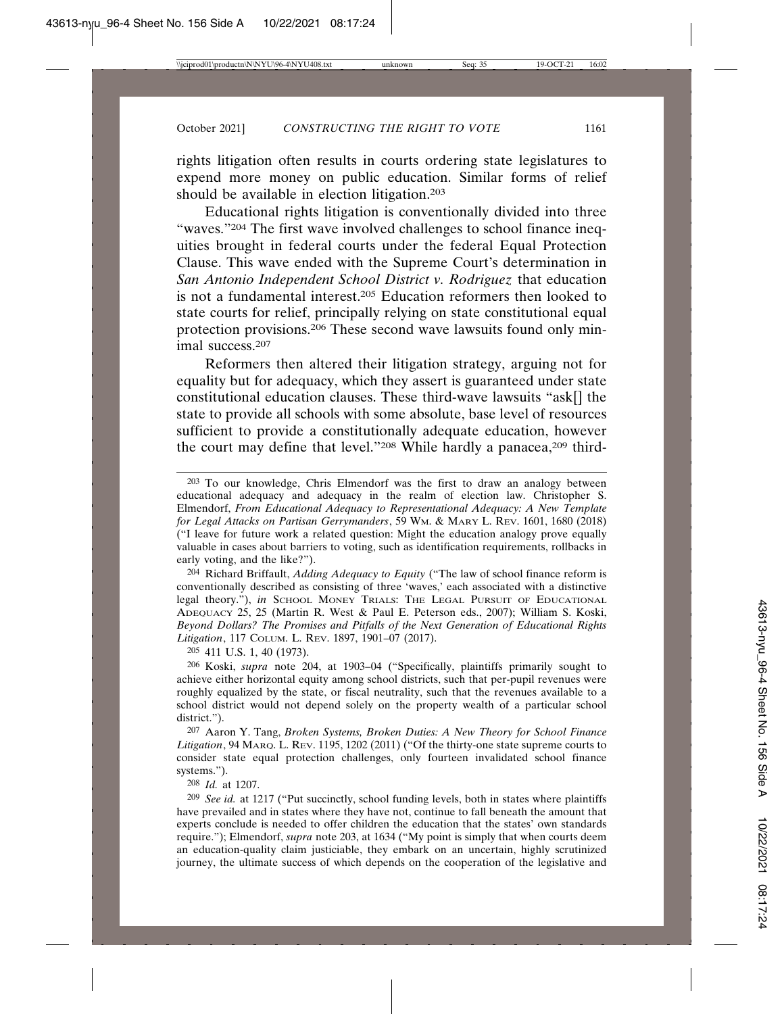rights litigation often results in courts ordering state legislatures to expend more money on public education. Similar forms of relief should be available in election litigation.203

Educational rights litigation is conventionally divided into three "waves."204 The first wave involved challenges to school finance inequities brought in federal courts under the federal Equal Protection Clause. This wave ended with the Supreme Court's determination in *San Antonio Independent School District v. Rodriguez* that education is not a fundamental interest.205 Education reformers then looked to state courts for relief, principally relying on state constitutional equal protection provisions.206 These second wave lawsuits found only minimal success.207

Reformers then altered their litigation strategy, arguing not for equality but for adequacy, which they assert is guaranteed under state constitutional education clauses. These third-wave lawsuits "ask[] the state to provide all schools with some absolute, base level of resources sufficient to provide a constitutionally adequate education, however the court may define that level."208 While hardly a panacea,<sup>209</sup> third-

204 Richard Briffault, *Adding Adequacy to Equity* ("The law of school finance reform is conventionally described as consisting of three 'waves,' each associated with a distinctive legal theory."), *in* SCHOOL MONEY TRIALS: THE LEGAL PURSUIT OF EDUCATIONAL ADEQUACY 25, 25 (Martin R. West & Paul E. Peterson eds., 2007); William S. Koski, *Beyond Dollars? The Promises and Pitfalls of the Next Generation of Educational Rights Litigation*, 117 COLUM. L. REV. 1897, 1901–07 (2017).

205 411 U.S. 1, 40 (1973).

206 Koski, *supra* note 204, at 1903–04 ("Specifically, plaintiffs primarily sought to achieve either horizontal equity among school districts, such that per-pupil revenues were roughly equalized by the state, or fiscal neutrality, such that the revenues available to a school district would not depend solely on the property wealth of a particular school district.").

207 Aaron Y. Tang, *Broken Systems, Broken Duties: A New Theory for School Finance Litigation*, 94 MARQ. L. REV. 1195, 1202 (2011) ("Of the thirty-one state supreme courts to consider state equal protection challenges, only fourteen invalidated school finance systems.").

208 *Id.* at 1207.

209 *See id.* at 1217 ("Put succinctly, school funding levels, both in states where plaintiffs have prevailed and in states where they have not, continue to fall beneath the amount that experts conclude is needed to offer children the education that the states' own standards require."); Elmendorf, *supra* note 203, at 1634 ("My point is simply that when courts deem an education-quality claim justiciable, they embark on an uncertain, highly scrutinized journey, the ultimate success of which depends on the cooperation of the legislative and

<sup>203</sup> To our knowledge, Chris Elmendorf was the first to draw an analogy between educational adequacy and adequacy in the realm of election law. Christopher S. Elmendorf, *From Educational Adequacy to Representational Adequacy: A New Template for Legal Attacks on Partisan Gerrymanders*, 59 WM. & MARY L. REV. 1601, 1680 (2018) ("I leave for future work a related question: Might the education analogy prove equally valuable in cases about barriers to voting, such as identification requirements, rollbacks in early voting, and the like?").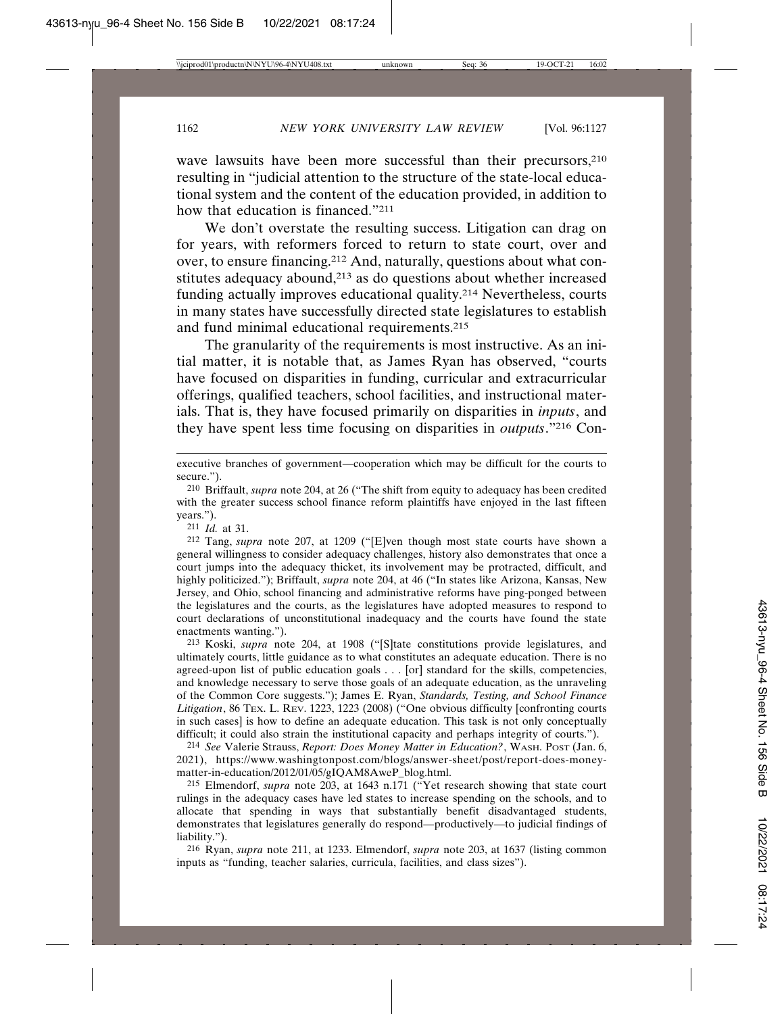wave lawsuits have been more successful than their precursors, <sup>210</sup> resulting in "judicial attention to the structure of the state-local educational system and the content of the education provided, in addition to how that education is financed."211

We don't overstate the resulting success. Litigation can drag on for years, with reformers forced to return to state court, over and over, to ensure financing.212 And, naturally, questions about what constitutes adequacy abound,<sup>213</sup> as do questions about whether increased funding actually improves educational quality.214 Nevertheless, courts in many states have successfully directed state legislatures to establish and fund minimal educational requirements.215

The granularity of the requirements is most instructive. As an initial matter, it is notable that, as James Ryan has observed, "courts have focused on disparities in funding, curricular and extracurricular offerings, qualified teachers, school facilities, and instructional materials. That is, they have focused primarily on disparities in *inputs*, and they have spent less time focusing on disparities in *outputs*."216 Con-

211 *Id.* at 31.

212 Tang, *supra* note 207, at 1209 ("[E]ven though most state courts have shown a general willingness to consider adequacy challenges, history also demonstrates that once a court jumps into the adequacy thicket, its involvement may be protracted, difficult, and highly politicized."); Briffault, *supra* note 204, at 46 ("In states like Arizona, Kansas, New Jersey, and Ohio, school financing and administrative reforms have ping-ponged between the legislatures and the courts, as the legislatures have adopted measures to respond to court declarations of unconstitutional inadequacy and the courts have found the state enactments wanting.").

213 Koski, *supra* note 204, at 1908 ("[S]tate constitutions provide legislatures, and ultimately courts, little guidance as to what constitutes an adequate education. There is no agreed-upon list of public education goals . . . [or] standard for the skills, competencies, and knowledge necessary to serve those goals of an adequate education, as the unraveling of the Common Core suggests."); James E. Ryan, *Standards, Testing, and School Finance Litigation*, 86 TEX. L. REV. 1223, 1223 (2008) ("One obvious difficulty [confronting courts in such cases] is how to define an adequate education. This task is not only conceptually difficult; it could also strain the institutional capacity and perhaps integrity of courts.").

214 *See* Valerie Strauss, *Report: Does Money Matter in Education?*, WASH. POST (Jan. 6, 2021), https://www.washingtonpost.com/blogs/answer-sheet/post/report-does-moneymatter-in-education/2012/01/05/gIQAM8AweP\_blog.html.

215 Elmendorf, *supra* note 203, at 1643 n.171 ("Yet research showing that state court rulings in the adequacy cases have led states to increase spending on the schools, and to allocate that spending in ways that substantially benefit disadvantaged students, demonstrates that legislatures generally do respond—productively—to judicial findings of liability.").

216 Ryan, *supra* note 211, at 1233. Elmendorf, *supra* note 203, at 1637 (listing common inputs as "funding, teacher salaries, curricula, facilities, and class sizes").

executive branches of government—cooperation which may be difficult for the courts to secure.").

<sup>210</sup> Briffault, *supra* note 204, at 26 ("The shift from equity to adequacy has been credited with the greater success school finance reform plaintiffs have enjoyed in the last fifteen years.").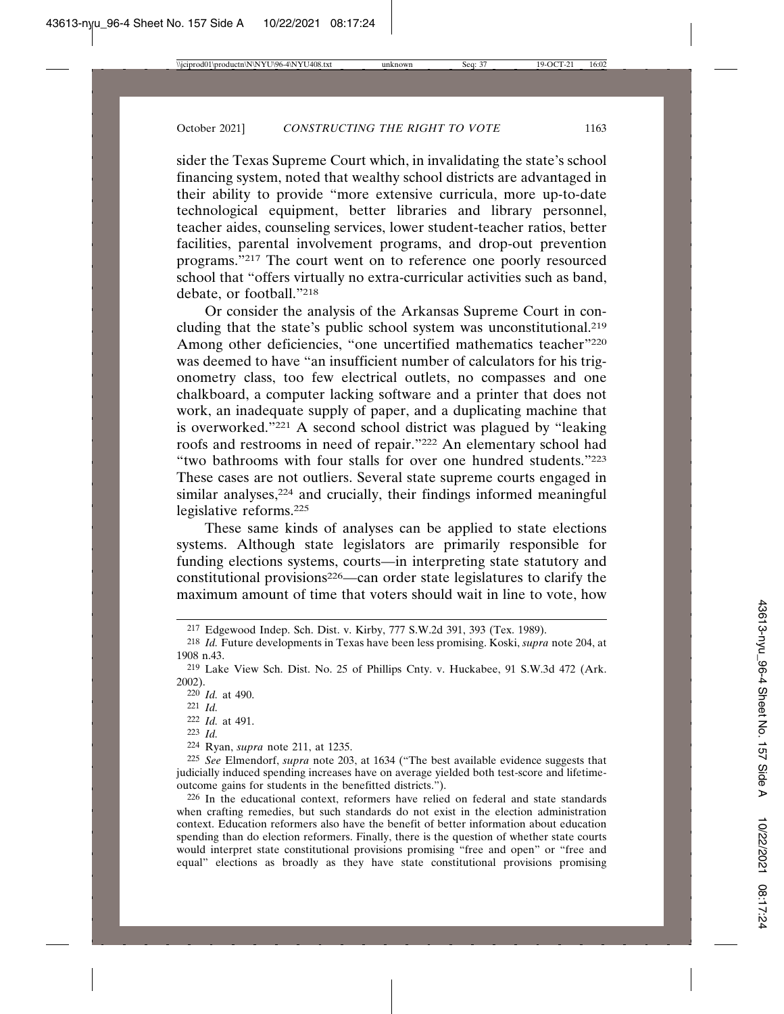sider the Texas Supreme Court which, in invalidating the state's school financing system, noted that wealthy school districts are advantaged in their ability to provide "more extensive curricula, more up-to-date technological equipment, better libraries and library personnel, teacher aides, counseling services, lower student-teacher ratios, better facilities, parental involvement programs, and drop-out prevention programs."217 The court went on to reference one poorly resourced school that "offers virtually no extra-curricular activities such as band, debate, or football."218

Or consider the analysis of the Arkansas Supreme Court in concluding that the state's public school system was unconstitutional.219 Among other deficiencies, "one uncertified mathematics teacher"<sup>220</sup> was deemed to have "an insufficient number of calculators for his trigonometry class, too few electrical outlets, no compasses and one chalkboard, a computer lacking software and a printer that does not work, an inadequate supply of paper, and a duplicating machine that is overworked."221 A second school district was plagued by "leaking roofs and restrooms in need of repair."222 An elementary school had "two bathrooms with four stalls for over one hundred students."223 These cases are not outliers. Several state supreme courts engaged in similar analyses,<sup>224</sup> and crucially, their findings informed meaningful legislative reforms.225

These same kinds of analyses can be applied to state elections systems. Although state legislators are primarily responsible for funding elections systems, courts—in interpreting state statutory and constitutional provisions<sup>226</sup>—can order state legislatures to clarify the maximum amount of time that voters should wait in line to vote, how

223 *Id.*

225 *See* Elmendorf, *supra* note 203, at 1634 ("The best available evidence suggests that judicially induced spending increases have on average yielded both test-score and lifetimeoutcome gains for students in the benefitted districts.").

226 In the educational context, reformers have relied on federal and state standards when crafting remedies, but such standards do not exist in the election administration context. Education reformers also have the benefit of better information about education spending than do election reformers. Finally, there is the question of whether state courts would interpret state constitutional provisions promising "free and open" or "free and equal" elections as broadly as they have state constitutional provisions promising

<sup>217</sup> Edgewood Indep. Sch. Dist. v. Kirby, 777 S.W.2d 391, 393 (Tex. 1989).

<sup>218</sup> *Id.* Future developments in Texas have been less promising. Koski, *supra* note 204, at 1908 n.43.

<sup>219</sup> Lake View Sch. Dist. No. 25 of Phillips Cnty. v. Huckabee, 91 S.W.3d 472 (Ark. 2002).

<sup>220</sup> *Id.* at 490.

<sup>221</sup> *Id.*

<sup>222</sup> *Id.* at 491.

<sup>224</sup> Ryan, *supra* note 211, at 1235.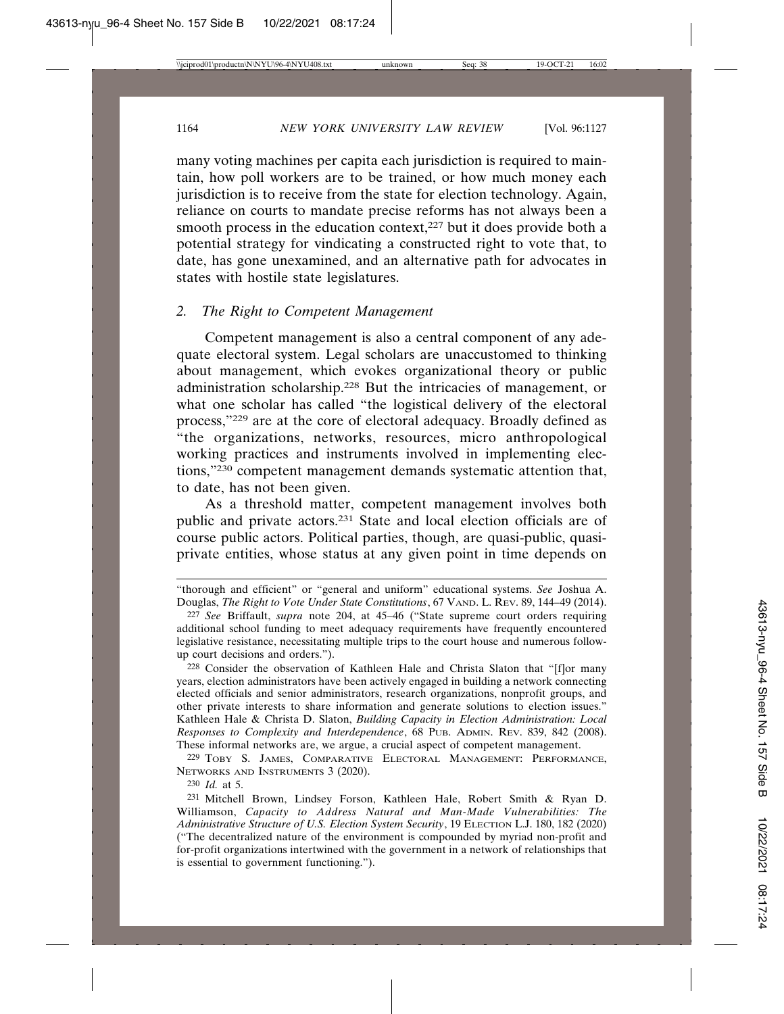many voting machines per capita each jurisdiction is required to maintain, how poll workers are to be trained, or how much money each jurisdiction is to receive from the state for election technology. Again, reliance on courts to mandate precise reforms has not always been a smooth process in the education context, $227$  but it does provide both a potential strategy for vindicating a constructed right to vote that, to date, has gone unexamined, and an alternative path for advocates in states with hostile state legislatures.

## *2. The Right to Competent Management*

Competent management is also a central component of any adequate electoral system. Legal scholars are unaccustomed to thinking about management, which evokes organizational theory or public administration scholarship.228 But the intricacies of management, or what one scholar has called "the logistical delivery of the electoral process,"229 are at the core of electoral adequacy. Broadly defined as "the organizations, networks, resources, micro anthropological working practices and instruments involved in implementing elections,"230 competent management demands systematic attention that, to date, has not been given.

As a threshold matter, competent management involves both public and private actors.231 State and local election officials are of course public actors. Political parties, though, are quasi-public, quasiprivate entities, whose status at any given point in time depends on

230 *Id.* at 5.

<sup>&</sup>quot;thorough and efficient" or "general and uniform" educational systems. *See* Joshua A. Douglas, *The Right to Vote Under State Constitutions*, 67 VAND. L. REV. 89, 144–49 (2014).

<sup>227</sup> *See* Briffault, *supra* note 204, at 45–46 ("State supreme court orders requiring additional school funding to meet adequacy requirements have frequently encountered legislative resistance, necessitating multiple trips to the court house and numerous followup court decisions and orders.").

<sup>228</sup> Consider the observation of Kathleen Hale and Christa Slaton that "[f]or many years, election administrators have been actively engaged in building a network connecting elected officials and senior administrators, research organizations, nonprofit groups, and other private interests to share information and generate solutions to election issues." Kathleen Hale & Christa D. Slaton, *Building Capacity in Election Administration: Local Responses to Complexity and Interdependence*, 68 PUB. ADMIN. REV. 839, 842 (2008). These informal networks are, we argue, a crucial aspect of competent management.

<sup>229</sup> TOBY S. JAMES, COMPARATIVE ELECTORAL MANAGEMENT: PERFORMANCE, NETWORKS AND INSTRUMENTS 3 (2020).

<sup>231</sup> Mitchell Brown, Lindsey Forson, Kathleen Hale, Robert Smith & Ryan D. Williamson, *Capacity to Address Natural and Man-Made Vulnerabilities: The Administrative Structure of U.S. Election System Security*, 19 ELECTION L.J. 180, 182 (2020) ("The decentralized nature of the environment is compounded by myriad non-profit and for-profit organizations intertwined with the government in a network of relationships that is essential to government functioning.").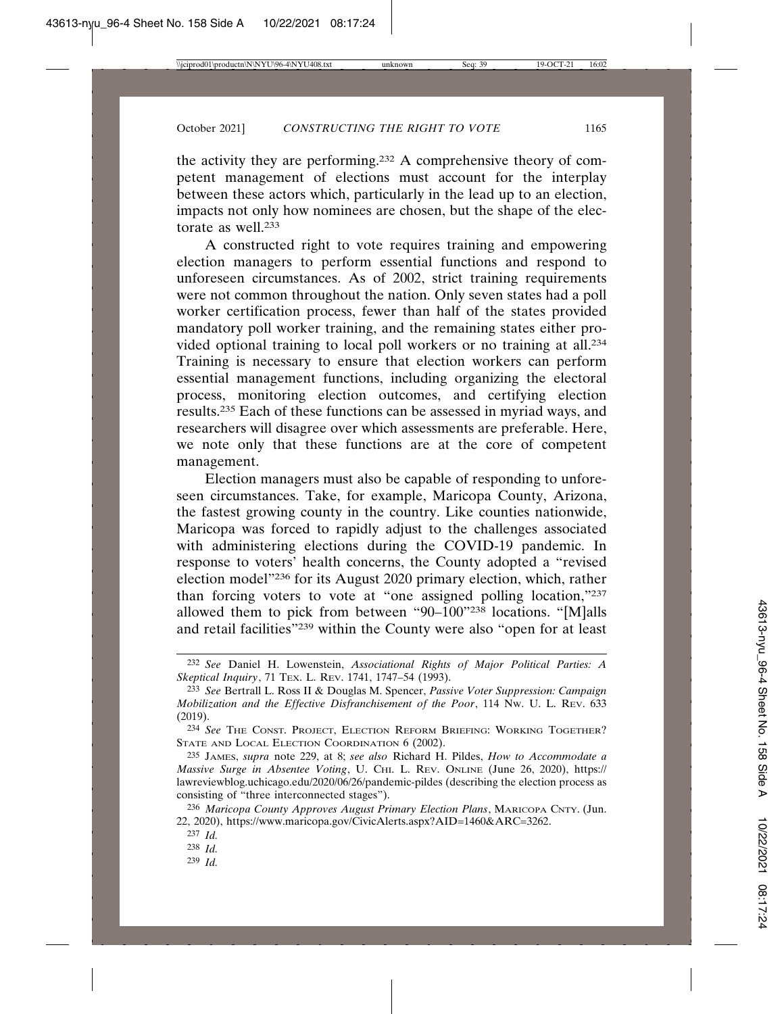the activity they are performing.232 A comprehensive theory of competent management of elections must account for the interplay between these actors which, particularly in the lead up to an election, impacts not only how nominees are chosen, but the shape of the electorate as well 233

A constructed right to vote requires training and empowering election managers to perform essential functions and respond to unforeseen circumstances. As of 2002, strict training requirements were not common throughout the nation. Only seven states had a poll worker certification process, fewer than half of the states provided mandatory poll worker training, and the remaining states either provided optional training to local poll workers or no training at all.234 Training is necessary to ensure that election workers can perform essential management functions, including organizing the electoral process, monitoring election outcomes, and certifying election results.235 Each of these functions can be assessed in myriad ways, and researchers will disagree over which assessments are preferable. Here, we note only that these functions are at the core of competent management.

Election managers must also be capable of responding to unforeseen circumstances. Take, for example, Maricopa County, Arizona, the fastest growing county in the country. Like counties nationwide, Maricopa was forced to rapidly adjust to the challenges associated with administering elections during the COVID-19 pandemic. In response to voters' health concerns, the County adopted a "revised election model"236 for its August 2020 primary election, which, rather than forcing voters to vote at "one assigned polling location,"237 allowed them to pick from between "90–100"238 locations. "[M]alls and retail facilities"239 within the County were also "open for at least

<sup>232</sup> *See* Daniel H. Lowenstein, *Associational Rights of Major Political Parties: A Skeptical Inquiry*, 71 TEX. L. REV. 1741, 1747–54 (1993).

<sup>233</sup> *See* Bertrall L. Ross II & Douglas M. Spencer, *Passive Voter Suppression: Campaign Mobilization and the Effective Disfranchisement of the Poor*, 114 NW. U. L. REV. 633 (2019).

<sup>234</sup> *See* THE CONST. PROJECT, ELECTION REFORM BRIEFING: WORKING TOGETHER? STATE AND LOCAL ELECTION COORDINATION 6 (2002).

<sup>235</sup> JAMES, *supra* note 229, at 8; *see also* Richard H. Pildes, *How to Accommodate a Massive Surge in Absentee Voting*, U. CHI. L. REV. ONLINE (June 26, 2020), https:// lawreviewblog.uchicago.edu/2020/06/26/pandemic-pildes (describing the election process as consisting of "three interconnected stages").

<sup>236</sup> *Maricopa County Approves August Primary Election Plans*, MARICOPA CNTY. (Jun. 22, 2020), https://www.maricopa.gov/CivicAlerts.aspx?AID=1460&ARC=3262.

<sup>237</sup> *Id.*

<sup>238</sup> *Id.*

<sup>239</sup> *Id.*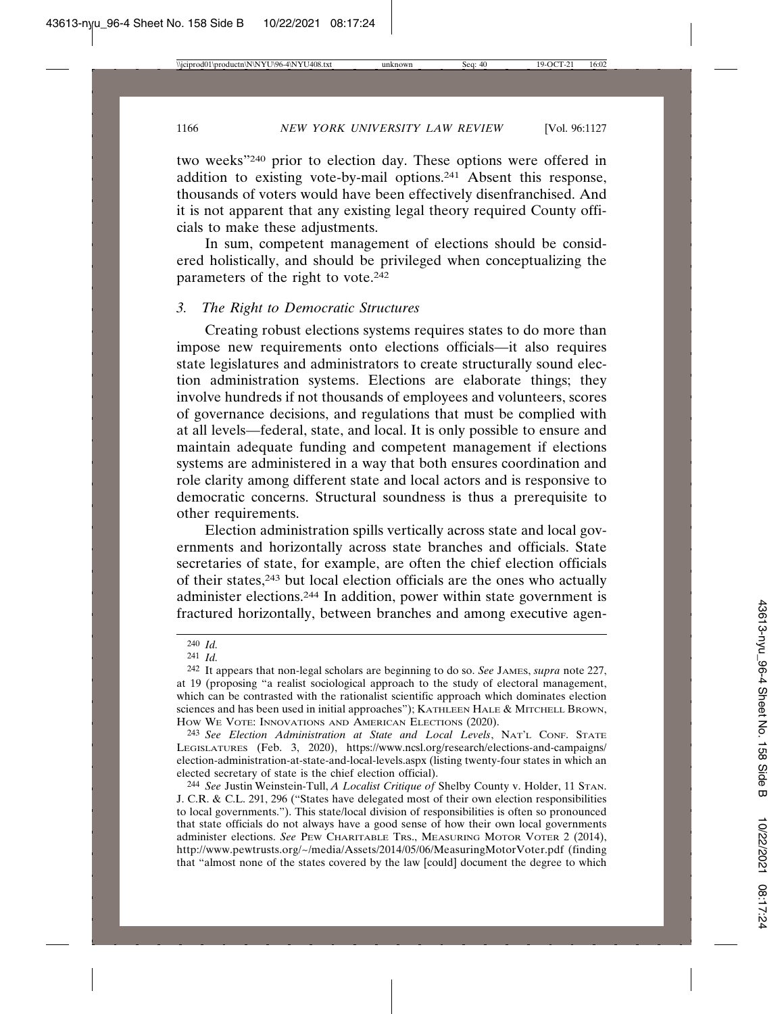two weeks"240 prior to election day. These options were offered in addition to existing vote-by-mail options.241 Absent this response, thousands of voters would have been effectively disenfranchised. And it is not apparent that any existing legal theory required County officials to make these adjustments.

In sum, competent management of elections should be considered holistically, and should be privileged when conceptualizing the parameters of the right to vote.242

## *3. The Right to Democratic Structures*

Creating robust elections systems requires states to do more than impose new requirements onto elections officials—it also requires state legislatures and administrators to create structurally sound election administration systems. Elections are elaborate things; they involve hundreds if not thousands of employees and volunteers, scores of governance decisions, and regulations that must be complied with at all levels—federal, state, and local. It is only possible to ensure and maintain adequate funding and competent management if elections systems are administered in a way that both ensures coordination and role clarity among different state and local actors and is responsive to democratic concerns. Structural soundness is thus a prerequisite to other requirements.

Election administration spills vertically across state and local governments and horizontally across state branches and officials. State secretaries of state, for example, are often the chief election officials of their states,243 but local election officials are the ones who actually administer elections.244 In addition, power within state government is fractured horizontally, between branches and among executive agen-

244 *See* Justin Weinstein-Tull, *A Localist Critique of* Shelby County v. Holder, 11 STAN. J. C.R. & C.L. 291, 296 ("States have delegated most of their own election responsibilities to local governments."). This state/local division of responsibilities is often so pronounced that state officials do not always have a good sense of how their own local governments administer elections. *See* PEW CHARITABLE TRS., MEASURING MOTOR VOTER 2 (2014), http://www.pewtrusts.org/~/media/Assets/2014/05/06/MeasuringMotorVoter.pdf (finding that "almost none of the states covered by the law [could] document the degree to which

<sup>240</sup> *Id.*

<sup>241</sup> *Id.*

<sup>242</sup> It appears that non-legal scholars are beginning to do so. *See* JAMES, *supra* note 227, at 19 (proposing "a realist sociological approach to the study of electoral management, which can be contrasted with the rationalist scientific approach which dominates election sciences and has been used in initial approaches"); KATHLEEN HALE & MITCHELL BROWN, HOW WE VOTE: INNOVATIONS AND AMERICAN ELECTIONS (2020).

<sup>243</sup> *See Election Administration at State and Local Levels*, NAT'L CONF. STATE LEGISLATURES (Feb. 3, 2020), https://www.ncsl.org/research/elections-and-campaigns/ election-administration-at-state-and-local-levels.aspx (listing twenty-four states in which an elected secretary of state is the chief election official).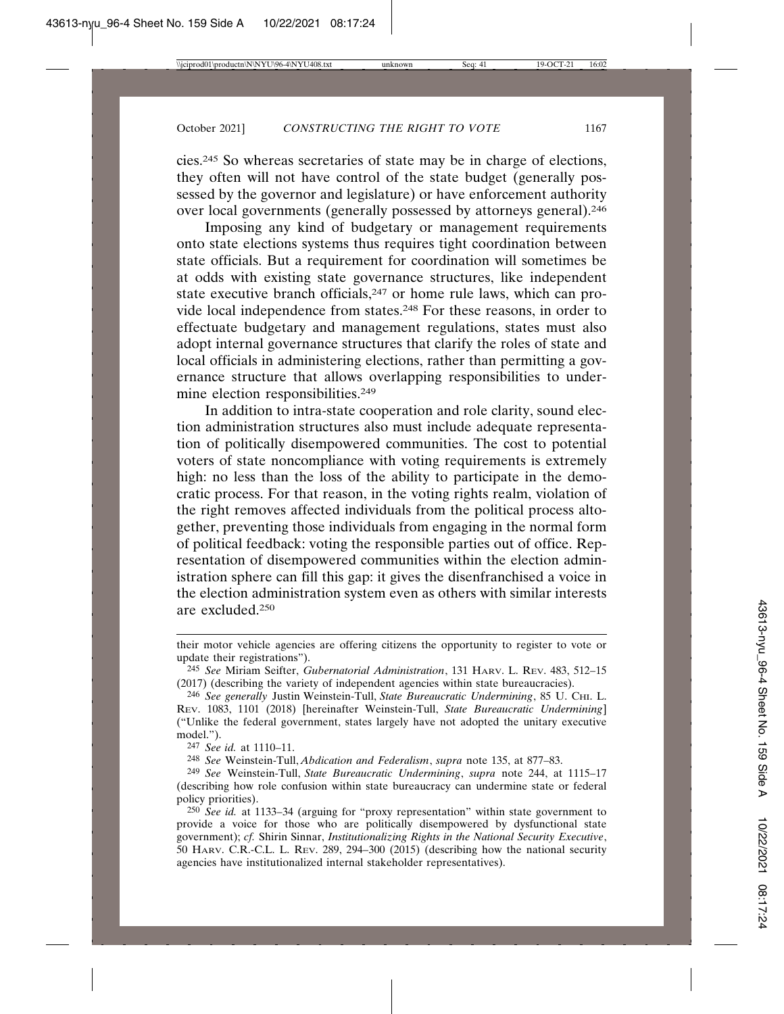cies.245 So whereas secretaries of state may be in charge of elections, they often will not have control of the state budget (generally possessed by the governor and legislature) or have enforcement authority over local governments (generally possessed by attorneys general).246

Imposing any kind of budgetary or management requirements onto state elections systems thus requires tight coordination between state officials. But a requirement for coordination will sometimes be at odds with existing state governance structures, like independent state executive branch officials,<sup>247</sup> or home rule laws, which can provide local independence from states.248 For these reasons, in order to effectuate budgetary and management regulations, states must also adopt internal governance structures that clarify the roles of state and local officials in administering elections, rather than permitting a governance structure that allows overlapping responsibilities to undermine election responsibilities.249

In addition to intra-state cooperation and role clarity, sound election administration structures also must include adequate representation of politically disempowered communities. The cost to potential voters of state noncompliance with voting requirements is extremely high: no less than the loss of the ability to participate in the democratic process. For that reason, in the voting rights realm, violation of the right removes affected individuals from the political process altogether, preventing those individuals from engaging in the normal form of political feedback: voting the responsible parties out of office. Representation of disempowered communities within the election administration sphere can fill this gap: it gives the disenfranchised a voice in the election administration system even as others with similar interests are excluded.250

their motor vehicle agencies are offering citizens the opportunity to register to vote or update their registrations").

<sup>245</sup> *See* Miriam Seifter, *Gubernatorial Administration*, 131 HARV. L. REV. 483, 512–15 (2017) (describing the variety of independent agencies within state bureaucracies).

<sup>246</sup> *See generally* Justin Weinstein-Tull, *State Bureaucratic Undermining*, 85 U. CHI. L. REV. 1083, 1101 (2018) [hereinafter Weinstein-Tull, *State Bureaucratic Undermining*] ("Unlike the federal government, states largely have not adopted the unitary executive model.").

<sup>247</sup> *See id.* at 1110–11.

<sup>248</sup> *See* Weinstein-Tull, *Abdication and Federalism*, *supra* note 135, at 877–83.

<sup>249</sup> *See* Weinstein-Tull, *State Bureaucratic Undermining*, *supra* note 244, at 1115–17 (describing how role confusion within state bureaucracy can undermine state or federal policy priorities).

<sup>250</sup> *See id.* at 1133–34 (arguing for "proxy representation" within state government to provide a voice for those who are politically disempowered by dysfunctional state government); *cf.* Shirin Sinnar, *Institutionalizing Rights in the National Security Executive*, 50 HARV. C.R.-C.L. L. REV. 289, 294–300 (2015) (describing how the national security agencies have institutionalized internal stakeholder representatives).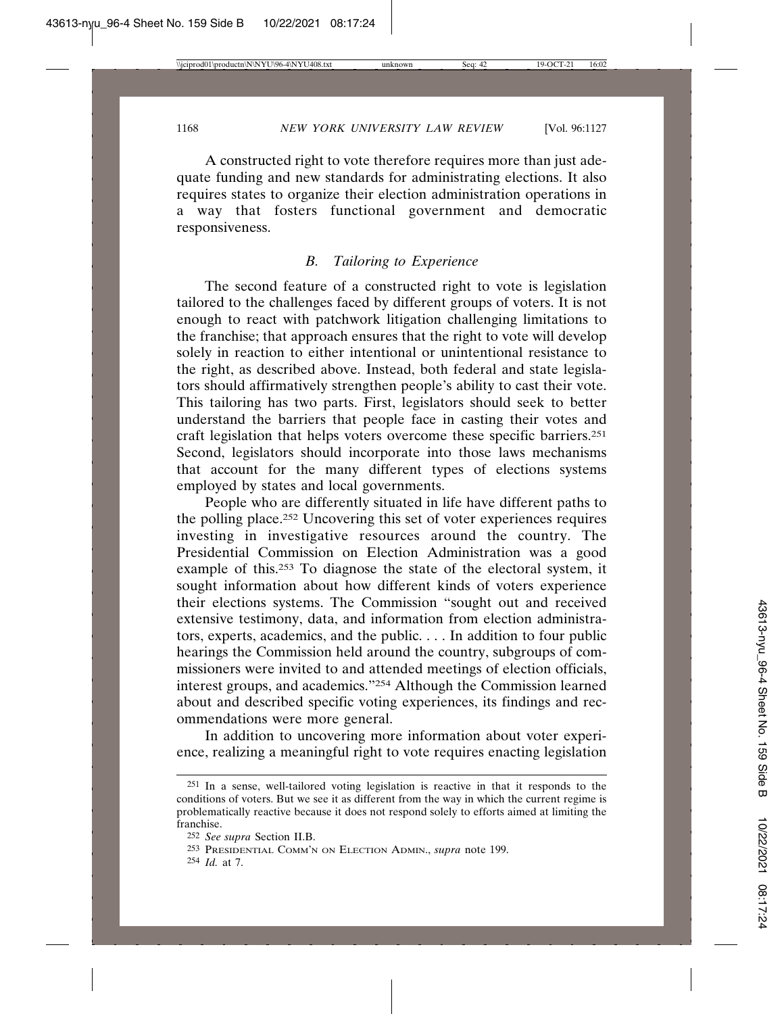A constructed right to vote therefore requires more than just adequate funding and new standards for administrating elections. It also requires states to organize their election administration operations in a way that fosters functional government and democratic responsiveness.

# *B. Tailoring to Experience*

The second feature of a constructed right to vote is legislation tailored to the challenges faced by different groups of voters. It is not enough to react with patchwork litigation challenging limitations to the franchise; that approach ensures that the right to vote will develop solely in reaction to either intentional or unintentional resistance to the right, as described above. Instead, both federal and state legislators should affirmatively strengthen people's ability to cast their vote. This tailoring has two parts. First, legislators should seek to better understand the barriers that people face in casting their votes and craft legislation that helps voters overcome these specific barriers.251 Second, legislators should incorporate into those laws mechanisms that account for the many different types of elections systems employed by states and local governments.

People who are differently situated in life have different paths to the polling place.252 Uncovering this set of voter experiences requires investing in investigative resources around the country. The Presidential Commission on Election Administration was a good example of this.253 To diagnose the state of the electoral system, it sought information about how different kinds of voters experience their elections systems. The Commission "sought out and received extensive testimony, data, and information from election administrators, experts, academics, and the public. . . . In addition to four public hearings the Commission held around the country, subgroups of commissioners were invited to and attended meetings of election officials, interest groups, and academics."254 Although the Commission learned about and described specific voting experiences, its findings and recommendations were more general.

In addition to uncovering more information about voter experience, realizing a meaningful right to vote requires enacting legislation

<sup>251</sup> In a sense, well-tailored voting legislation is reactive in that it responds to the conditions of voters. But we see it as different from the way in which the current regime is problematically reactive because it does not respond solely to efforts aimed at limiting the franchise.

<sup>252</sup> *See supra* Section II.B.

<sup>253</sup> PRESIDENTIAL COMM'N ON ELECTION ADMIN., *supra* note 199.

<sup>254</sup> *Id.* at 7.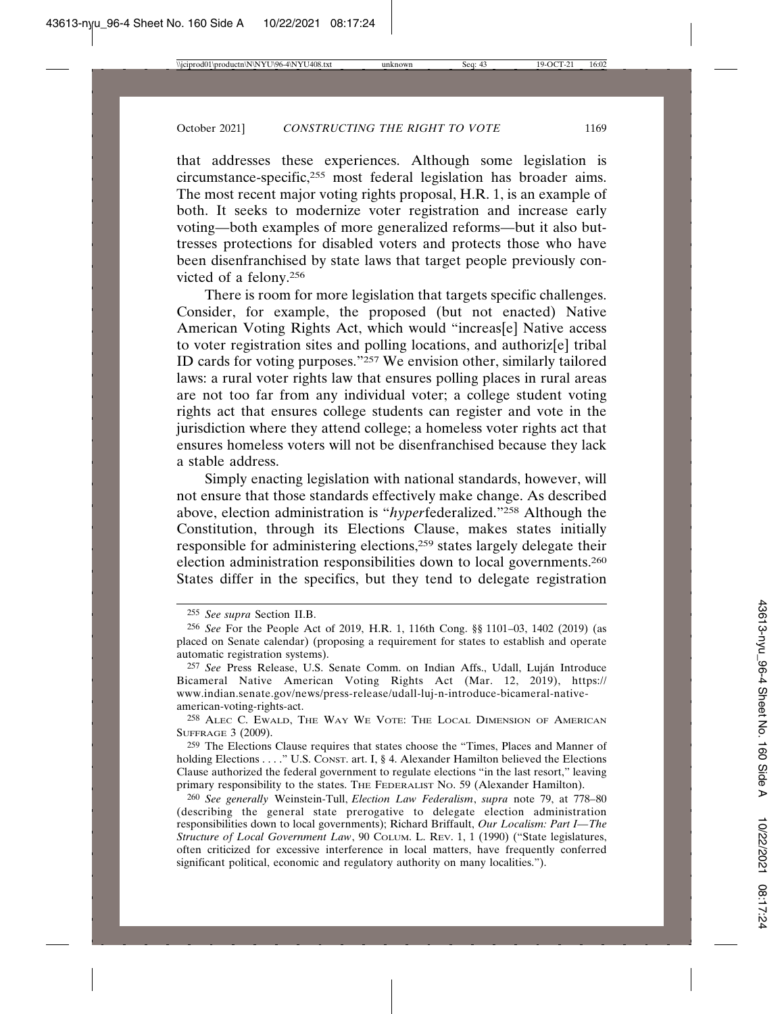that addresses these experiences. Although some legislation is circumstance-specific,255 most federal legislation has broader aims. The most recent major voting rights proposal, H.R. 1, is an example of both. It seeks to modernize voter registration and increase early voting—both examples of more generalized reforms—but it also buttresses protections for disabled voters and protects those who have been disenfranchised by state laws that target people previously convicted of a felony.256

There is room for more legislation that targets specific challenges. Consider, for example, the proposed (but not enacted) Native American Voting Rights Act, which would "increas[e] Native access to voter registration sites and polling locations, and authoriz[e] tribal ID cards for voting purposes."257 We envision other, similarly tailored laws: a rural voter rights law that ensures polling places in rural areas are not too far from any individual voter; a college student voting rights act that ensures college students can register and vote in the jurisdiction where they attend college; a homeless voter rights act that ensures homeless voters will not be disenfranchised because they lack a stable address.

Simply enacting legislation with national standards, however, will not ensure that those standards effectively make change. As described above, election administration is "*hyper*federalized."258 Although the Constitution, through its Elections Clause, makes states initially responsible for administering elections,259 states largely delegate their election administration responsibilities down to local governments.260 States differ in the specifics, but they tend to delegate registration

259 The Elections Clause requires that states choose the "Times, Places and Manner of holding Elections . . . . " U.S. CONST. art. I, § 4. Alexander Hamilton believed the Elections Clause authorized the federal government to regulate elections "in the last resort," leaving primary responsibility to the states. THE FEDERALIST NO. 59 (Alexander Hamilton).

<sup>255</sup> *See supra* Section II.B.

<sup>256</sup> *See* For the People Act of 2019, H.R. 1, 116th Cong. §§ 1101–03, 1402 (2019) (as placed on Senate calendar) (proposing a requirement for states to establish and operate automatic registration systems).

<sup>&</sup>lt;sup>257</sup> See Press Release, U.S. Senate Comm. on Indian Affs., Udall, Luján Introduce Bicameral Native American Voting Rights Act (Mar. 12, 2019), https:// www.indian.senate.gov/news/press-release/udall-luj-n-introduce-bicameral-nativeamerican-voting-rights-act.

<sup>258</sup> ALEC C. EWALD, THE WAY WE VOTE: THE LOCAL DIMENSION OF AMERICAN SUFFRAGE 3 (2009).

<sup>260</sup> *See generally* Weinstein-Tull, *Election Law Federalism*, *supra* note 79, at 778–80 (describing the general state prerogative to delegate election administration responsibilities down to local governments); Richard Briffault, *Our Localism: Part I—The Structure of Local Government Law*, 90 COLUM. L. REV. 1, 1 (1990) ("State legislatures, often criticized for excessive interference in local matters, have frequently conferred significant political, economic and regulatory authority on many localities.").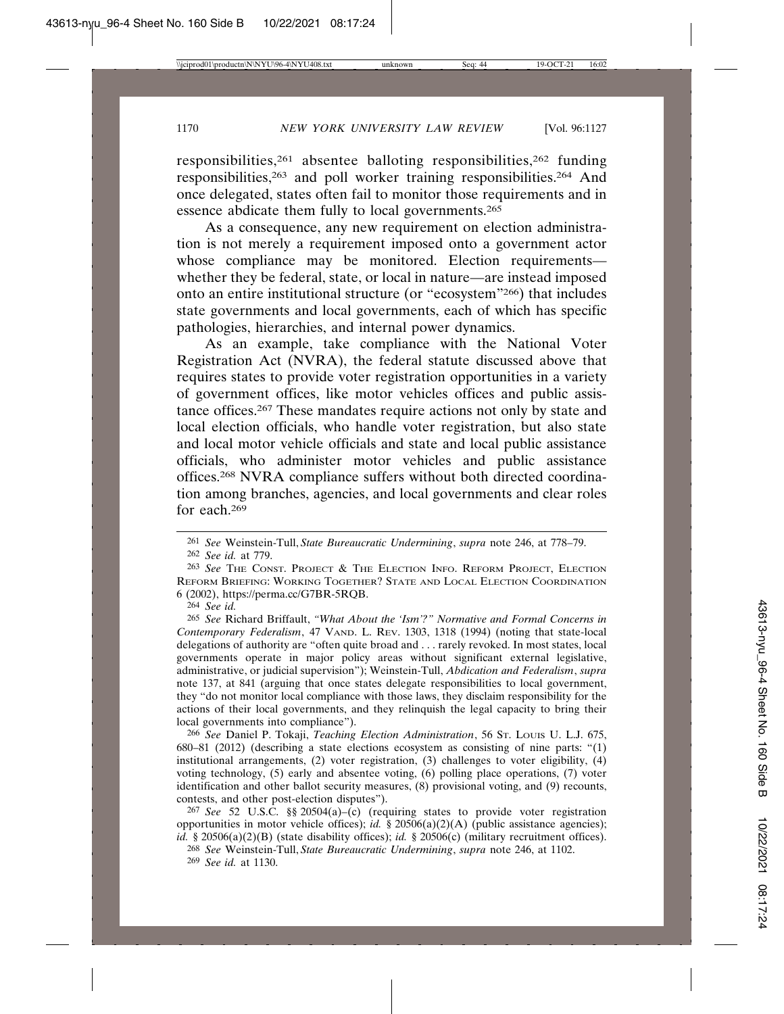responsibilities,261 absentee balloting responsibilities,262 funding responsibilities,263 and poll worker training responsibilities.264 And once delegated, states often fail to monitor those requirements and in essence abdicate them fully to local governments.265

As a consequence, any new requirement on election administration is not merely a requirement imposed onto a government actor whose compliance may be monitored. Election requirements whether they be federal, state, or local in nature—are instead imposed onto an entire institutional structure (or "ecosystem"266) that includes state governments and local governments, each of which has specific pathologies, hierarchies, and internal power dynamics.

As an example, take compliance with the National Voter Registration Act (NVRA), the federal statute discussed above that requires states to provide voter registration opportunities in a variety of government offices, like motor vehicles offices and public assistance offices.267 These mandates require actions not only by state and local election officials, who handle voter registration, but also state and local motor vehicle officials and state and local public assistance officials, who administer motor vehicles and public assistance offices.268 NVRA compliance suffers without both directed coordination among branches, agencies, and local governments and clear roles for each.269

264 *See id.*

265 *See* Richard Briffault, *"What About the 'Ism'?" Normative and Formal Concerns in Contemporary Federalism*, 47 VAND. L. REV. 1303, 1318 (1994) (noting that state-local delegations of authority are "often quite broad and . . . rarely revoked. In most states, local governments operate in major policy areas without significant external legislative, administrative, or judicial supervision"); Weinstein-Tull, *Abdication and Federalism*, *supra* note 137, at 841 (arguing that once states delegate responsibilities to local government, they "do not monitor local compliance with those laws, they disclaim responsibility for the actions of their local governments, and they relinquish the legal capacity to bring their local governments into compliance").

266 *See* Daniel P. Tokaji, *Teaching Election Administration*, 56 ST. LOUIS U. L.J. 675, 680–81 (2012) (describing a state elections ecosystem as consisting of nine parts: "(1) institutional arrangements, (2) voter registration, (3) challenges to voter eligibility, (4) voting technology, (5) early and absentee voting, (6) polling place operations, (7) voter identification and other ballot security measures, (8) provisional voting, and (9) recounts, contests, and other post-election disputes").

267 *See* 52 U.S.C. §§ 20504(a)–(c) (requiring states to provide voter registration opportunities in motor vehicle offices); *id.* § 20506(a)(2)(A) (public assistance agencies); *id.* § 20506(a)(2)(B) (state disability offices); *id.* § 20506(c) (military recruitment offices).

268 *See* Weinstein-Tull, *State Bureaucratic Undermining*, *supra* note 246, at 1102.

269 *See id.* at 1130.

<sup>261</sup> *See* Weinstein-Tull, *State Bureaucratic Undermining*, *supra* note 246, at 778–79.

<sup>262</sup> *See id.* at 779.

<sup>263</sup> *See* THE CONST. PROJECT & THE ELECTION INFO. REFORM PROJECT, ELECTION REFORM BRIEFING: WORKING TOGETHER? STATE AND LOCAL ELECTION COORDINATION 6 (2002), https://perma.cc/G7BR-5RQB.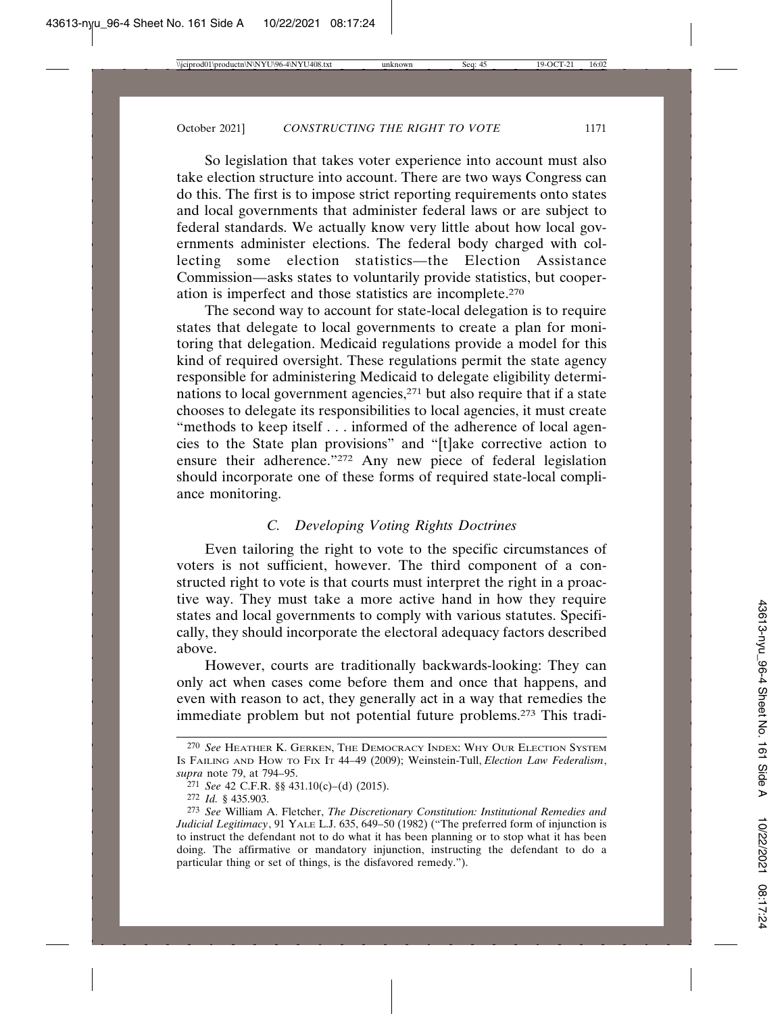So legislation that takes voter experience into account must also take election structure into account. There are two ways Congress can do this. The first is to impose strict reporting requirements onto states and local governments that administer federal laws or are subject to federal standards. We actually know very little about how local governments administer elections. The federal body charged with collecting some election statistics—the Election Assistance Commission—asks states to voluntarily provide statistics, but cooperation is imperfect and those statistics are incomplete.270

The second way to account for state-local delegation is to require states that delegate to local governments to create a plan for monitoring that delegation. Medicaid regulations provide a model for this kind of required oversight. These regulations permit the state agency responsible for administering Medicaid to delegate eligibility determinations to local government agencies,271 but also require that if a state chooses to delegate its responsibilities to local agencies, it must create "methods to keep itself . . . informed of the adherence of local agencies to the State plan provisions" and "[t]ake corrective action to ensure their adherence."<sup>272</sup> Any new piece of federal legislation should incorporate one of these forms of required state-local compliance monitoring.

# *C. Developing Voting Rights Doctrines*

Even tailoring the right to vote to the specific circumstances of voters is not sufficient, however. The third component of a constructed right to vote is that courts must interpret the right in a proactive way. They must take a more active hand in how they require states and local governments to comply with various statutes. Specifically, they should incorporate the electoral adequacy factors described above.

However, courts are traditionally backwards-looking: They can only act when cases come before them and once that happens, and even with reason to act, they generally act in a way that remedies the immediate problem but not potential future problems.273 This tradi-

<sup>270</sup> *See* HEATHER K. GERKEN, THE DEMOCRACY INDEX: WHY OUR ELECTION SYSTEM IS FAILING AND HOW TO FIX IT 44–49 (2009); Weinstein-Tull, *Election Law Federalism*, *supra* note 79, at 794–95.

<sup>271</sup> *See* 42 C.F.R. §§ 431.10(c)–(d) (2015).

<sup>272</sup> *Id.* § 435.903.

<sup>273</sup> *See* William A. Fletcher, *The Discretionary Constitution: Institutional Remedies and Judicial Legitimacy*, 91 YALE L.J. 635, 649–50 (1982) ("The preferred form of injunction is to instruct the defendant not to do what it has been planning or to stop what it has been doing. The affirmative or mandatory injunction, instructing the defendant to do a particular thing or set of things, is the disfavored remedy.").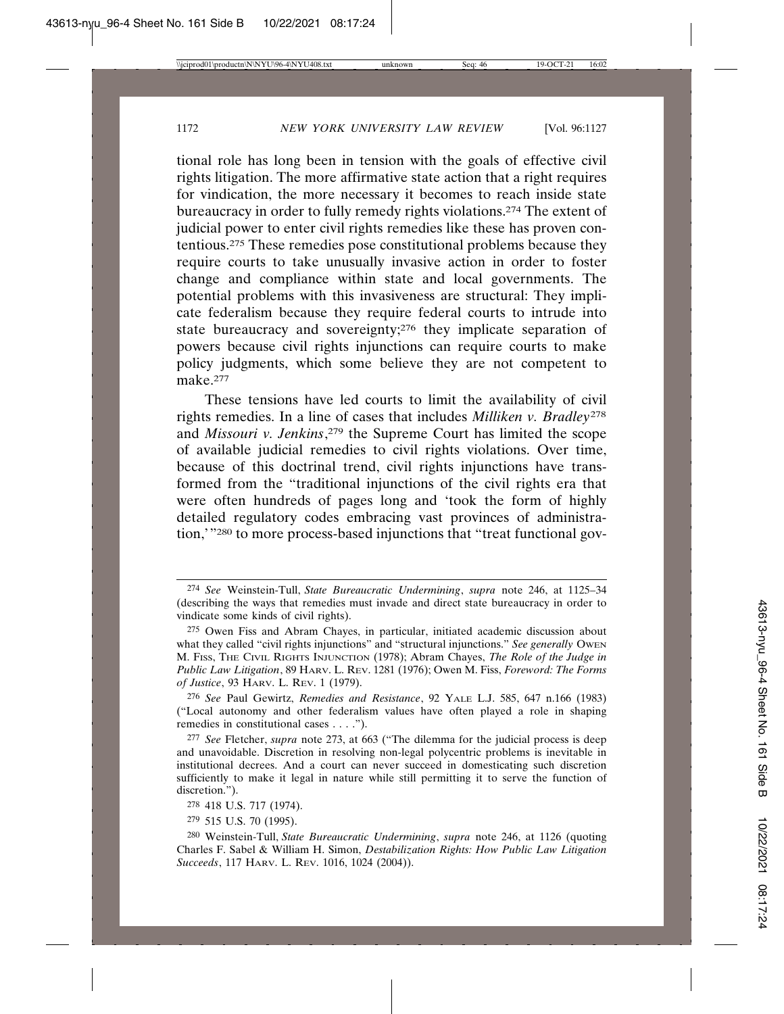tional role has long been in tension with the goals of effective civil rights litigation. The more affirmative state action that a right requires for vindication, the more necessary it becomes to reach inside state bureaucracy in order to fully remedy rights violations.274 The extent of judicial power to enter civil rights remedies like these has proven contentious.275 These remedies pose constitutional problems because they require courts to take unusually invasive action in order to foster change and compliance within state and local governments. The potential problems with this invasiveness are structural: They implicate federalism because they require federal courts to intrude into state bureaucracy and sovereignty;<sup>276</sup> they implicate separation of powers because civil rights injunctions can require courts to make policy judgments, which some believe they are not competent to make.277

These tensions have led courts to limit the availability of civil rights remedies. In a line of cases that includes *Milliken v. Bradley*<sup>278</sup> and *Missouri v. Jenkins*, 279 the Supreme Court has limited the scope of available judicial remedies to civil rights violations. Over time, because of this doctrinal trend, civil rights injunctions have transformed from the "traditional injunctions of the civil rights era that were often hundreds of pages long and 'took the form of highly detailed regulatory codes embracing vast provinces of administration,'"280 to more process-based injunctions that "treat functional gov-

<sup>274</sup> *See* Weinstein-Tull, *State Bureaucratic Undermining*, *supra* note 246, at 1125–34 (describing the ways that remedies must invade and direct state bureaucracy in order to vindicate some kinds of civil rights).

<sup>275</sup> Owen Fiss and Abram Chayes, in particular, initiated academic discussion about what they called "civil rights injunctions" and "structural injunctions." *See generally* OWEN M. FISS, THE CIVIL RIGHTS INJUNCTION (1978); Abram Chayes, *The Role of the Judge in Public Law Litigation*, 89 HARV. L. REV. 1281 (1976); Owen M. Fiss, *Foreword: The Forms of Justice*, 93 HARV. L. REV. 1 (1979).

<sup>276</sup> *See* Paul Gewirtz, *Remedies and Resistance*, 92 YALE L.J. 585, 647 n.166 (1983) ("Local autonomy and other federalism values have often played a role in shaping remedies in constitutional cases . . . .").

<sup>277</sup> *See* Fletcher, *supra* note 273, at 663 ("The dilemma for the judicial process is deep and unavoidable. Discretion in resolving non-legal polycentric problems is inevitable in institutional decrees. And a court can never succeed in domesticating such discretion sufficiently to make it legal in nature while still permitting it to serve the function of discretion.").

<sup>278</sup> 418 U.S. 717 (1974).

<sup>279</sup> 515 U.S. 70 (1995).

<sup>280</sup> Weinstein-Tull, *State Bureaucratic Undermining*, *supra* note 246, at 1126 (quoting Charles F. Sabel & William H. Simon, *Destabilization Rights: How Public Law Litigation Succeeds*, 117 HARV. L. REV. 1016, 1024 (2004)).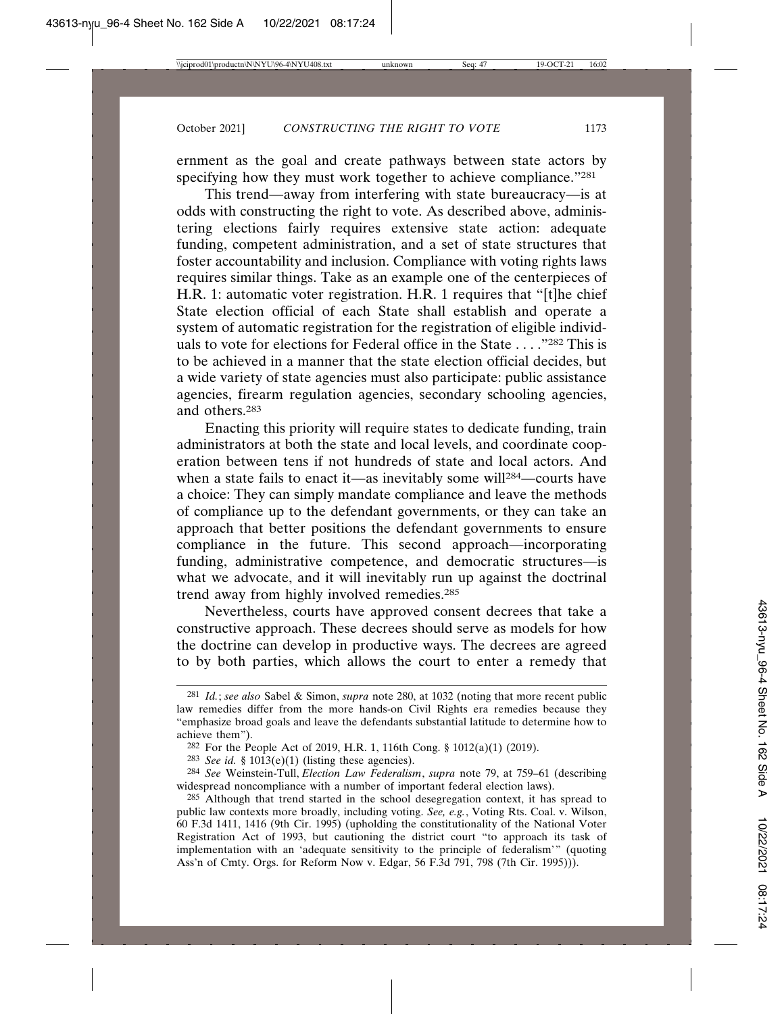ernment as the goal and create pathways between state actors by specifying how they must work together to achieve compliance."281

This trend—away from interfering with state bureaucracy—is at odds with constructing the right to vote. As described above, administering elections fairly requires extensive state action: adequate funding, competent administration, and a set of state structures that foster accountability and inclusion. Compliance with voting rights laws requires similar things. Take as an example one of the centerpieces of H.R. 1: automatic voter registration. H.R. 1 requires that "[t]he chief State election official of each State shall establish and operate a system of automatic registration for the registration of eligible individuals to vote for elections for Federal office in the State . . . ."282 This is to be achieved in a manner that the state election official decides, but a wide variety of state agencies must also participate: public assistance agencies, firearm regulation agencies, secondary schooling agencies, and others.283

Enacting this priority will require states to dedicate funding, train administrators at both the state and local levels, and coordinate cooperation between tens if not hundreds of state and local actors. And when a state fails to enact it—as inevitably some will<sup>284</sup>—courts have a choice: They can simply mandate compliance and leave the methods of compliance up to the defendant governments, or they can take an approach that better positions the defendant governments to ensure compliance in the future. This second approach—incorporating funding, administrative competence, and democratic structures—is what we advocate, and it will inevitably run up against the doctrinal trend away from highly involved remedies.<sup>285</sup>

Nevertheless, courts have approved consent decrees that take a constructive approach. These decrees should serve as models for how the doctrine can develop in productive ways. The decrees are agreed to by both parties, which allows the court to enter a remedy that

<sup>281</sup> *Id.*; *see also* Sabel & Simon, *supra* note 280, at 1032 (noting that more recent public law remedies differ from the more hands-on Civil Rights era remedies because they "emphasize broad goals and leave the defendants substantial latitude to determine how to achieve them").

<sup>282</sup> For the People Act of 2019, H.R. 1, 116th Cong. § 1012(a)(1) (2019).

<sup>&</sup>lt;sup>283</sup> *See id.* § 1013(e)(1) (listing these agencies).

<sup>284</sup> *See* Weinstein-Tull, *Election Law Federalism*, *supra* note 79, at 759–61 (describing widespread noncompliance with a number of important federal election laws).

<sup>285</sup> Although that trend started in the school desegregation context, it has spread to public law contexts more broadly, including voting. *See, e.g.*, Voting Rts. Coal. v. Wilson, 60 F.3d 1411, 1416 (9th Cir. 1995) (upholding the constitutionality of the National Voter Registration Act of 1993, but cautioning the district court "to approach its task of implementation with an 'adequate sensitivity to the principle of federalism'" (quoting Ass'n of Cmty. Orgs. for Reform Now v. Edgar, 56 F.3d 791, 798 (7th Cir. 1995))).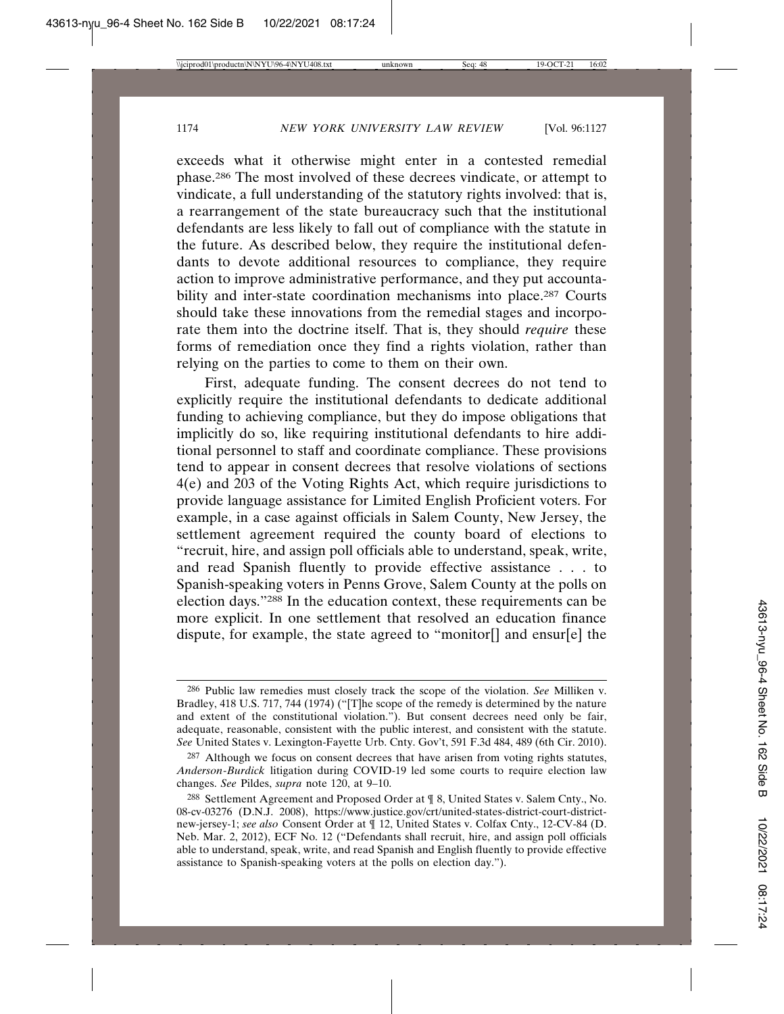exceeds what it otherwise might enter in a contested remedial phase.286 The most involved of these decrees vindicate, or attempt to vindicate, a full understanding of the statutory rights involved: that is, a rearrangement of the state bureaucracy such that the institutional defendants are less likely to fall out of compliance with the statute in the future. As described below, they require the institutional defendants to devote additional resources to compliance, they require action to improve administrative performance, and they put accountability and inter-state coordination mechanisms into place.<sup>287</sup> Courts should take these innovations from the remedial stages and incorporate them into the doctrine itself. That is, they should *require* these forms of remediation once they find a rights violation, rather than relying on the parties to come to them on their own.

First, adequate funding. The consent decrees do not tend to explicitly require the institutional defendants to dedicate additional funding to achieving compliance, but they do impose obligations that implicitly do so, like requiring institutional defendants to hire additional personnel to staff and coordinate compliance. These provisions tend to appear in consent decrees that resolve violations of sections 4(e) and 203 of the Voting Rights Act, which require jurisdictions to provide language assistance for Limited English Proficient voters. For example, in a case against officials in Salem County, New Jersey, the settlement agreement required the county board of elections to "recruit, hire, and assign poll officials able to understand, speak, write, and read Spanish fluently to provide effective assistance . . . to Spanish-speaking voters in Penns Grove, Salem County at the polls on election days."288 In the education context, these requirements can be more explicit. In one settlement that resolved an education finance dispute, for example, the state agreed to "monitor[] and ensur[e] the

<sup>286</sup> Public law remedies must closely track the scope of the violation. *See* Milliken v. Bradley, 418 U.S. 717, 744 (1974) ("[T]he scope of the remedy is determined by the nature and extent of the constitutional violation."). But consent decrees need only be fair, adequate, reasonable, consistent with the public interest, and consistent with the statute. *See* United States v. Lexington-Fayette Urb. Cnty. Gov't, 591 F.3d 484, 489 (6th Cir. 2010).

 $287$  Although we focus on consent decrees that have arisen from voting rights statutes, *Anderson*-*Burdick* litigation during COVID-19 led some courts to require election law changes. *See* Pildes, *supra* note 120, at 9–10.

<sup>288</sup> Settlement Agreement and Proposed Order at ¶ 8, United States v. Salem Cnty., No. 08-cv-03276 (D.N.J. 2008), https://www.justice.gov/crt/united-states-district-court-districtnew-jersey-1; *see also* Consent Order at ¶ 12, United States v. Colfax Cnty., 12-CV-84 (D. Neb. Mar. 2, 2012), ECF No. 12 ("Defendants shall recruit, hire, and assign poll officials able to understand, speak, write, and read Spanish and English fluently to provide effective assistance to Spanish-speaking voters at the polls on election day.").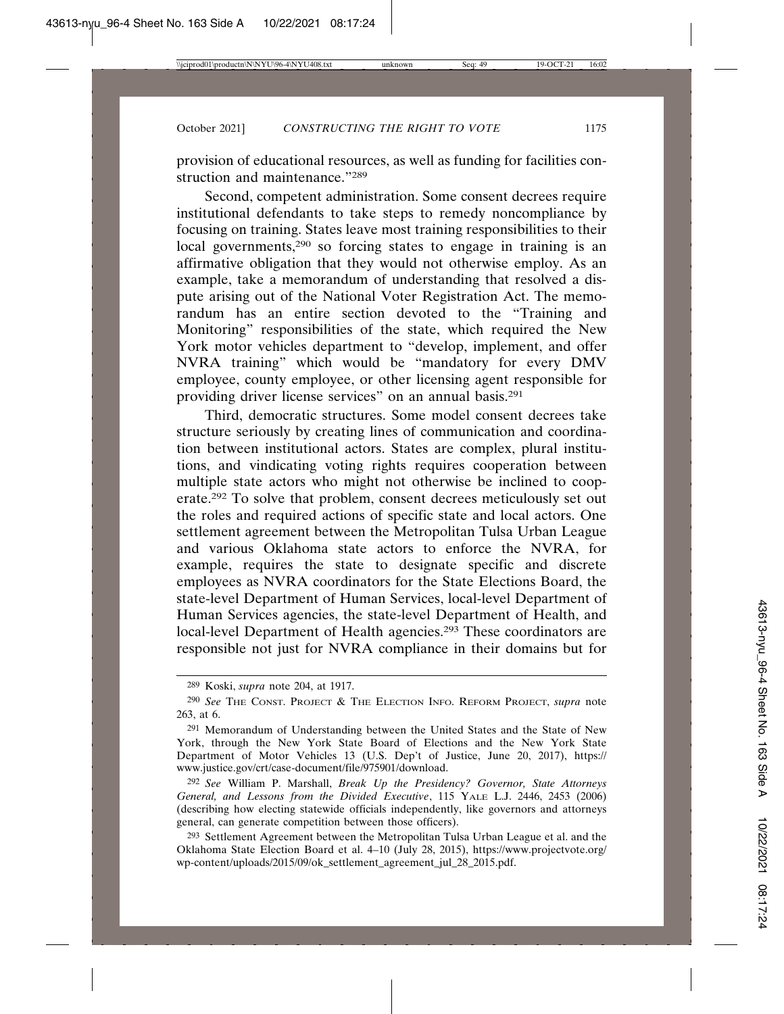provision of educational resources, as well as funding for facilities construction and maintenance."289

Second, competent administration. Some consent decrees require institutional defendants to take steps to remedy noncompliance by focusing on training. States leave most training responsibilities to their local governments,<sup>290</sup> so forcing states to engage in training is an affirmative obligation that they would not otherwise employ. As an example, take a memorandum of understanding that resolved a dispute arising out of the National Voter Registration Act. The memorandum has an entire section devoted to the "Training and Monitoring" responsibilities of the state, which required the New York motor vehicles department to "develop, implement, and offer NVRA training" which would be "mandatory for every DMV employee, county employee, or other licensing agent responsible for providing driver license services" on an annual basis.291

Third, democratic structures. Some model consent decrees take structure seriously by creating lines of communication and coordination between institutional actors. States are complex, plural institutions, and vindicating voting rights requires cooperation between multiple state actors who might not otherwise be inclined to cooperate.292 To solve that problem, consent decrees meticulously set out the roles and required actions of specific state and local actors. One settlement agreement between the Metropolitan Tulsa Urban League and various Oklahoma state actors to enforce the NVRA, for example, requires the state to designate specific and discrete employees as NVRA coordinators for the State Elections Board, the state-level Department of Human Services, local-level Department of Human Services agencies, the state-level Department of Health, and local-level Department of Health agencies.<sup>293</sup> These coordinators are responsible not just for NVRA compliance in their domains but for

<sup>289</sup> Koski, *supra* note 204, at 1917.

<sup>290</sup> *See* THE CONST. PROJECT & THE ELECTION INFO. REFORM PROJECT, *supra* note 263, at 6.

<sup>291</sup> Memorandum of Understanding between the United States and the State of New York, through the New York State Board of Elections and the New York State Department of Motor Vehicles 13 (U.S. Dep't of Justice, June 20, 2017), https:// www.justice.gov/crt/case-document/file/975901/download.

<sup>292</sup> *See* William P. Marshall, *Break Up the Presidency? Governor, State Attorneys General, and Lessons from the Divided Executive*, 115 YALE L.J. 2446, 2453 (2006) (describing how electing statewide officials independently, like governors and attorneys general, can generate competition between those officers).

<sup>293</sup> Settlement Agreement between the Metropolitan Tulsa Urban League et al. and the Oklahoma State Election Board et al. 4–10 (July 28, 2015), https://www.projectvote.org/ wp-content/uploads/2015/09/ok\_settlement\_agreement\_jul\_28\_2015.pdf.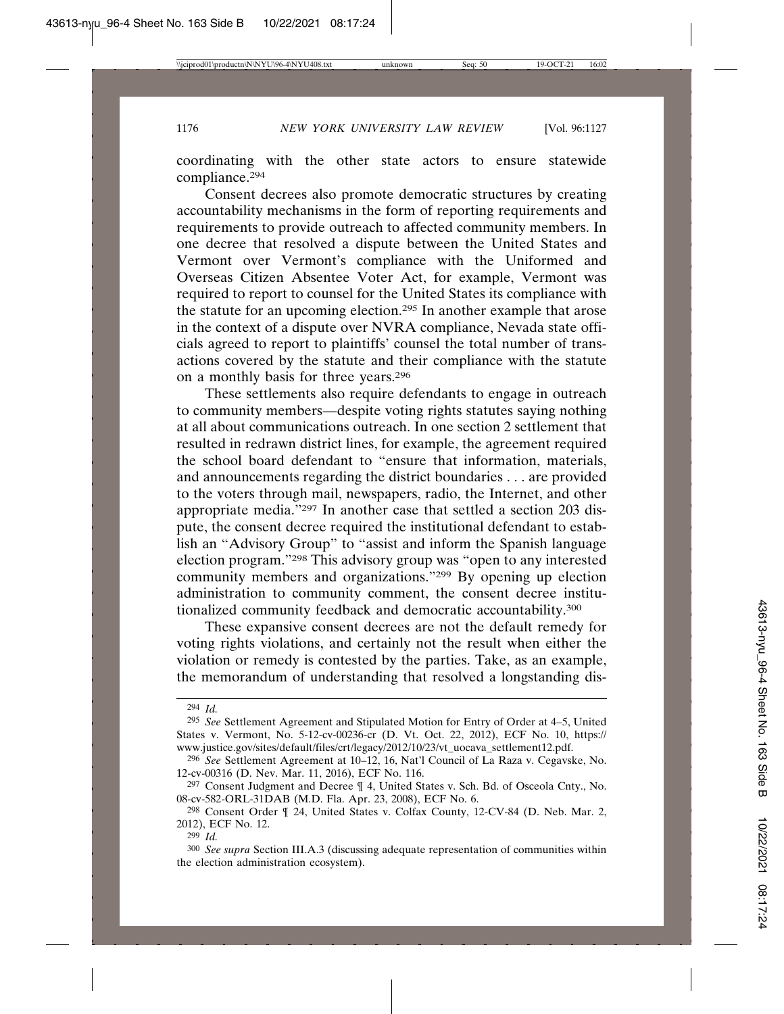coordinating with the other state actors to ensure statewide compliance.294

Consent decrees also promote democratic structures by creating accountability mechanisms in the form of reporting requirements and requirements to provide outreach to affected community members. In one decree that resolved a dispute between the United States and Vermont over Vermont's compliance with the Uniformed and Overseas Citizen Absentee Voter Act, for example, Vermont was required to report to counsel for the United States its compliance with the statute for an upcoming election.295 In another example that arose in the context of a dispute over NVRA compliance, Nevada state officials agreed to report to plaintiffs' counsel the total number of transactions covered by the statute and their compliance with the statute on a monthly basis for three years.296

These settlements also require defendants to engage in outreach to community members—despite voting rights statutes saying nothing at all about communications outreach. In one section 2 settlement that resulted in redrawn district lines, for example, the agreement required the school board defendant to "ensure that information, materials, and announcements regarding the district boundaries . . . are provided to the voters through mail, newspapers, radio, the Internet, and other appropriate media."297 In another case that settled a section 203 dispute, the consent decree required the institutional defendant to establish an "Advisory Group" to "assist and inform the Spanish language election program."298 This advisory group was "open to any interested community members and organizations."299 By opening up election administration to community comment, the consent decree institutionalized community feedback and democratic accountability.300

These expansive consent decrees are not the default remedy for voting rights violations, and certainly not the result when either the violation or remedy is contested by the parties. Take, as an example, the memorandum of understanding that resolved a longstanding dis-

<sup>294</sup> *Id.*

<sup>295</sup> *See* Settlement Agreement and Stipulated Motion for Entry of Order at 4–5, United States v. Vermont, No. 5-12-cv-00236-cr (D. Vt. Oct. 22, 2012), ECF No. 10, https:// www.justice.gov/sites/default/files/crt/legacy/2012/10/23/vt\_uocava\_settlement12.pdf.

<sup>296</sup> *See* Settlement Agreement at 10–12, 16, Nat'l Council of La Raza v. Cegavske, No. 12-cv-00316 (D. Nev. Mar. 11, 2016), ECF No. 116.

<sup>297</sup> Consent Judgment and Decree ¶ 4, United States v. Sch. Bd. of Osceola Cnty., No. 08-cv-582-ORL-31DAB (M.D. Fla. Apr. 23, 2008), ECF No. 6.

<sup>298</sup> Consent Order ¶ 24, United States v. Colfax County, 12-CV-84 (D. Neb. Mar. 2, 2012), ECF No. 12.

<sup>299</sup> *Id.*

<sup>300</sup> *See supra* Section III.A.3 (discussing adequate representation of communities within the election administration ecosystem).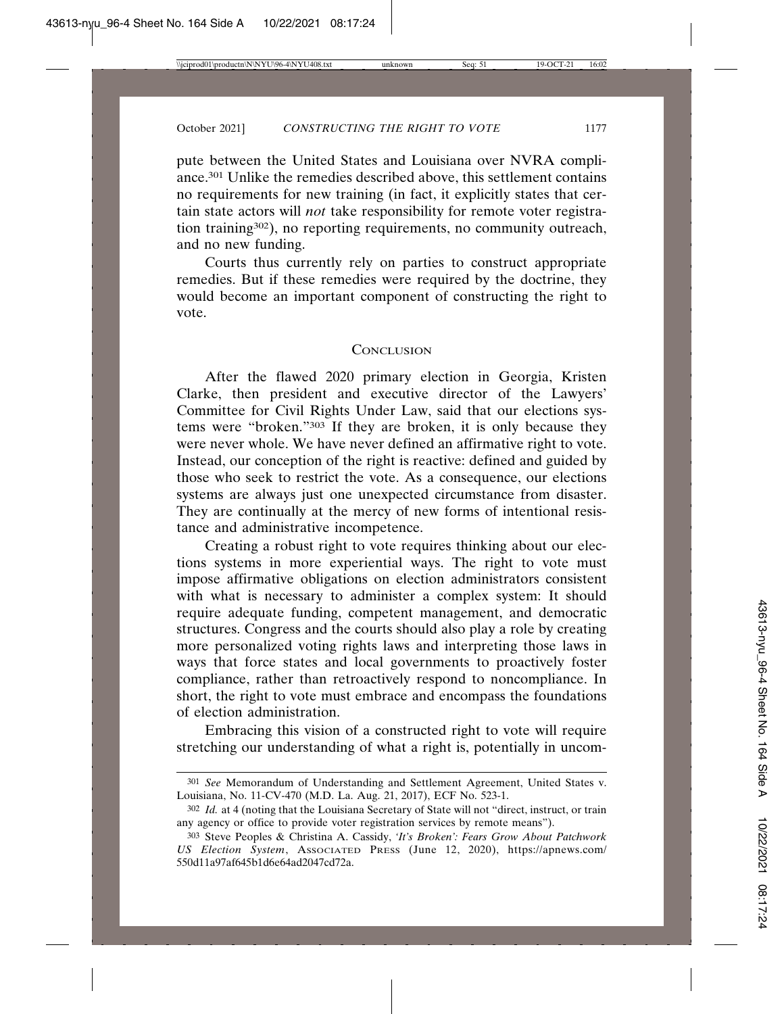pute between the United States and Louisiana over NVRA compliance.301 Unlike the remedies described above, this settlement contains no requirements for new training (in fact, it explicitly states that certain state actors will *not* take responsibility for remote voter registration training302), no reporting requirements, no community outreach, and no new funding.

Courts thus currently rely on parties to construct appropriate remedies. But if these remedies were required by the doctrine, they would become an important component of constructing the right to vote.

#### **CONCLUSION**

After the flawed 2020 primary election in Georgia, Kristen Clarke, then president and executive director of the Lawyers' Committee for Civil Rights Under Law, said that our elections systems were "broken."303 If they are broken, it is only because they were never whole. We have never defined an affirmative right to vote. Instead, our conception of the right is reactive: defined and guided by those who seek to restrict the vote. As a consequence, our elections systems are always just one unexpected circumstance from disaster. They are continually at the mercy of new forms of intentional resistance and administrative incompetence.

Creating a robust right to vote requires thinking about our elections systems in more experiential ways. The right to vote must impose affirmative obligations on election administrators consistent with what is necessary to administer a complex system: It should require adequate funding, competent management, and democratic structures. Congress and the courts should also play a role by creating more personalized voting rights laws and interpreting those laws in ways that force states and local governments to proactively foster compliance, rather than retroactively respond to noncompliance. In short, the right to vote must embrace and encompass the foundations of election administration.

Embracing this vision of a constructed right to vote will require stretching our understanding of what a right is, potentially in uncom-

<sup>301</sup> *See* Memorandum of Understanding and Settlement Agreement, United States v. Louisiana, No. 11-CV-470 (M.D. La. Aug. 21, 2017), ECF No. 523-1.

<sup>302</sup> *Id.* at 4 (noting that the Louisiana Secretary of State will not "direct, instruct, or train any agency or office to provide voter registration services by remote means").

<sup>303</sup> Steve Peoples & Christina A. Cassidy, *'It's Broken': Fears Grow About Patchwork US Election System*, ASSOCIATED PRESS (June 12, 2020), https://apnews.com/ 550d11a97af645b1d6e64ad2047cd72a.